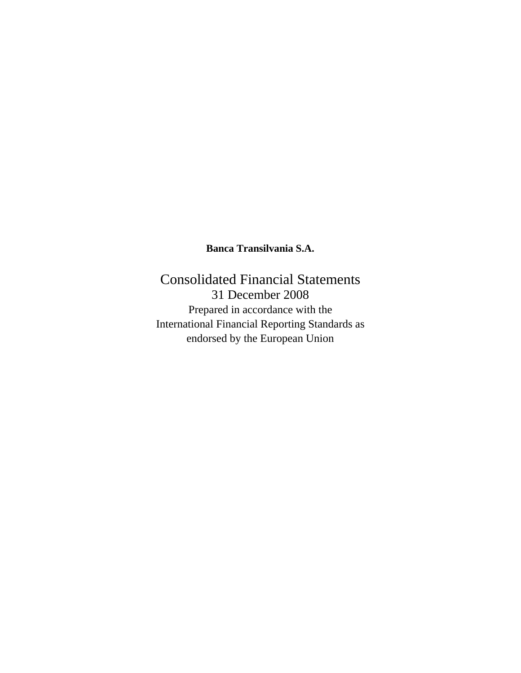Consolidated Financial Statements 31 December 2008 Prepared in accordance with the International Financial Reporting Standards as endorsed by the European Union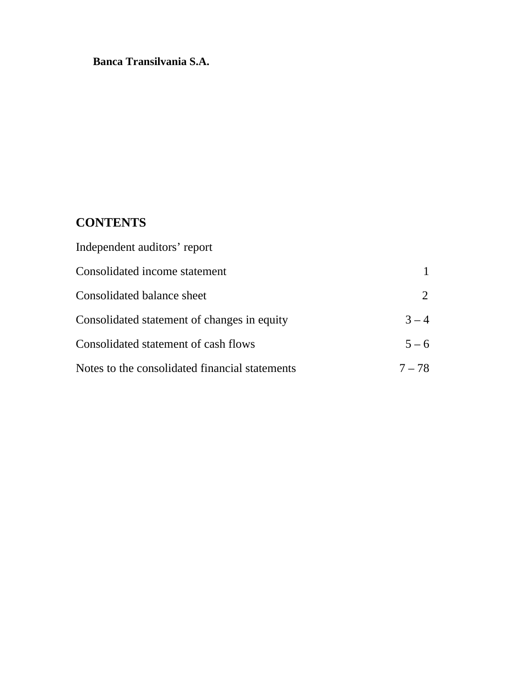# **CONTENTS**

| Independent auditors' report                   |          |
|------------------------------------------------|----------|
| Consolidated income statement                  |          |
| Consolidated balance sheet                     |          |
| Consolidated statement of changes in equity    | $3 - 4$  |
| Consolidated statement of cash flows           | $5 - 6$  |
| Notes to the consolidated financial statements | $7 - 78$ |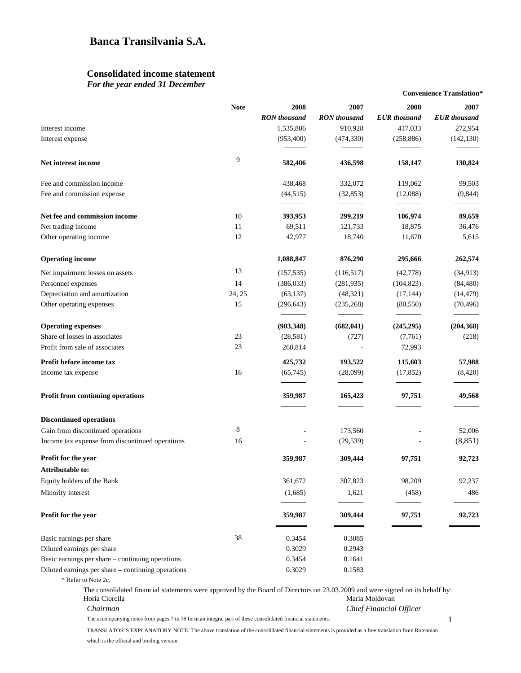# **Consolidated income statement**

*For the year ended 31 December* 

|                                                                                                                                                 |             |                     |                     |                         | <b>Convenience Translation*</b> |
|-------------------------------------------------------------------------------------------------------------------------------------------------|-------------|---------------------|---------------------|-------------------------|---------------------------------|
|                                                                                                                                                 | <b>Note</b> | 2008                | 2007                | 2008                    | 2007                            |
|                                                                                                                                                 |             | <b>RON</b> thousand | <b>RON</b> thousand | <b>EUR</b> thousand     | <b>EUR</b> thousand             |
| Interest income                                                                                                                                 |             | 1,535,806           | 910,928             | 417,033                 | 272,954                         |
| Interest expense                                                                                                                                |             | (953, 400)          | (474, 330)          | (258, 886)              | (142, 130)                      |
| Net interest income                                                                                                                             | 9           | 582,406             | 436,598             | 158,147                 | 130,824                         |
| Fee and commission income                                                                                                                       |             | 438,468             | 332,072             | 119,062                 | 99,503                          |
| Fee and commission expense                                                                                                                      |             | (44, 515)           | (32, 853)           | (12,088)                | (9,844)                         |
| Net fee and commission income                                                                                                                   | 10          | 393,953             | 299,219             | 106,974                 | 89,659                          |
| Net trading income                                                                                                                              | 11          | 69,511              | 121,733             | 18,875                  | 36,476                          |
| Other operating income                                                                                                                          | 12          | 42,977              | 18,740              | 11,670                  | 5,615                           |
| <b>Operating income</b>                                                                                                                         |             | 1,088,847           | 876,290             | 295,666                 | 262,574                         |
| Net impairment losses on assets                                                                                                                 | 13          | (157, 535)          | (116,517)           | (42, 778)               | (34, 913)                       |
| Personnel expenses                                                                                                                              | 14          | (386,033)           | (281, 935)          | (104, 823)              | (84, 480)                       |
| Depreciation and amortization                                                                                                                   | 24, 25      | (63, 137)           | (48,321)            | (17, 144)               | (14, 479)                       |
| Other operating expenses                                                                                                                        | 15          | (296, 643)          | (235, 268)          | (80, 550)               | (70, 496)                       |
| <b>Operating expenses</b>                                                                                                                       |             | (903, 348)          | (682, 041)          | (245, 295)              | (204, 368)                      |
| Share of losses in associates                                                                                                                   | 23          | (28, 581)           | (727)               | (7,761)                 | (218)                           |
| Profit from sale of associates                                                                                                                  | 23          | 268,814             |                     | 72,993                  |                                 |
| Profit before income tax                                                                                                                        |             | 425,732             | 193,522             | 115,603                 | 57,988                          |
| Income tax expense                                                                                                                              | 16          | (65,745)            | (28,099)            | (17, 852)               | (8,420)                         |
| Profit from continuing operations                                                                                                               |             | 359,987             | 165,423             | 97,751                  | 49,568                          |
| <b>Discontinued operations</b>                                                                                                                  |             |                     |                     |                         |                                 |
| Gain from discontinued operations                                                                                                               | 8           |                     | 173,560             |                         | 52,006                          |
| Income tax expense from discontinued operations                                                                                                 | 16          |                     | (29, 539)           |                         | (8, 851)                        |
| <b>Profit for the year</b>                                                                                                                      |             | 359,987             | 309,444             | 97,751                  | 92,723                          |
| Attributable to:                                                                                                                                |             |                     |                     |                         |                                 |
| Equity holders of the Bank                                                                                                                      |             | 361,672             | 307,823             | 98,209                  | 92,237                          |
| Minority interest                                                                                                                               |             | (1,685)             | 1,621               | (458)                   | 486                             |
| Profit for the year                                                                                                                             |             | 359,987             | 309,444             | 97,751                  | 92,723                          |
| Basic earnings per share                                                                                                                        | 38          | 0.3454              | 0.3085              |                         |                                 |
| Diluted earnings per share                                                                                                                      |             | 0.3029              | 0.2943              |                         |                                 |
| Basic earnings per share – continuing operations                                                                                                |             | 0.3454              | 0.1641              |                         |                                 |
| Diluted earnings per share – continuing operations<br>* Refer to Note 2c.                                                                       |             | 0.3029              | 0.1583              |                         |                                 |
| The consolidated financial statements were approved by the Board of Directors on 23.03.2009 and were signed on its behalf by:<br>Horia Ciorcila |             |                     |                     | Maria Moldovan          |                                 |
| Chairman                                                                                                                                        |             |                     |                     | Chief Financial Officer |                                 |
| The accompanying notes from pages 7 to 78 form an integral part of these consolidated financial statements.                                     |             |                     |                     |                         | 1                               |
| TRANSLATOR'S EXPLANATORY NOTE: The above translation of the consolidated financial statements is provided as a free translation from Romanian   |             |                     |                     |                         |                                 |
| which is the official and binding version.                                                                                                      |             |                     |                     |                         |                                 |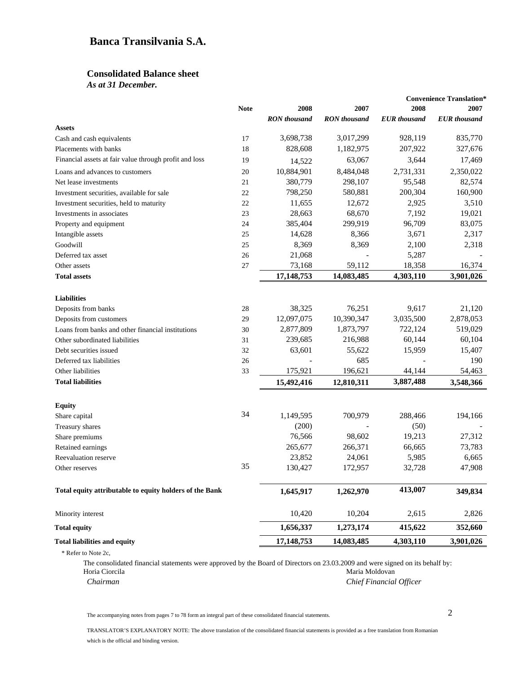## **Consolidated Balance sheet**

*As at 31 December.*

|                                                         |             |                     |                     |                     | <b>Convenience Translation*</b> |
|---------------------------------------------------------|-------------|---------------------|---------------------|---------------------|---------------------------------|
|                                                         | <b>Note</b> | 2008                | 2007                | 2008                | 2007                            |
|                                                         |             | <b>RON</b> thousand | <b>RON</b> thousand | <b>EUR</b> thousand | <b>EUR</b> thousand             |
| <b>Assets</b>                                           |             |                     |                     |                     |                                 |
| Cash and cash equivalents                               | 17          | 3,698,738           | 3,017,299           | 928,119             | 835,770                         |
| Placements with banks                                   | 18          | 828,608             | 1,182,975           | 207,922             | 327,676                         |
| Financial assets at fair value through profit and loss  | 19          | 14,522              | 63,067              | 3,644               | 17,469                          |
| Loans and advances to customers                         | 20          | 10,884,901          | 8,484,048           | 2,731,331           | 2,350,022                       |
| Net lease investments                                   | 21          | 380,779             | 298,107             | 95,548              | 82,574                          |
| Investment securities, available for sale               | 22          | 798,250             | 580,881             | 200,304             | 160,900                         |
| Investment securities, held to maturity                 | 22          | 11,655              | 12,672              | 2,925               | 3,510                           |
| Investments in associates                               | 23          | 28,663              | 68,670              | 7,192               | 19,021                          |
| Property and equipment                                  | 24          | 385,404             | 299,919             | 96,709              | 83,075                          |
| Intangible assets                                       | 25          | 14,628              | 8,366               | 3,671               | 2,317                           |
| Goodwill                                                | 25          | 8,369               | 8,369               | 2,100               | 2,318                           |
| Deferred tax asset                                      | 26          | 21,068              |                     | 5,287               |                                 |
| Other assets                                            | 27          | 73,168              | 59,112              | 18,358              | 16,374                          |
| <b>Total assets</b>                                     |             | 17, 148, 753        | 14,083,485          | 4,303,110           | 3,901,026                       |
|                                                         |             |                     |                     |                     |                                 |
| <b>Liabilities</b>                                      |             |                     |                     |                     |                                 |
| Deposits from banks                                     | 28          | 38,325              | 76,251              | 9,617               | 21,120                          |
| Deposits from customers                                 | 29          | 12,097,075          | 10,390,347          | 3,035,500           | 2,878,053                       |
| Loans from banks and other financial institutions       | 30          | 2,877,809           | 1,873,797           | 722,124             | 519,029                         |
| Other subordinated liabilities                          | 31          | 239,685             | 216,988             | 60,144              | 60,104                          |
| Debt securities issued                                  | 32          | 63,601              | 55,622              | 15,959              | 15,407                          |
| Deferred tax liabilities                                | 26          |                     | 685                 |                     | 190                             |
| Other liabilities                                       | 33          | 175,921             | 196,621             | 44,144              | 54,463                          |
| <b>Total liabilities</b>                                |             | 15,492,416          | 12,810,311          | 3,887,488           | 3,548,366                       |
|                                                         |             |                     |                     |                     |                                 |
| <b>Equity</b><br>Share capital                          | 34          | 1,149,595           | 700,979             | 288,466             | 194,166                         |
| Treasury shares                                         |             | (200)               |                     | (50)                |                                 |
| Share premiums                                          |             | 76,566              | 98,602              | 19,213              | 27,312                          |
| Retained earnings                                       |             | 265,677             | 266,371             | 66,665              | 73,783                          |
| Reevaluation reserve                                    |             | 23,852              | 24,061              | 5,985               | 6,665                           |
| Other reserves                                          | 35          | 130,427             | 172,957             | 32,728              | 47,908                          |
|                                                         |             |                     |                     |                     |                                 |
| Total equity attributable to equity holders of the Bank |             | 1,645,917           | 1,262,970           | 413,007             | 349,834                         |
| Minority interest                                       |             | 10,420              | 10,204              | 2,615               | 2,826                           |
| <b>Total equity</b>                                     |             | 1,656,337           | 1,273,174           | 415,622             | 352,660                         |
| <b>Total liabilities and equity</b>                     |             | 17,148,753          | 14,083,485          | 4,303,110           | 3,901,026                       |

\* Refer to Note 2c,

The consolidated financial statements were approved by the Board of Directors on 23.03.2009 and were signed on its behalf by: Maria Moldovan

*Chairman Chief Financial Officer*

The accompanying notes from pages 7 to 78 form an integral part of these consolidated financial statements.

TRANSLATOR'S EXPLANATORY NOTE: The above translation of the consolidated financial statements is provided as a free translation from Romanian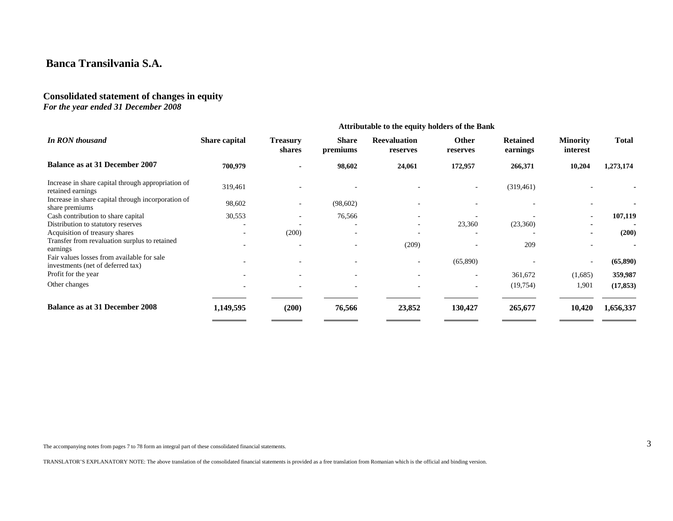## **Consolidated statement of changes in equity**  *For the year ended 31 December 2008*

|                                                                                 | Attributable to the equity holders of the Bank |                           |                          |                                 |                          |                             |                             |              |  |  |  |
|---------------------------------------------------------------------------------|------------------------------------------------|---------------------------|--------------------------|---------------------------------|--------------------------|-----------------------------|-----------------------------|--------------|--|--|--|
| In RON thousand                                                                 | <b>Share capital</b>                           | <b>Treasury</b><br>shares | <b>Share</b><br>premiums | <b>Reevaluation</b><br>reserves | <b>Other</b><br>reserves | <b>Retained</b><br>earnings | <b>Minority</b><br>interest | <b>Total</b> |  |  |  |
| <b>Balance as at 31 December 2007</b>                                           | 700,979                                        | $\blacksquare$            | 98,602                   | 24,061                          | 172,957                  | 266,371                     | 10,204                      | 1,273,174    |  |  |  |
| Increase in share capital through appropriation of<br>retained earnings         | 319,461                                        |                           |                          |                                 | $\overline{\phantom{a}}$ | (319, 461)                  |                             |              |  |  |  |
| Increase in share capital through incorporation of<br>share premiums            | 98,602                                         | ۰                         | (98,602)                 | $\overline{\phantom{a}}$        | $\sim$                   |                             |                             |              |  |  |  |
| Cash contribution to share capital                                              | 30,553                                         | ۰                         | 76,566                   |                                 |                          |                             |                             | 107,119      |  |  |  |
| Distribution to statutory reserves                                              |                                                |                           | ÷                        | $\overline{a}$                  | 23,360                   | (23,360)                    |                             |              |  |  |  |
| Acquisition of treasury shares                                                  |                                                | (200)                     | $\overline{\phantom{a}}$ |                                 |                          |                             |                             | (200)        |  |  |  |
| Transfer from revaluation surplus to retained<br>earnings                       |                                                | $\overline{\phantom{a}}$  | $\overline{\phantom{a}}$ | (209)                           | $\overline{\phantom{0}}$ | 209                         |                             |              |  |  |  |
| Fair values losses from available for sale<br>investments (net of deferred tax) |                                                |                           |                          | $\overline{\phantom{a}}$        | (65,890)                 |                             |                             | (65, 890)    |  |  |  |
| Profit for the year                                                             | $\overline{\phantom{a}}$                       | ۰                         | $\overline{\phantom{a}}$ | $\overline{\phantom{0}}$        | $\overline{\phantom{0}}$ | 361,672                     | (1,685)                     | 359,987      |  |  |  |
| Other changes                                                                   |                                                |                           | $\overline{\phantom{a}}$ |                                 |                          | (19, 754)                   | 1,901                       | (17, 853)    |  |  |  |
| <b>Balance as at 31 December 2008</b>                                           | 1,149,595                                      | (200)                     | 76,566                   | 23,852                          | 130,427                  | 265,677                     | 10,420                      | 1,656,337    |  |  |  |

The accompanying notes from pages 7 to 78 form an integral part of these consolidated financial statements.

TRANSLATOR'S EXPLANATORY NOTE: The above translation of the consolidated financial statements is provided as a free translation from Romanian which is the official and binding version.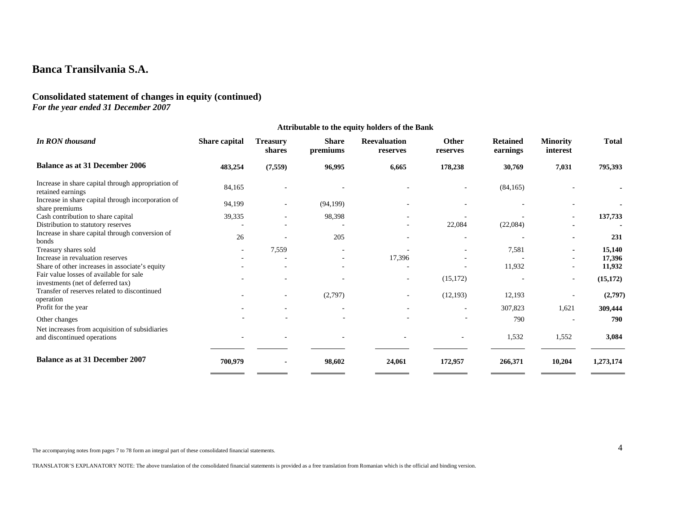## **Consolidated statement of changes in equity (continued)**  *For the year ended 31 December 2007*

| Attributable to the equity holders of the Bank                                |                          |                           |                          |                                 |                          |                             |                             |              |
|-------------------------------------------------------------------------------|--------------------------|---------------------------|--------------------------|---------------------------------|--------------------------|-----------------------------|-----------------------------|--------------|
| In RON thousand                                                               | Share capital            | <b>Treasury</b><br>shares | <b>Share</b><br>premiums | <b>Reevaluation</b><br>reserves | <b>Other</b><br>reserves | <b>Retained</b><br>earnings | <b>Minority</b><br>interest | <b>Total</b> |
| <b>Balance as at 31 December 2006</b>                                         | 483,254                  | (7, 559)                  | 96,995                   | 6,665                           | 178,238                  | 30,769                      | 7,031                       | 795,393      |
| Increase in share capital through appropriation of<br>retained earnings       | 84,165                   |                           |                          |                                 |                          | (84, 165)                   |                             |              |
| Increase in share capital through incorporation of<br>share premiums          | 94,199                   | $\overline{\phantom{a}}$  | (94, 199)                |                                 |                          |                             |                             |              |
| Cash contribution to share capital                                            | 39,335                   |                           | 98,398                   |                                 |                          |                             |                             | 137,733      |
| Distribution to statutory reserves                                            |                          |                           |                          |                                 | 22,084                   | (22,084)                    |                             |              |
| Increase in share capital through conversion of<br>bonds                      | 26                       |                           | 205                      |                                 | $\sim$                   |                             |                             | 231          |
| Treasury shares sold                                                          | $\overline{\phantom{0}}$ | 7,559                     |                          |                                 |                          | 7,581                       |                             | 15,140       |
| Increase in revaluation reserves                                              |                          |                           |                          | 17,396                          |                          |                             |                             | 17,396       |
| Share of other increases in associate's equity                                |                          |                           |                          |                                 | ٠                        | 11,932                      |                             | 11,932       |
| Fair value losses of available for sale<br>investments (net of deferred tax)  |                          |                           |                          | $\overline{\phantom{a}}$        | (15, 172)                |                             | $\overline{\phantom{a}}$    | (15, 172)    |
| Transfer of reserves related to discontinued<br>operation                     |                          |                           | (2,797)                  |                                 | (12, 193)                | 12,193                      |                             | (2,797)      |
| Profit for the year                                                           |                          |                           |                          |                                 |                          | 307,823                     | 1,621                       | 309,444      |
| Other changes                                                                 |                          |                           |                          |                                 |                          | 790                         |                             | 790          |
| Net increases from acquisition of subsidiaries<br>and discontinued operations |                          |                           |                          |                                 |                          | 1,532                       | 1,552                       | 3,084        |
| <b>Balance as at 31 December 2007</b>                                         | 700,979                  |                           | 98,602                   | 24,061                          | 172,957                  | 266,371                     | 10,204                      | 1,273,174    |

The accompanying notes from pages 7 to 78 form an integral part of these consolidated financial statements.

TRANSLATOR'S EXPLANATORY NOTE: The above translation of the consolidated financial statements is provided as a free translation from Romanian which is the official and binding version.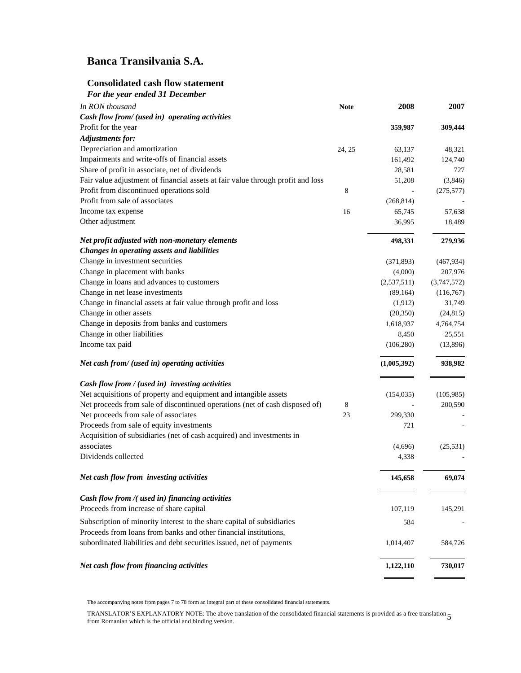# **Consolidated cash flow statement**

*For the year ended 31 December* 

| In RON thousand                                                                            | <b>Note</b> | 2008        | 2007        |
|--------------------------------------------------------------------------------------------|-------------|-------------|-------------|
| Cash flow from/ (used in) operating activities                                             |             |             |             |
| Profit for the year                                                                        |             | 359,987     | 309,444     |
| <b>Adjustments for:</b>                                                                    |             |             |             |
| Depreciation and amortization                                                              | 24, 25      | 63,137      | 48,321      |
| Impairments and write-offs of financial assets                                             |             | 161,492     | 124,740     |
| Share of profit in associate, net of dividends                                             |             | 28,581      | 727         |
| Fair value adjustment of financial assets at fair value through profit and loss            |             | 51,208      | (3,846)     |
| Profit from discontinued operations sold                                                   | 8           |             | (275, 577)  |
| Profit from sale of associates                                                             |             | (268, 814)  |             |
| Income tax expense                                                                         | 16          | 65,745      | 57,638      |
| Other adjustment                                                                           |             | 36,995      | 18,489      |
| Net profit adjusted with non-monetary elements                                             |             | 498,331     | 279,936     |
| Changes in operating assets and liabilities                                                |             |             |             |
| Change in investment securities                                                            |             | (371, 893)  | (467, 934)  |
| Change in placement with banks                                                             |             | (4,000)     | 207,976     |
| Change in loans and advances to customers                                                  |             | (2,537,511) | (3,747,572) |
| Change in net lease investments                                                            |             | (89, 164)   | (116,767)   |
| Change in financial assets at fair value through profit and loss                           |             | (1,912)     | 31,749      |
| Change in other assets                                                                     |             | (20, 350)   | (24, 815)   |
| Change in deposits from banks and customers                                                |             | 1,618,937   | 4,764,754   |
| Change in other liabilities                                                                |             | 8,450       | 25,551      |
| Income tax paid                                                                            |             | (106, 280)  | (13,896)    |
| Net cash from/ (used in) operating activities                                              |             | (1,005,392) | 938,982     |
| Cash flow from / (used in) investing activities                                            |             |             |             |
| Net acquisitions of property and equipment and intangible assets                           |             | (154, 035)  | (105,985)   |
| Net proceeds from sale of discontinued operations (net of cash disposed of)                | 8           |             | 200,590     |
| Net proceeds from sale of associates                                                       | 23          | 299,330     |             |
| Proceeds from sale of equity investments                                                   |             | 721         |             |
| Acquisition of subsidiaries (net of cash acquired) and investments in                      |             |             |             |
| associates                                                                                 |             | (4,696)     | (25, 531)   |
| Dividends collected                                                                        |             | 4,338       |             |
| Net cash flow from investing activities                                                    |             | 145,658     | 69,074      |
|                                                                                            |             |             |             |
| Cash flow from /( used in) financing activities<br>Proceeds from increase of share capital |             | 107,119     | 145,291     |
| Subscription of minority interest to the share capital of subsidiaries                     |             | 584         |             |
| Proceeds from loans from banks and other financial institutions,                           |             |             |             |
| subordinated liabilities and debt securities issued, net of payments                       |             | 1,014,407   | 584,726     |
| Net cash flow from financing activities                                                    |             | 1,122,110   | 730,017     |
|                                                                                            |             |             |             |

The accompanying notes from pages 7 to 78 form an integral part of these consolidated financial statements.

TRANSLATOR'S EXPLANATORY NOTE: The above translation of the consolidated financial statements is provided as a free translation 5 from Romanian which is the official and binding version.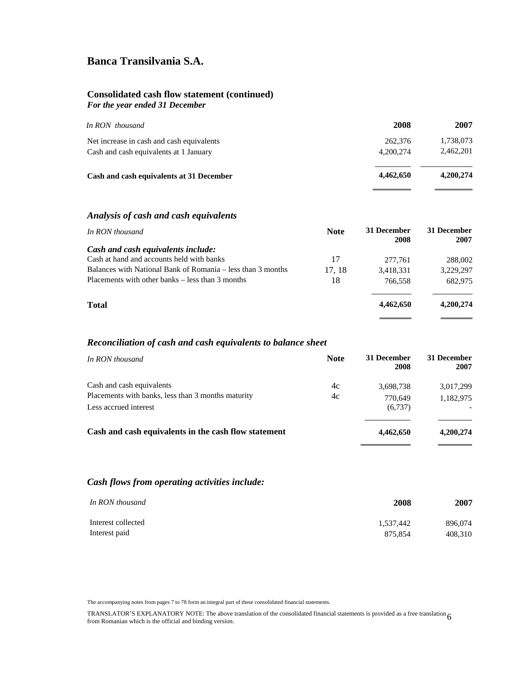# **Consolidated cash flow statement (continued)**

*For the year ended 31 December* 

| 2008      | 2007      |
|-----------|-----------|
| 262,376   | 1,738,073 |
| 4,200,274 | 2,462,201 |
| 4,462,650 | 4,200,274 |
|           |           |

### *Analysis of cash and cash equivalents*

| In RON thousand                                             | <b>Note</b> | 31 December<br>2008 | 31 December<br>2007 |
|-------------------------------------------------------------|-------------|---------------------|---------------------|
| Cash and cash equivalents include:                          |             |                     |                     |
| Cash at hand and accounts held with banks                   | 17          | 277,761             | 288,002             |
| Balances with National Bank of Romania – less than 3 months | 17.18       | 3,418,331           | 3,229,297           |
| Placements with other banks – less than 3 months            | 18          | 766.558             | 682,975             |
| <b>Total</b>                                                |             | 4,462,650           | 4,200,274           |
|                                                             |             |                     |                     |

# *Reconciliation of cash and cash equivalents to balance sheet*

| In RON thousand                                                             | <b>Note</b> | 31 December<br>2008 | 31 December<br>2007 |
|-----------------------------------------------------------------------------|-------------|---------------------|---------------------|
| Cash and cash equivalents                                                   | 4c          | 3,698,738           | 3,017,299           |
| Placements with banks, less than 3 months maturity<br>Less accrued interest | 4c          | 770.649<br>(6,737)  | 1,182,975           |
| Cash and cash equivalents in the cash flow statement                        |             | 4,462,650           | 4,200,274           |

## *Cash flows from operating activities include:*

| In RON thousand    | 2008      | 2007    |
|--------------------|-----------|---------|
| Interest collected | 1,537,442 | 896,074 |
| Interest paid      | 875.854   | 408.310 |

The accompanying notes from pages 7 to 78 form an integral part of these consolidated financial statements.

TRANSLATOR'S EXPLANATORY NOTE: The above translation of the consolidated financial statements is provided as a free translation 6 from Romanian which is the official and binding version.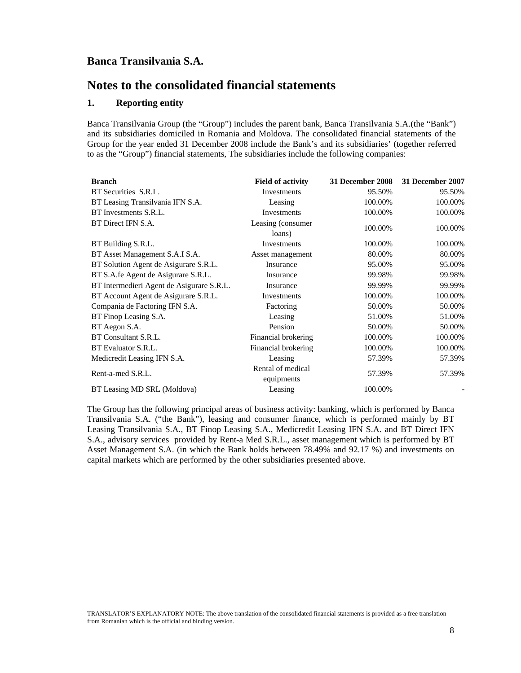# **Notes to the consolidated financial statements**

## **1. Reporting entity**

Banca Transilvania Group (the "Group") includes the parent bank, Banca Transilvania S.A.(the "Bank") and its subsidiaries domiciled in Romania and Moldova. The consolidated financial statements of the Group for the year ended 31 December 2008 include the Bank's and its subsidiaries' (together referred to as the "Group") financial statements, The subsidiaries include the following companies:

| <b>Branch</b>                             | <b>Field of activity</b> | 31 December 2008 | 31 December 2007 |
|-------------------------------------------|--------------------------|------------------|------------------|
| BT Securities S.R.L.                      | Investments              | 95.50%           | 95.50%           |
| BT Leasing Transilvania IFN S.A.          | Leasing                  | 100.00%          | 100.00%          |
| BT Investments S.R.L.                     | Investments              | 100.00%          | 100.00%          |
| BT Direct IFN S.A.                        | Leasing (consumer        | 100.00%          | 100.00%          |
|                                           | loans)                   |                  |                  |
| BT Building S.R.L.                        | Investments              | 100.00%          | 100.00%          |
| BT Asset Management S.A.I S.A.            | Asset management         | 80.00%           | 80.00%           |
| BT Solution Agent de Asigurare S.R.L.     | Insurance                | 95.00%           | 95.00%           |
| BT S.A.fe Agent de Asigurare S.R.L.       | Insurance                | 99.98%           | 99.98%           |
| BT Intermedieri Agent de Asigurare S.R.L. | Insurance                | 99.99%           | 99.99%           |
| BT Account Agent de Asigurare S.R.L.      | Investments              | 100.00%          | 100.00%          |
| Compania de Factoring IFN S.A.            | Factoring                | 50.00%           | 50.00%           |
| BT Finop Leasing S.A.                     | Leasing                  | 51.00%           | 51.00%           |
| BT Aegon S.A.                             | Pension                  | 50.00%           | 50.00%           |
| BT Consultant S.R.L.                      | Financial brokering      | 100.00%          | 100.00%          |
| BT Evaluator S.R.L.                       | Financial brokering      | 100.00%          | 100.00%          |
| Medicredit Leasing IFN S.A.               | Leasing                  | 57.39%           | 57.39%           |
| Rent-a-med S.R.L.                         | Rental of medical        | 57.39%           | 57.39%           |
|                                           | equipments               |                  |                  |
| BT Leasing MD SRL (Moldova)               | Leasing                  | 100.00%          |                  |

The Group has the following principal areas of business activity: banking, which is performed by Banca Transilvania S.A. ("the Bank"), leasing and consumer finance, which is performed mainly by BT Leasing Transilvania S.A., BT Finop Leasing S.A., Medicredit Leasing IFN S.A. and BT Direct IFN S.A., advisory services provided by Rent-a Med S.R.L., asset management which is performed by BT Asset Management S.A. (in which the Bank holds between 78.49% and 92.17 %) and investments on capital markets which are performed by the other subsidiaries presented above.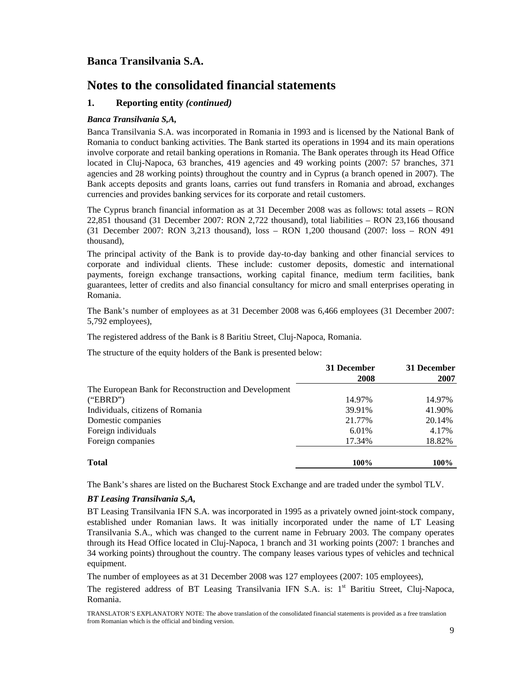# **Notes to the consolidated financial statements**

## **1. Reporting entity** *(continued)*

### *Banca Transilvania S,A,*

Banca Transilvania S.A. was incorporated in Romania in 1993 and is licensed by the National Bank of Romania to conduct banking activities. The Bank started its operations in 1994 and its main operations involve corporate and retail banking operations in Romania. The Bank operates through its Head Office located in Cluj-Napoca, 63 branches, 419 agencies and 49 working points (2007: 57 branches, 371 agencies and 28 working points) throughout the country and in Cyprus (a branch opened in 2007). The Bank accepts deposits and grants loans, carries out fund transfers in Romania and abroad, exchanges currencies and provides banking services for its corporate and retail customers.

The Cyprus branch financial information as at 31 December 2008 was as follows: total assets – RON 22,851 thousand (31 December 2007: RON 2,722 thousand), total liabilities – RON 23,166 thousand (31 December 2007: RON 3,213 thousand), loss – RON 1,200 thousand (2007: loss – RON 491 thousand),

The principal activity of the Bank is to provide day-to-day banking and other financial services to corporate and individual clients. These include: customer deposits, domestic and international payments, foreign exchange transactions, working capital finance, medium term facilities, bank guarantees, letter of credits and also financial consultancy for micro and small enterprises operating in Romania.

The Bank's number of employees as at 31 December 2008 was 6,466 employees (31 December 2007: 5,792 employees),

The registered address of the Bank is 8 Baritiu Street, Cluj-Napoca, Romania.

The structure of the equity holders of the Bank is presented below:

|                                                      | 31 December | 31 December |
|------------------------------------------------------|-------------|-------------|
|                                                      | 2008        | 2007        |
| The European Bank for Reconstruction and Development |             |             |
| ("EBRD")                                             | 14.97%      | 14.97%      |
| Individuals, citizens of Romania                     | 39.91%      | 41.90%      |
| Domestic companies                                   | 21.77%      | 20.14%      |
| Foreign individuals                                  | 6.01%       | 4.17%       |
| Foreign companies                                    | 17.34%      | 18.82%      |
| <b>Total</b>                                         | 100%        | 100%        |

The Bank's shares are listed on the Bucharest Stock Exchange and are traded under the symbol TLV.

#### *BT Leasing Transilvania S,A,*

BT Leasing Transilvania IFN S.A. was incorporated in 1995 as a privately owned joint-stock company, established under Romanian laws. It was initially incorporated under the name of LT Leasing Transilvania S.A., which was changed to the current name in February 2003. The company operates through its Head Office located in Cluj-Napoca, 1 branch and 31 working points (2007: 1 branches and 34 working points) throughout the country. The company leases various types of vehicles and technical equipment.

The number of employees as at 31 December 2008 was 127 employees (2007: 105 employees),

The registered address of BT Leasing Transilvania IFN S.A. is: 1<sup>st</sup> Baritiu Street, Cluj-Napoca, Romania.

TRANSLATOR'S EXPLANATORY NOTE: The above translation of the consolidated financial statements is provided as a free translation from Romanian which is the official and binding version.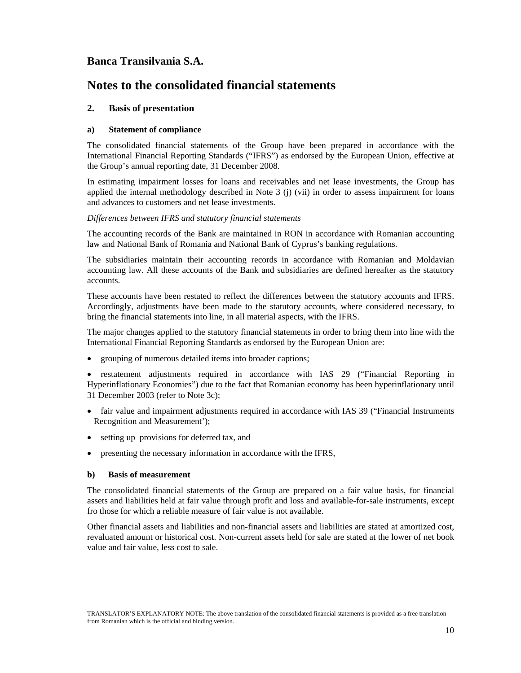# **Notes to the consolidated financial statements**

### **2. Basis of presentation**

#### **a) Statement of compliance**

The consolidated financial statements of the Group have been prepared in accordance with the International Financial Reporting Standards ("IFRS") as endorsed by the European Union, effective at the Group's annual reporting date, 31 December 2008.

In estimating impairment losses for loans and receivables and net lease investments, the Group has applied the internal methodology described in Note 3 (j) (vii) in order to assess impairment for loans and advances to customers and net lease investments.

#### *Differences between IFRS and statutory financial statements*

The accounting records of the Bank are maintained in RON in accordance with Romanian accounting law and National Bank of Romania and National Bank of Cyprus's banking regulations.

The subsidiaries maintain their accounting records in accordance with Romanian and Moldavian accounting law. All these accounts of the Bank and subsidiaries are defined hereafter as the statutory accounts.

These accounts have been restated to reflect the differences between the statutory accounts and IFRS. Accordingly, adjustments have been made to the statutory accounts, where considered necessary, to bring the financial statements into line, in all material aspects, with the IFRS.

The major changes applied to the statutory financial statements in order to bring them into line with the International Financial Reporting Standards as endorsed by the European Union are:

• grouping of numerous detailed items into broader captions;

• restatement adjustments required in accordance with IAS 29 ("Financial Reporting in Hyperinflationary Economies") due to the fact that Romanian economy has been hyperinflationary until 31 December 2003 (refer to Note 3c);

- fair value and impairment adjustments required in accordance with IAS 39 ("Financial Instruments") – Recognition and Measurement');
- setting up provisions for deferred tax, and
- presenting the necessary information in accordance with the IFRS,

#### **b) Basis of measurement**

The consolidated financial statements of the Group are prepared on a fair value basis, for financial assets and liabilities held at fair value through profit and loss and available-for-sale instruments, except fro those for which a reliable measure of fair value is not available.

Other financial assets and liabilities and non-financial assets and liabilities are stated at amortized cost, revaluated amount or historical cost. Non-current assets held for sale are stated at the lower of net book value and fair value, less cost to sale.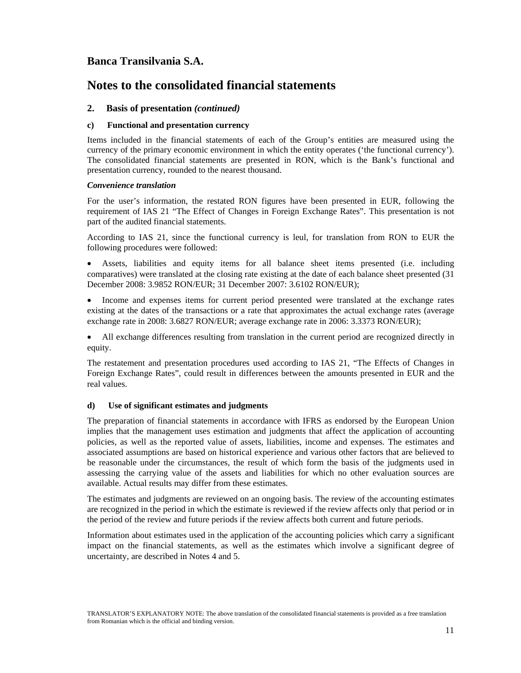# **Notes to the consolidated financial statements**

## **2. Basis of presentation** *(continued)*

#### **c) Functional and presentation currency**

Items included in the financial statements of each of the Group's entities are measured using the currency of the primary economic environment in which the entity operates ('the functional currency'). The consolidated financial statements are presented in RON, which is the Bank's functional and presentation currency, rounded to the nearest thousand.

#### *Convenience translation*

For the user's information, the restated RON figures have been presented in EUR, following the requirement of IAS 21 "The Effect of Changes in Foreign Exchange Rates". This presentation is not part of the audited financial statements.

According to IAS 21, since the functional currency is leul, for translation from RON to EUR the following procedures were followed:

• Assets, liabilities and equity items for all balance sheet items presented (i.e. including comparatives) were translated at the closing rate existing at the date of each balance sheet presented (31 December 2008: 3.9852 RON/EUR; 31 December 2007: 3.6102 RON/EUR);

• Income and expenses items for current period presented were translated at the exchange rates existing at the dates of the transactions or a rate that approximates the actual exchange rates (average exchange rate in 2008: 3.6827 RON/EUR; average exchange rate in 2006: 3.3373 RON/EUR);

• All exchange differences resulting from translation in the current period are recognized directly in equity.

The restatement and presentation procedures used according to IAS 21, "The Effects of Changes in Foreign Exchange Rates", could result in differences between the amounts presented in EUR and the real values.

#### **d) Use of significant estimates and judgments**

The preparation of financial statements in accordance with IFRS as endorsed by the European Union implies that the management uses estimation and judgments that affect the application of accounting policies, as well as the reported value of assets, liabilities, income and expenses. The estimates and associated assumptions are based on historical experience and various other factors that are believed to be reasonable under the circumstances, the result of which form the basis of the judgments used in assessing the carrying value of the assets and liabilities for which no other evaluation sources are available. Actual results may differ from these estimates.

The estimates and judgments are reviewed on an ongoing basis. The review of the accounting estimates are recognized in the period in which the estimate is reviewed if the review affects only that period or in the period of the review and future periods if the review affects both current and future periods.

Information about estimates used in the application of the accounting policies which carry a significant impact on the financial statements, as well as the estimates which involve a significant degree of uncertainty, are described in Notes 4 and 5.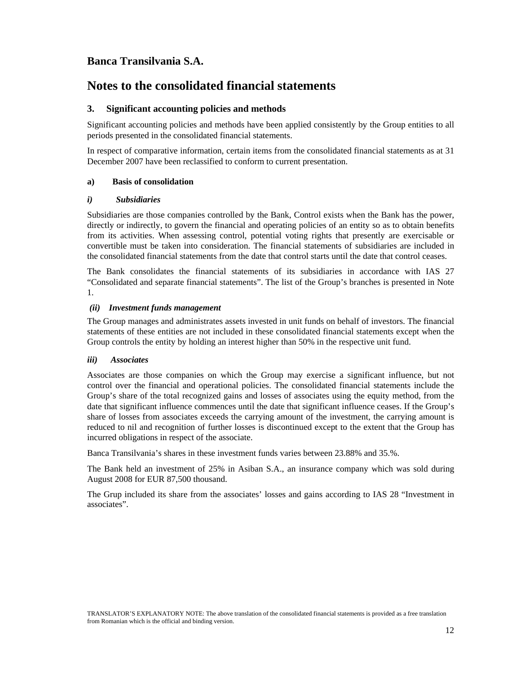# **Notes to the consolidated financial statements**

## **3. Significant accounting policies and methods**

Significant accounting policies and methods have been applied consistently by the Group entities to all periods presented in the consolidated financial statements.

In respect of comparative information, certain items from the consolidated financial statements as at 31 December 2007 have been reclassified to conform to current presentation.

### **a) Basis of consolidation**

### *i) Subsidiaries*

Subsidiaries are those companies controlled by the Bank, Control exists when the Bank has the power, directly or indirectly, to govern the financial and operating policies of an entity so as to obtain benefits from its activities. When assessing control, potential voting rights that presently are exercisable or convertible must be taken into consideration. The financial statements of subsidiaries are included in the consolidated financial statements from the date that control starts until the date that control ceases.

The Bank consolidates the financial statements of its subsidiaries in accordance with IAS 27 "Consolidated and separate financial statements". The list of the Group's branches is presented in Note 1.

### *(ii) Investment funds management*

The Group manages and administrates assets invested in unit funds on behalf of investors. The financial statements of these entities are not included in these consolidated financial statements except when the Group controls the entity by holding an interest higher than 50% in the respective unit fund.

#### *iii) Associates*

Associates are those companies on which the Group may exercise a significant influence, but not control over the financial and operational policies. The consolidated financial statements include the Group's share of the total recognized gains and losses of associates using the equity method, from the date that significant influence commences until the date that significant influence ceases. If the Group's share of losses from associates exceeds the carrying amount of the investment, the carrying amount is reduced to nil and recognition of further losses is discontinued except to the extent that the Group has incurred obligations in respect of the associate.

Banca Transilvania's shares in these investment funds varies between 23.88% and 35.%.

The Bank held an investment of 25% in Asiban S.A., an insurance company which was sold during August 2008 for EUR 87,500 thousand.

The Grup included its share from the associates' losses and gains according to IAS 28 "Investment in associates".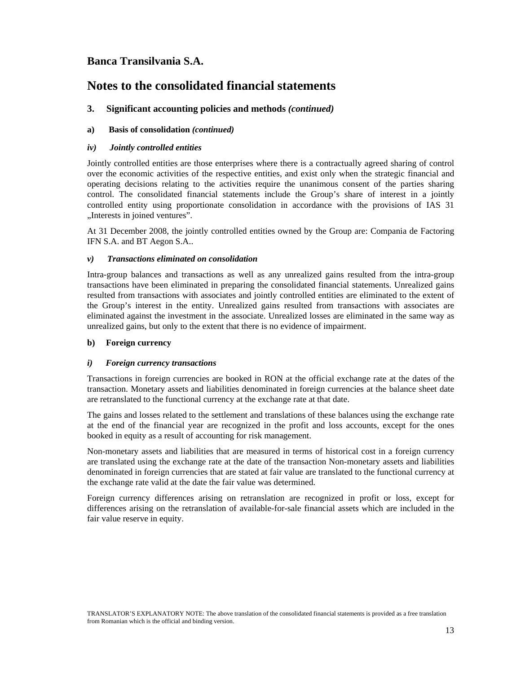# **Notes to the consolidated financial statements**

# **3. Significant accounting policies and methods** *(continued)*

### **a) Basis of consolidation** *(continued)*

### *iv) Jointly controlled entities*

Jointly controlled entities are those enterprises where there is a contractually agreed sharing of control over the economic activities of the respective entities, and exist only when the strategic financial and operating decisions relating to the activities require the unanimous consent of the parties sharing control. The consolidated financial statements include the Group's share of interest in a jointly controlled entity using proportionate consolidation in accordance with the provisions of IAS 31 "Interests in joined ventures".

At 31 December 2008, the jointly controlled entities owned by the Group are: Compania de Factoring IFN S.A. and BT Aegon S.A..

#### *v) Transactions eliminated on consolidation*

Intra-group balances and transactions as well as any unrealized gains resulted from the intra-group transactions have been eliminated in preparing the consolidated financial statements. Unrealized gains resulted from transactions with associates and jointly controlled entities are eliminated to the extent of the Group's interest in the entity. Unrealized gains resulted from transactions with associates are eliminated against the investment in the associate. Unrealized losses are eliminated in the same way as unrealized gains, but only to the extent that there is no evidence of impairment.

#### **b) Foreign currency**

#### *i) Foreign currency transactions*

Transactions in foreign currencies are booked in RON at the official exchange rate at the dates of the transaction. Monetary assets and liabilities denominated in foreign currencies at the balance sheet date are retranslated to the functional currency at the exchange rate at that date.

The gains and losses related to the settlement and translations of these balances using the exchange rate at the end of the financial year are recognized in the profit and loss accounts, except for the ones booked in equity as a result of accounting for risk management.

Non-monetary assets and liabilities that are measured in terms of historical cost in a foreign currency are translated using the exchange rate at the date of the transaction Non-monetary assets and liabilities denominated in foreign currencies that are stated at fair value are translated to the functional currency at the exchange rate valid at the date the fair value was determined.

Foreign currency differences arising on retranslation are recognized in profit or loss, except for differences arising on the retranslation of available-for-sale financial assets which are included in the fair value reserve in equity.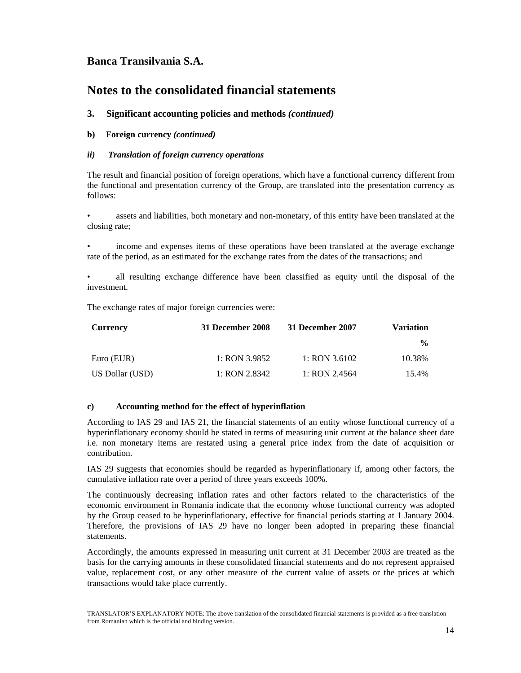# **Notes to the consolidated financial statements**

# **3. Significant accounting policies and methods** *(continued)*

### **b) Foreign currency** *(continued)*

#### *ii) Translation of foreign currency operations*

The result and financial position of foreign operations, which have a functional currency different from the functional and presentation currency of the Group, are translated into the presentation currency as follows:

• assets and liabilities, both monetary and non-monetary, of this entity have been translated at the closing rate;

income and expenses items of these operations have been translated at the average exchange rate of the period, as an estimated for the exchange rates from the dates of the transactions; and

• all resulting exchange difference have been classified as equity until the disposal of the investment.

The exchange rates of major foreign currencies were:

| Currency        | 31 December 2008 | 31 December 2007 | <b>Variation</b> |
|-----------------|------------------|------------------|------------------|
|                 |                  |                  | $\frac{0}{0}$    |
| Euro (EUR)      | 1: RON 3.9852    | 1: RON $3.6102$  | 10.38%           |
| US Dollar (USD) | 1: RON 2.8342    | 1: RON 2.4564    | 15.4%            |

#### **c) Accounting method for the effect of hyperinflation**

According to IAS 29 and IAS 21, the financial statements of an entity whose functional currency of a hyperinflationary economy should be stated in terms of measuring unit current at the balance sheet date i.e. non monetary items are restated using a general price index from the date of acquisition or contribution.

IAS 29 suggests that economies should be regarded as hyperinflationary if, among other factors, the cumulative inflation rate over a period of three years exceeds 100%.

The continuously decreasing inflation rates and other factors related to the characteristics of the economic environment in Romania indicate that the economy whose functional currency was adopted by the Group ceased to be hyperinflationary, effective for financial periods starting at 1 January 2004. Therefore, the provisions of IAS 29 have no longer been adopted in preparing these financial statements.

Accordingly, the amounts expressed in measuring unit current at 31 December 2003 are treated as the basis for the carrying amounts in these consolidated financial statements and do not represent appraised value, replacement cost, or any other measure of the current value of assets or the prices at which transactions would take place currently.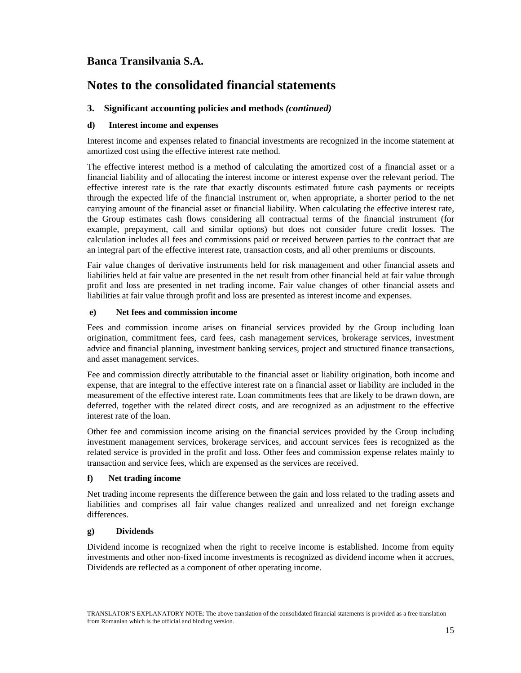# **Notes to the consolidated financial statements**

# **3. Significant accounting policies and methods** *(continued)*

### **d) Interest income and expenses**

Interest income and expenses related to financial investments are recognized in the income statement at amortized cost using the effective interest rate method.

The effective interest method is a method of calculating the amortized cost of a financial asset or a financial liability and of allocating the interest income or interest expense over the relevant period. The effective interest rate is the rate that exactly discounts estimated future cash payments or receipts through the expected life of the financial instrument or, when appropriate, a shorter period to the net carrying amount of the financial asset or financial liability. When calculating the effective interest rate, the Group estimates cash flows considering all contractual terms of the financial instrument (for example, prepayment, call and similar options) but does not consider future credit losses. The calculation includes all fees and commissions paid or received between parties to the contract that are an integral part of the effective interest rate, transaction costs, and all other premiums or discounts.

Fair value changes of derivative instruments held for risk management and other financial assets and liabilities held at fair value are presented in the net result from other financial held at fair value through profit and loss are presented in net trading income. Fair value changes of other financial assets and liabilities at fair value through profit and loss are presented as interest income and expenses.

#### **e) Net fees and commission income**

Fees and commission income arises on financial services provided by the Group including loan origination, commitment fees, card fees, cash management services, brokerage services, investment advice and financial planning, investment banking services, project and structured finance transactions, and asset management services.

Fee and commission directly attributable to the financial asset or liability origination, both income and expense, that are integral to the effective interest rate on a financial asset or liability are included in the measurement of the effective interest rate. Loan commitments fees that are likely to be drawn down, are deferred, together with the related direct costs, and are recognized as an adjustment to the effective interest rate of the loan.

Other fee and commission income arising on the financial services provided by the Group including investment management services, brokerage services, and account services fees is recognized as the related service is provided in the profit and loss. Other fees and commission expense relates mainly to transaction and service fees, which are expensed as the services are received.

#### **f) Net trading income**

Net trading income represents the difference between the gain and loss related to the trading assets and liabilities and comprises all fair value changes realized and unrealized and net foreign exchange differences.

## **g) Dividends**

Dividend income is recognized when the right to receive income is established. Income from equity investments and other non-fixed income investments is recognized as dividend income when it accrues, Dividends are reflected as a component of other operating income.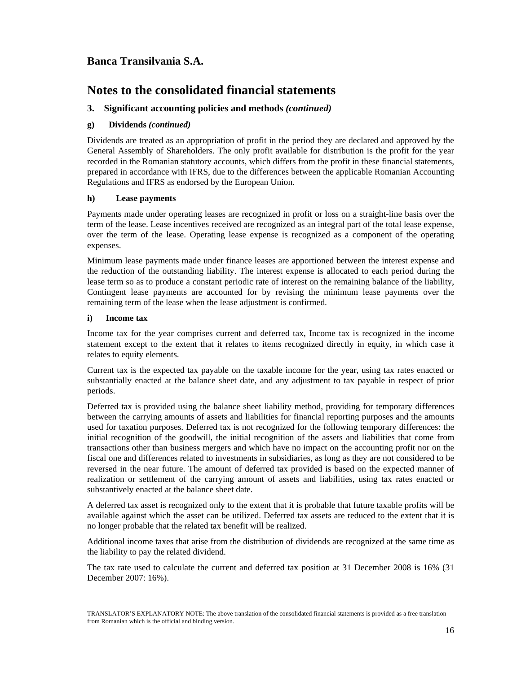# **Notes to the consolidated financial statements**

# **3. Significant accounting policies and methods** *(continued)*

### **g) Dividends** *(continued)*

Dividends are treated as an appropriation of profit in the period they are declared and approved by the General Assembly of Shareholders. The only profit available for distribution is the profit for the year recorded in the Romanian statutory accounts, which differs from the profit in these financial statements, prepared in accordance with IFRS, due to the differences between the applicable Romanian Accounting Regulations and IFRS as endorsed by the European Union.

### **h) Lease payments**

Payments made under operating leases are recognized in profit or loss on a straight-line basis over the term of the lease. Lease incentives received are recognized as an integral part of the total lease expense, over the term of the lease. Operating lease expense is recognized as a component of the operating expenses.

Minimum lease payments made under finance leases are apportioned between the interest expense and the reduction of the outstanding liability. The interest expense is allocated to each period during the lease term so as to produce a constant periodic rate of interest on the remaining balance of the liability, Contingent lease payments are accounted for by revising the minimum lease payments over the remaining term of the lease when the lease adjustment is confirmed.

### **i) Income tax**

Income tax for the year comprises current and deferred tax, Income tax is recognized in the income statement except to the extent that it relates to items recognized directly in equity, in which case it relates to equity elements.

Current tax is the expected tax payable on the taxable income for the year, using tax rates enacted or substantially enacted at the balance sheet date, and any adjustment to tax payable in respect of prior periods.

Deferred tax is provided using the balance sheet liability method, providing for temporary differences between the carrying amounts of assets and liabilities for financial reporting purposes and the amounts used for taxation purposes. Deferred tax is not recognized for the following temporary differences: the initial recognition of the goodwill, the initial recognition of the assets and liabilities that come from transactions other than business mergers and which have no impact on the accounting profit nor on the fiscal one and differences related to investments in subsidiaries, as long as they are not considered to be reversed in the near future. The amount of deferred tax provided is based on the expected manner of realization or settlement of the carrying amount of assets and liabilities, using tax rates enacted or substantively enacted at the balance sheet date.

A deferred tax asset is recognized only to the extent that it is probable that future taxable profits will be available against which the asset can be utilized. Deferred tax assets are reduced to the extent that it is no longer probable that the related tax benefit will be realized.

Additional income taxes that arise from the distribution of dividends are recognized at the same time as the liability to pay the related dividend.

The tax rate used to calculate the current and deferred tax position at 31 December 2008 is 16% (31 December 2007: 16%).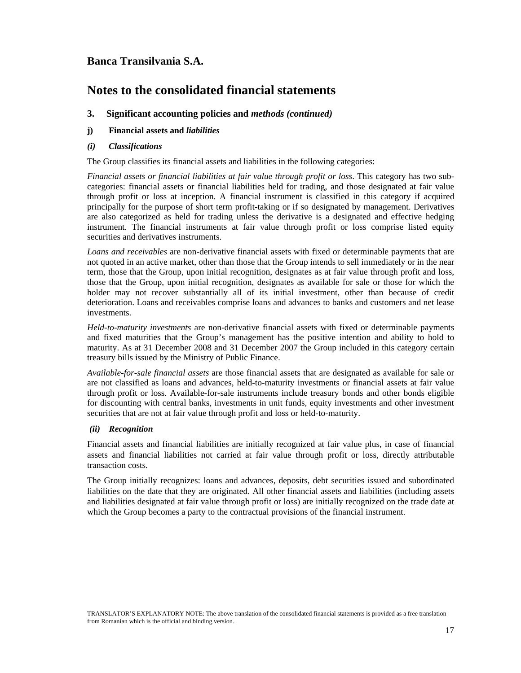# **Notes to the consolidated financial statements**

## **3. Significant accounting policies and** *methods (continued)*

## **j) Financial assets and** *liabilities*

### *(i) Classifications*

The Group classifies its financial assets and liabilities in the following categories:

*Financial assets or financial liabilities at fair value through profit or loss*. This category has two subcategories: financial assets or financial liabilities held for trading, and those designated at fair value through profit or loss at inception. A financial instrument is classified in this category if acquired principally for the purpose of short term profit-taking or if so designated by management. Derivatives are also categorized as held for trading unless the derivative is a designated and effective hedging instrument. The financial instruments at fair value through profit or loss comprise listed equity securities and derivatives instruments.

*Loans and receivables* are non-derivative financial assets with fixed or determinable payments that are not quoted in an active market, other than those that the Group intends to sell immediately or in the near term, those that the Group, upon initial recognition, designates as at fair value through profit and loss, those that the Group, upon initial recognition, designates as available for sale or those for which the holder may not recover substantially all of its initial investment, other than because of credit deterioration. Loans and receivables comprise loans and advances to banks and customers and net lease investments.

*Held-to-maturity investments* are non-derivative financial assets with fixed or determinable payments and fixed maturities that the Group's management has the positive intention and ability to hold to maturity. As at 31 December 2008 and 31 December 2007 the Group included in this category certain treasury bills issued by the Ministry of Public Finance.

*Available-for-sale financial assets* are those financial assets that are designated as available for sale or are not classified as loans and advances, held-to-maturity investments or financial assets at fair value through profit or loss. Available-for-sale instruments include treasury bonds and other bonds eligible for discounting with central banks, investments in unit funds, equity investments and other investment securities that are not at fair value through profit and loss or held-to-maturity.

#### *(ii) Recognition*

Financial assets and financial liabilities are initially recognized at fair value plus, in case of financial assets and financial liabilities not carried at fair value through profit or loss, directly attributable transaction costs.

The Group initially recognizes: loans and advances, deposits, debt securities issued and subordinated liabilities on the date that they are originated. All other financial assets and liabilities (including assets and liabilities designated at fair value through profit or loss) are initially recognized on the trade date at which the Group becomes a party to the contractual provisions of the financial instrument.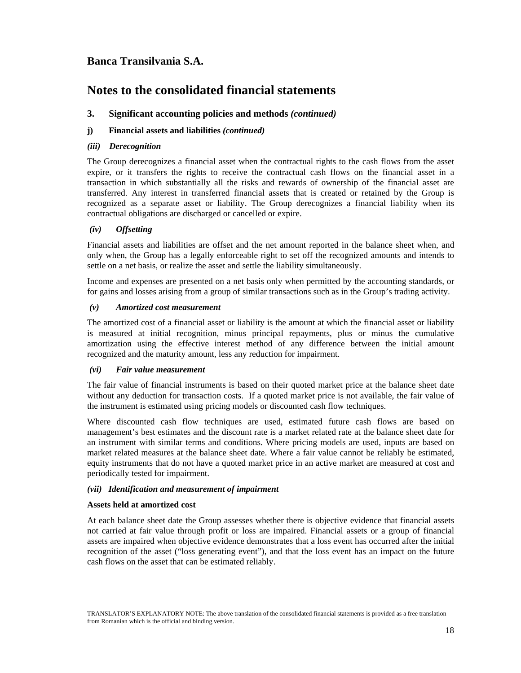# **Notes to the consolidated financial statements**

## **3. Significant accounting policies and methods** *(continued)*

## **j) Financial assets and liabilities** *(continued)*

#### *(iii) Derecognition*

The Group derecognizes a financial asset when the contractual rights to the cash flows from the asset expire, or it transfers the rights to receive the contractual cash flows on the financial asset in a transaction in which substantially all the risks and rewards of ownership of the financial asset are transferred. Any interest in transferred financial assets that is created or retained by the Group is recognized as a separate asset or liability. The Group derecognizes a financial liability when its contractual obligations are discharged or cancelled or expire.

## *(iv) Offsetting*

Financial assets and liabilities are offset and the net amount reported in the balance sheet when, and only when, the Group has a legally enforceable right to set off the recognized amounts and intends to settle on a net basis, or realize the asset and settle the liability simultaneously.

Income and expenses are presented on a net basis only when permitted by the accounting standards, or for gains and losses arising from a group of similar transactions such as in the Group's trading activity.

#### *(v) Amortized cost measurement*

The amortized cost of a financial asset or liability is the amount at which the financial asset or liability is measured at initial recognition, minus principal repayments, plus or minus the cumulative amortization using the effective interest method of any difference between the initial amount recognized and the maturity amount, less any reduction for impairment.

#### *(vi) Fair value measurement*

The fair value of financial instruments is based on their quoted market price at the balance sheet date without any deduction for transaction costs. If a quoted market price is not available, the fair value of the instrument is estimated using pricing models or discounted cash flow techniques.

Where discounted cash flow techniques are used, estimated future cash flows are based on management's best estimates and the discount rate is a market related rate at the balance sheet date for an instrument with similar terms and conditions. Where pricing models are used, inputs are based on market related measures at the balance sheet date. Where a fair value cannot be reliably be estimated, equity instruments that do not have a quoted market price in an active market are measured at cost and periodically tested for impairment.

#### *(vii) Identification and measurement of impairment*

#### **Assets held at amortized cost**

At each balance sheet date the Group assesses whether there is objective evidence that financial assets not carried at fair value through profit or loss are impaired. Financial assets or a group of financial assets are impaired when objective evidence demonstrates that a loss event has occurred after the initial recognition of the asset ("loss generating event"), and that the loss event has an impact on the future cash flows on the asset that can be estimated reliably.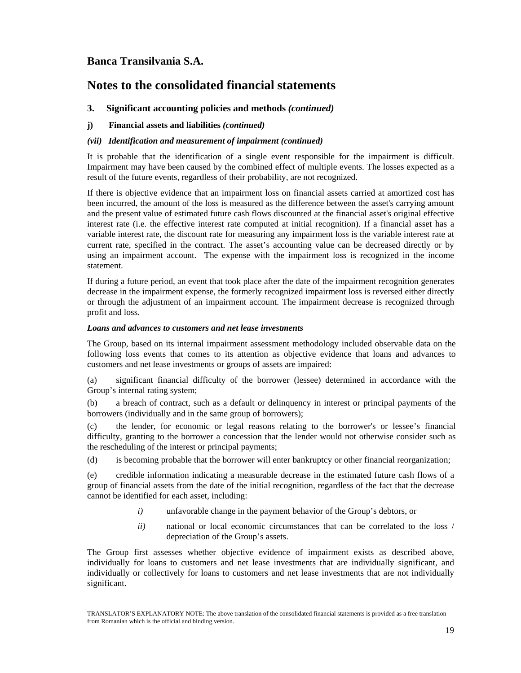# **Notes to the consolidated financial statements**

# **3. Significant accounting policies and methods** *(continued)*

### **j) Financial assets and liabilities** *(continued)*

### *(vii) Identification and measurement of impairment (continued)*

It is probable that the identification of a single event responsible for the impairment is difficult. Impairment may have been caused by the combined effect of multiple events. The losses expected as a result of the future events, regardless of their probability, are not recognized.

If there is objective evidence that an impairment loss on financial assets carried at amortized cost has been incurred, the amount of the loss is measured as the difference between the asset's carrying amount and the present value of estimated future cash flows discounted at the financial asset's original effective interest rate (i.e. the effective interest rate computed at initial recognition). If a financial asset has a variable interest rate, the discount rate for measuring any impairment loss is the variable interest rate at current rate, specified in the contract. The asset's accounting value can be decreased directly or by using an impairment account. The expense with the impairment loss is recognized in the income statement.

If during a future period, an event that took place after the date of the impairment recognition generates decrease in the impairment expense, the formerly recognized impairment loss is reversed either directly or through the adjustment of an impairment account. The impairment decrease is recognized through profit and loss.

#### *Loans and advances to customers and net lease investments*

The Group, based on its internal impairment assessment methodology included observable data on the following loss events that comes to its attention as objective evidence that loans and advances to customers and net lease investments or groups of assets are impaired:

(a) significant financial difficulty of the borrower (lessee) determined in accordance with the Group's internal rating system;

(b) a breach of contract, such as a default or delinquency in interest or principal payments of the borrowers (individually and in the same group of borrowers);

(c) the lender, for economic or legal reasons relating to the borrower's or lessee's financial difficulty, granting to the borrower a concession that the lender would not otherwise consider such as the rescheduling of the interest or principal payments;

(d) is becoming probable that the borrower will enter bankruptcy or other financial reorganization;

(e) credible information indicating a measurable decrease in the estimated future cash flows of a group of financial assets from the date of the initial recognition, regardless of the fact that the decrease cannot be identified for each asset, including:

- *i)* unfavorable change in the payment behavior of the Group's debtors, or
- *ii*) national or local economic circumstances that can be correlated to the loss / depreciation of the Group's assets.

The Group first assesses whether objective evidence of impairment exists as described above, individually for loans to customers and net lease investments that are individually significant, and individually or collectively for loans to customers and net lease investments that are not individually significant.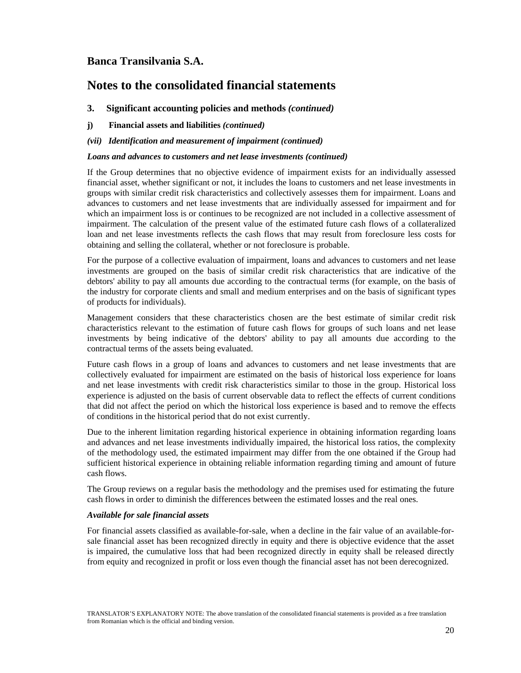# **Notes to the consolidated financial statements**

- **3. Significant accounting policies and methods** *(continued)*
- **j) Financial assets and liabilities** *(continued)*
- *(vii) Identification and measurement of impairment (continued)*

#### *Loans and advances to customers and net lease investments (continued)*

If the Group determines that no objective evidence of impairment exists for an individually assessed financial asset, whether significant or not, it includes the loans to customers and net lease investments in groups with similar credit risk characteristics and collectively assesses them for impairment. Loans and advances to customers and net lease investments that are individually assessed for impairment and for which an impairment loss is or continues to be recognized are not included in a collective assessment of impairment. The calculation of the present value of the estimated future cash flows of a collateralized loan and net lease investments reflects the cash flows that may result from foreclosure less costs for obtaining and selling the collateral, whether or not foreclosure is probable.

For the purpose of a collective evaluation of impairment, loans and advances to customers and net lease investments are grouped on the basis of similar credit risk characteristics that are indicative of the debtors' ability to pay all amounts due according to the contractual terms (for example, on the basis of the industry for corporate clients and small and medium enterprises and on the basis of significant types of products for individuals).

Management considers that these characteristics chosen are the best estimate of similar credit risk characteristics relevant to the estimation of future cash flows for groups of such loans and net lease investments by being indicative of the debtors' ability to pay all amounts due according to the contractual terms of the assets being evaluated.

Future cash flows in a group of loans and advances to customers and net lease investments that are collectively evaluated for impairment are estimated on the basis of historical loss experience for loans and net lease investments with credit risk characteristics similar to those in the group. Historical loss experience is adjusted on the basis of current observable data to reflect the effects of current conditions that did not affect the period on which the historical loss experience is based and to remove the effects of conditions in the historical period that do not exist currently.

Due to the inherent limitation regarding historical experience in obtaining information regarding loans and advances and net lease investments individually impaired, the historical loss ratios, the complexity of the methodology used, the estimated impairment may differ from the one obtained if the Group had sufficient historical experience in obtaining reliable information regarding timing and amount of future cash flows.

The Group reviews on a regular basis the methodology and the premises used for estimating the future cash flows in order to diminish the differences between the estimated losses and the real ones.

#### *Available for sale financial assets*

For financial assets classified as available-for-sale, when a decline in the fair value of an available-forsale financial asset has been recognized directly in equity and there is objective evidence that the asset is impaired, the cumulative loss that had been recognized directly in equity shall be released directly from equity and recognized in profit or loss even though the financial asset has not been derecognized.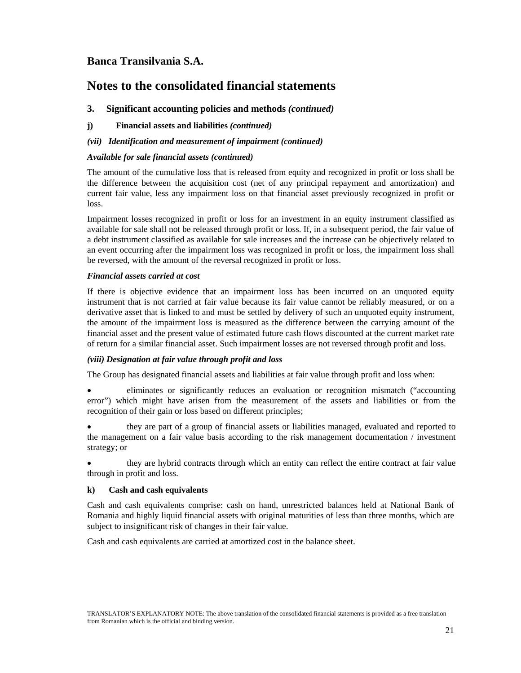# **Notes to the consolidated financial statements**

## **3.****Significant accounting policies and methods** *(continued)*

**j) Financial assets and liabilities** *(continued)* 

## *(vii) Identification and measurement of impairment (continued)*

## *Available for sale financial assets (continued)*

The amount of the cumulative loss that is released from equity and recognized in profit or loss shall be the difference between the acquisition cost (net of any principal repayment and amortization) and current fair value, less any impairment loss on that financial asset previously recognized in profit or loss.

Impairment losses recognized in profit or loss for an investment in an equity instrument classified as available for sale shall not be released through profit or loss. If, in a subsequent period, the fair value of a debt instrument classified as available for sale increases and the increase can be objectively related to an event occurring after the impairment loss was recognized in profit or loss, the impairment loss shall be reversed, with the amount of the reversal recognized in profit or loss.

## *Financial assets carried at cost*

If there is objective evidence that an impairment loss has been incurred on an unquoted equity instrument that is not carried at fair value because its fair value cannot be reliably measured, or on a derivative asset that is linked to and must be settled by delivery of such an unquoted equity instrument, the amount of the impairment loss is measured as the difference between the carrying amount of the financial asset and the present value of estimated future cash flows discounted at the current market rate of return for a similar financial asset. Such impairment losses are not reversed through profit and loss.

## *(viii) Designation at fair value through profit and loss*

The Group has designated financial assets and liabilities at fair value through profit and loss when:

• eliminates or significantly reduces an evaluation or recognition mismatch ("accounting error") which might have arisen from the measurement of the assets and liabilities or from the recognition of their gain or loss based on different principles;

• they are part of a group of financial assets or liabilities managed, evaluated and reported to the management on a fair value basis according to the risk management documentation / investment strategy; or

• they are hybrid contracts through which an entity can reflect the entire contract at fair value through in profit and loss.

#### **k) Cash and cash equivalents**

Cash and cash equivalents comprise: cash on hand, unrestricted balances held at National Bank of Romania and highly liquid financial assets with original maturities of less than three months, which are subject to insignificant risk of changes in their fair value.

Cash and cash equivalents are carried at amortized cost in the balance sheet.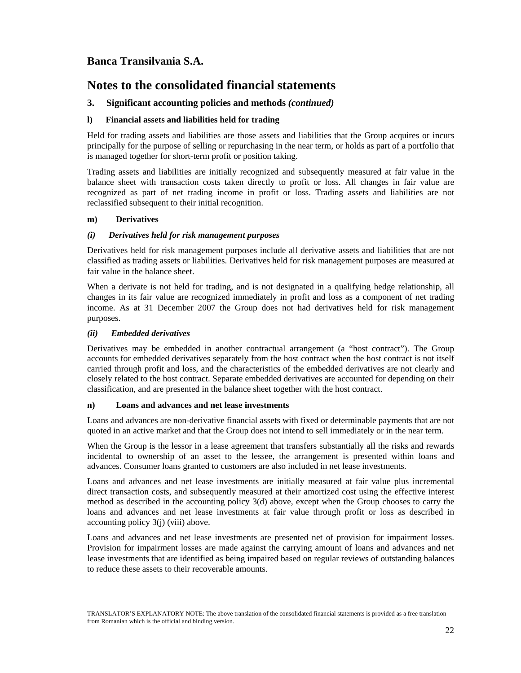# **Notes to the consolidated financial statements**

# **3. Significant accounting policies and methods** *(continued)*

### **l) Financial assets and liabilities held for trading**

Held for trading assets and liabilities are those assets and liabilities that the Group acquires or incurs principally for the purpose of selling or repurchasing in the near term, or holds as part of a portfolio that is managed together for short-term profit or position taking.

Trading assets and liabilities are initially recognized and subsequently measured at fair value in the balance sheet with transaction costs taken directly to profit or loss. All changes in fair value are recognized as part of net trading income in profit or loss. Trading assets and liabilities are not reclassified subsequent to their initial recognition.

### **m) Derivatives**

### *(i) Derivatives held for risk management purposes*

Derivatives held for risk management purposes include all derivative assets and liabilities that are not classified as trading assets or liabilities. Derivatives held for risk management purposes are measured at fair value in the balance sheet.

When a derivate is not held for trading, and is not designated in a qualifying hedge relationship, all changes in its fair value are recognized immediately in profit and loss as a component of net trading income. As at 31 December 2007 the Group does not had derivatives held for risk management purposes.

### *(ii) Embedded derivatives*

Derivatives may be embedded in another contractual arrangement (a "host contract"). The Group accounts for embedded derivatives separately from the host contract when the host contract is not itself carried through profit and loss, and the characteristics of the embedded derivatives are not clearly and closely related to the host contract. Separate embedded derivatives are accounted for depending on their classification, and are presented in the balance sheet together with the host contract.

#### **n) Loans and advances and net lease investments**

Loans and advances are non-derivative financial assets with fixed or determinable payments that are not quoted in an active market and that the Group does not intend to sell immediately or in the near term.

When the Group is the lessor in a lease agreement that transfers substantially all the risks and rewards incidental to ownership of an asset to the lessee, the arrangement is presented within loans and advances. Consumer loans granted to customers are also included in net lease investments.

Loans and advances and net lease investments are initially measured at fair value plus incremental direct transaction costs, and subsequently measured at their amortized cost using the effective interest method as described in the accounting policy 3(d) above, except when the Group chooses to carry the loans and advances and net lease investments at fair value through profit or loss as described in accounting policy 3(j) (viii) above.

Loans and advances and net lease investments are presented net of provision for impairment losses. Provision for impairment losses are made against the carrying amount of loans and advances and net lease investments that are identified as being impaired based on regular reviews of outstanding balances to reduce these assets to their recoverable amounts.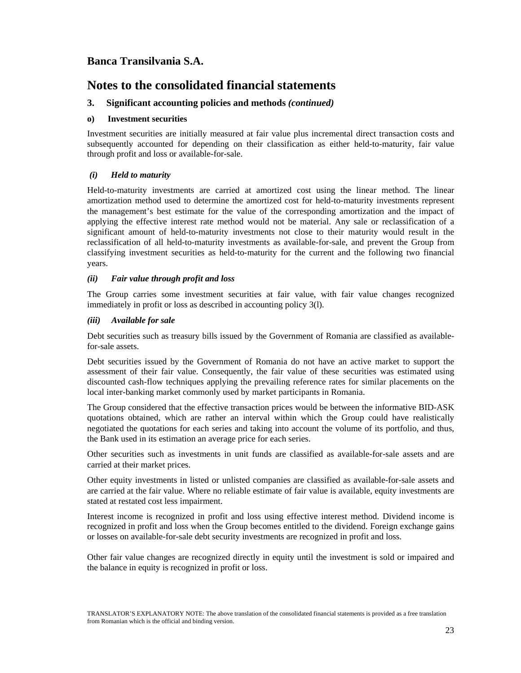# **Notes to the consolidated financial statements**

# **3. Significant accounting policies and methods** *(continued)*

### **o) Investment securities**

Investment securities are initially measured at fair value plus incremental direct transaction costs and subsequently accounted for depending on their classification as either held-to-maturity, fair value through profit and loss or available-for-sale.

## *(i) Held to maturity*

Held-to-maturity investments are carried at amortized cost using the linear method. The linear amortization method used to determine the amortized cost for held-to-maturity investments represent the management's best estimate for the value of the corresponding amortization and the impact of applying the effective interest rate method would not be material. Any sale or reclassification of a significant amount of held-to-maturity investments not close to their maturity would result in the reclassification of all held-to-maturity investments as available-for-sale, and prevent the Group from classifying investment securities as held-to-maturity for the current and the following two financial years.

## *(ii) Fair value through profit and loss*

The Group carries some investment securities at fair value, with fair value changes recognized immediately in profit or loss as described in accounting policy 3(l).

### *(iii) Available for sale*

Debt securities such as treasury bills issued by the Government of Romania are classified as availablefor-sale assets.

Debt securities issued by the Government of Romania do not have an active market to support the assessment of their fair value. Consequently, the fair value of these securities was estimated using discounted cash-flow techniques applying the prevailing reference rates for similar placements on the local inter-banking market commonly used by market participants in Romania.

The Group considered that the effective transaction prices would be between the informative BID-ASK quotations obtained, which are rather an interval within which the Group could have realistically negotiated the quotations for each series and taking into account the volume of its portfolio, and thus, the Bank used in its estimation an average price for each series.

Other securities such as investments in unit funds are classified as available-for-sale assets and are carried at their market prices.

Other equity investments in listed or unlisted companies are classified as available-for-sale assets and are carried at the fair value. Where no reliable estimate of fair value is available, equity investments are stated at restated cost less impairment.

Interest income is recognized in profit and loss using effective interest method. Dividend income is recognized in profit and loss when the Group becomes entitled to the dividend. Foreign exchange gains or losses on available-for-sale debt security investments are recognized in profit and loss.

Other fair value changes are recognized directly in equity until the investment is sold or impaired and the balance in equity is recognized in profit or loss.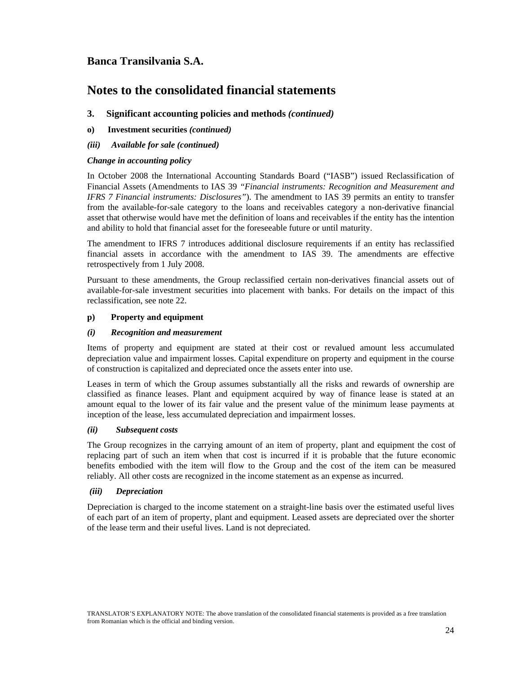# **Notes to the consolidated financial statements**

## **3. Significant accounting policies and methods** *(continued)*

- **o) Investment securities** *(continued)*
- *(iii) Available for sale (continued)*

#### *Change in accounting policy*

In October 2008 the International Accounting Standards Board ("IASB") issued Reclassification of Financial Assets (Amendments to IAS 39 *"Financial instruments: Recognition and Measurement and IFRS 7 Financial instruments: Disclosures"*). The amendment to IAS 39 permits an entity to transfer from the available-for-sale category to the loans and receivables category a non-derivative financial asset that otherwise would have met the definition of loans and receivables if the entity has the intention and ability to hold that financial asset for the foreseeable future or until maturity.

The amendment to IFRS 7 introduces additional disclosure requirements if an entity has reclassified financial assets in accordance with the amendment to IAS 39. The amendments are effective retrospectively from 1 July 2008.

Pursuant to these amendments, the Group reclassified certain non-derivatives financial assets out of available-for-sale investment securities into placement with banks. For details on the impact of this reclassification, see note 22.

#### **p) Property and equipment**

#### *(i) Recognition and measurement*

Items of property and equipment are stated at their cost or revalued amount less accumulated depreciation value and impairment losses. Capital expenditure on property and equipment in the course of construction is capitalized and depreciated once the assets enter into use.

Leases in term of which the Group assumes substantially all the risks and rewards of ownership are classified as finance leases. Plant and equipment acquired by way of finance lease is stated at an amount equal to the lower of its fair value and the present value of the minimum lease payments at inception of the lease, less accumulated depreciation and impairment losses.

#### *(ii) Subsequent costs*

The Group recognizes in the carrying amount of an item of property, plant and equipment the cost of replacing part of such an item when that cost is incurred if it is probable that the future economic benefits embodied with the item will flow to the Group and the cost of the item can be measured reliably. All other costs are recognized in the income statement as an expense as incurred.

#### *(iii) Depreciation*

Depreciation is charged to the income statement on a straight-line basis over the estimated useful lives of each part of an item of property, plant and equipment. Leased assets are depreciated over the shorter of the lease term and their useful lives. Land is not depreciated.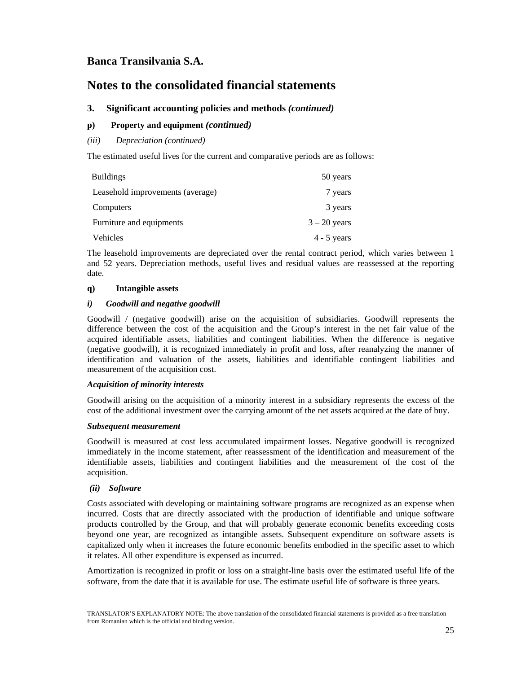# **Notes to the consolidated financial statements**

# **3. Significant accounting policies and methods** *(continued)*

## **p) Property and equipment** *(continued)*

### *(iii) Depreciation (continued)*

The estimated useful lives for the current and comparative periods are as follows:

| <b>Buildings</b>                 | 50 years       |
|----------------------------------|----------------|
| Leasehold improvements (average) | 7 years        |
| Computers                        | 3 years        |
| Furniture and equipments         | $3 - 20$ years |
| <b>Vehicles</b>                  | $4 - 5$ years  |

The leasehold improvements are depreciated over the rental contract period, which varies between 1 and 52 years. Depreciation methods, useful lives and residual values are reassessed at the reporting date.

### **q) Intangible assets**

### *i) Goodwill and negative goodwill*

Goodwill / (negative goodwill) arise on the acquisition of subsidiaries. Goodwill represents the difference between the cost of the acquisition and the Group's interest in the net fair value of the acquired identifiable assets, liabilities and contingent liabilities. When the difference is negative (negative goodwill), it is recognized immediately in profit and loss, after reanalyzing the manner of identification and valuation of the assets, liabilities and identifiable contingent liabilities and measurement of the acquisition cost.

#### *Acquisition of minority interests*

Goodwill arising on the acquisition of a minority interest in a subsidiary represents the excess of the cost of the additional investment over the carrying amount of the net assets acquired at the date of buy.

#### *Subsequent measurement*

Goodwill is measured at cost less accumulated impairment losses. Negative goodwill is recognized immediately in the income statement, after reassessment of the identification and measurement of the identifiable assets, liabilities and contingent liabilities and the measurement of the cost of the acquisition.

#### *(ii) Software*

Costs associated with developing or maintaining software programs are recognized as an expense when incurred. Costs that are directly associated with the production of identifiable and unique software products controlled by the Group, and that will probably generate economic benefits exceeding costs beyond one year, are recognized as intangible assets. Subsequent expenditure on software assets is capitalized only when it increases the future economic benefits embodied in the specific asset to which it relates. All other expenditure is expensed as incurred.

Amortization is recognized in profit or loss on a straight-line basis over the estimated useful life of the software, from the date that it is available for use. The estimate useful life of software is three years.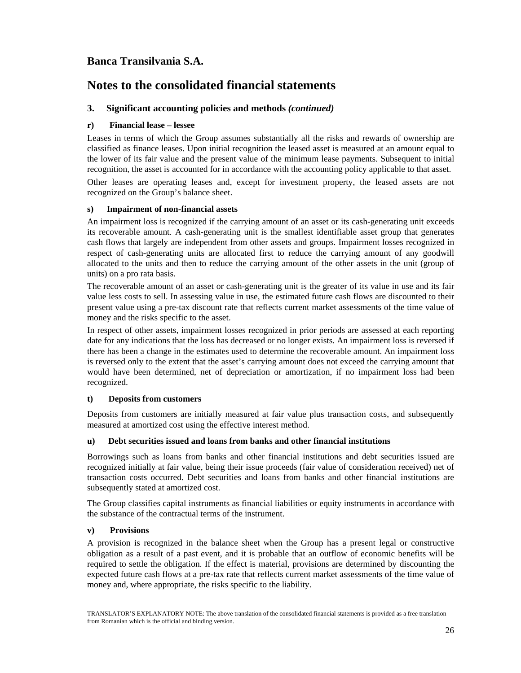# **Notes to the consolidated financial statements**

# **3. Significant accounting policies and methods** *(continued)*

## **r) Financial lease – lessee**

Leases in terms of which the Group assumes substantially all the risks and rewards of ownership are classified as finance leases. Upon initial recognition the leased asset is measured at an amount equal to the lower of its fair value and the present value of the minimum lease payments. Subsequent to initial recognition, the asset is accounted for in accordance with the accounting policy applicable to that asset.

Other leases are operating leases and, except for investment property, the leased assets are not recognized on the Group's balance sheet.

## **s) Impairment of non-financial assets**

An impairment loss is recognized if the carrying amount of an asset or its cash-generating unit exceeds its recoverable amount. A cash-generating unit is the smallest identifiable asset group that generates cash flows that largely are independent from other assets and groups. Impairment losses recognized in respect of cash-generating units are allocated first to reduce the carrying amount of any goodwill allocated to the units and then to reduce the carrying amount of the other assets in the unit (group of units) on a pro rata basis.

The recoverable amount of an asset or cash-generating unit is the greater of its value in use and its fair value less costs to sell. In assessing value in use, the estimated future cash flows are discounted to their present value using a pre-tax discount rate that reflects current market assessments of the time value of money and the risks specific to the asset.

In respect of other assets, impairment losses recognized in prior periods are assessed at each reporting date for any indications that the loss has decreased or no longer exists. An impairment loss is reversed if there has been a change in the estimates used to determine the recoverable amount. An impairment loss is reversed only to the extent that the asset's carrying amount does not exceed the carrying amount that would have been determined, net of depreciation or amortization, if no impairment loss had been recognized.

## **t) Deposits from customers**

Deposits from customers are initially measured at fair value plus transaction costs, and subsequently measured at amortized cost using the effective interest method.

## **u) Debt securities issued and loans from banks and other financial institutions**

Borrowings such as loans from banks and other financial institutions and debt securities issued are recognized initially at fair value, being their issue proceeds (fair value of consideration received) net of transaction costs occurred. Debt securities and loans from banks and other financial institutions are subsequently stated at amortized cost.

The Group classifies capital instruments as financial liabilities or equity instruments in accordance with the substance of the contractual terms of the instrument.

## **v) Provisions**

A provision is recognized in the balance sheet when the Group has a present legal or constructive obligation as a result of a past event, and it is probable that an outflow of economic benefits will be required to settle the obligation. If the effect is material, provisions are determined by discounting the expected future cash flows at a pre-tax rate that reflects current market assessments of the time value of money and, where appropriate, the risks specific to the liability.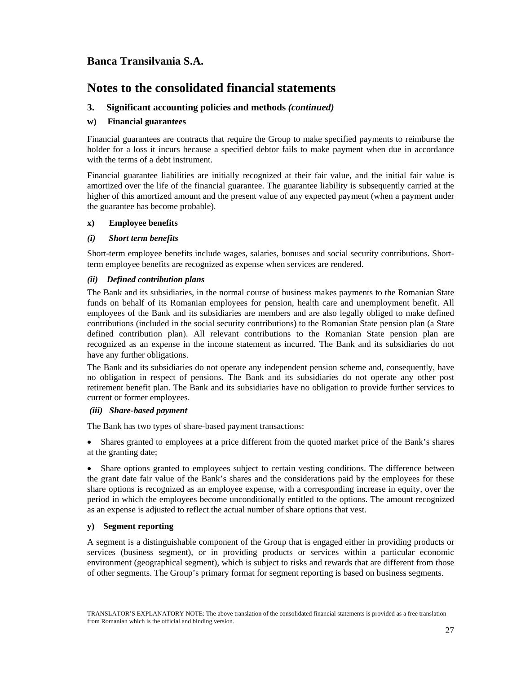# **Notes to the consolidated financial statements**

## **3. Significant accounting policies and methods** *(continued)*

### **w) Financial guarantees**

Financial guarantees are contracts that require the Group to make specified payments to reimburse the holder for a loss it incurs because a specified debtor fails to make payment when due in accordance with the terms of a debt instrument.

Financial guarantee liabilities are initially recognized at their fair value, and the initial fair value is amortized over the life of the financial guarantee. The guarantee liability is subsequently carried at the higher of this amortized amount and the present value of any expected payment (when a payment under the guarantee has become probable).

#### **x) Employee benefits**

### *(i) Short term benefits*

Short-term employee benefits include wages, salaries, bonuses and social security contributions. Shortterm employee benefits are recognized as expense when services are rendered.

### *(ii) Defined contribution plans*

The Bank and its subsidiaries, in the normal course of business makes payments to the Romanian State funds on behalf of its Romanian employees for pension, health care and unemployment benefit. All employees of the Bank and its subsidiaries are members and are also legally obliged to make defined contributions (included in the social security contributions) to the Romanian State pension plan (a State defined contribution plan). All relevant contributions to the Romanian State pension plan are recognized as an expense in the income statement as incurred. The Bank and its subsidiaries do not have any further obligations.

The Bank and its subsidiaries do not operate any independent pension scheme and, consequently, have no obligation in respect of pensions. The Bank and its subsidiaries do not operate any other post retirement benefit plan. The Bank and its subsidiaries have no obligation to provide further services to current or former employees.

#### *(iii) Share-based payment*

The Bank has two types of share-based payment transactions:

• Shares granted to employees at a price different from the quoted market price of the Bank's shares at the granting date;

Share options granted to employees subject to certain vesting conditions. The difference between the grant date fair value of the Bank's shares and the considerations paid by the employees for these share options is recognized as an employee expense, with a corresponding increase in equity, over the period in which the employees become unconditionally entitled to the options. The amount recognized as an expense is adjusted to reflect the actual number of share options that vest.

#### **y) Segment reporting**

A segment is a distinguishable component of the Group that is engaged either in providing products or services (business segment), or in providing products or services within a particular economic environment (geographical segment), which is subject to risks and rewards that are different from those of other segments. The Group's primary format for segment reporting is based on business segments.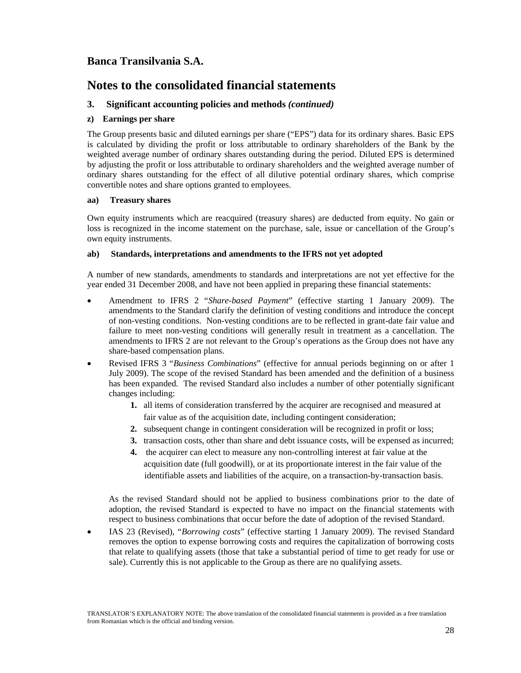# **Notes to the consolidated financial statements**

## **3. Significant accounting policies and methods** *(continued)*

### **z) Earnings per share**

The Group presents basic and diluted earnings per share ("EPS") data for its ordinary shares. Basic EPS is calculated by dividing the profit or loss attributable to ordinary shareholders of the Bank by the weighted average number of ordinary shares outstanding during the period. Diluted EPS is determined by adjusting the profit or loss attributable to ordinary shareholders and the weighted average number of ordinary shares outstanding for the effect of all dilutive potential ordinary shares, which comprise convertible notes and share options granted to employees.

### **aa) Treasury shares**

Own equity instruments which are reacquired (treasury shares) are deducted from equity. No gain or loss is recognized in the income statement on the purchase, sale, issue or cancellation of the Group's own equity instruments.

#### **ab) Standards, interpretations and amendments to the IFRS not yet adopted**

A number of new standards, amendments to standards and interpretations are not yet effective for the year ended 31 December 2008, and have not been applied in preparing these financial statements:

- Amendment to IFRS 2 "*Share-based Payment*" (effective starting 1 January 2009). The amendments to the Standard clarify the definition of vesting conditions and introduce the concept of non-vesting conditions. Non-vesting conditions are to be reflected in grant-date fair value and failure to meet non-vesting conditions will generally result in treatment as a cancellation. The amendments to IFRS 2 are not relevant to the Group's operations as the Group does not have any share-based compensation plans.
- Revised IFRS 3 "*Business Combinations*" (effective for annual periods beginning on or after 1 July 2009). The scope of the revised Standard has been amended and the definition of a business has been expanded. The revised Standard also includes a number of other potentially significant changes including:
	- **1.** all items of consideration transferred by the acquirer are recognised and measured at fair value as of the acquisition date, including contingent consideration;
	- **2.** subsequent change in contingent consideration will be recognized in profit or loss;
	- **3.** transaction costs, other than share and debt issuance costs, will be expensed as incurred;
	- **4.** the acquirer can elect to measure any non-controlling interest at fair value at the acquisition date (full goodwill), or at its proportionate interest in the fair value of the identifiable assets and liabilities of the acquire, on a transaction-by-transaction basis.

As the revised Standard should not be applied to business combinations prior to the date of adoption, the revised Standard is expected to have no impact on the financial statements with respect to business combinations that occur before the date of adoption of the revised Standard.

• IAS 23 (Revised), "*Borrowing costs*" (effective starting 1 January 2009). The revised Standard removes the option to expense borrowing costs and requires the capitalization of borrowing costs that relate to qualifying assets (those that take a substantial period of time to get ready for use or sale). Currently this is not applicable to the Group as there are no qualifying assets.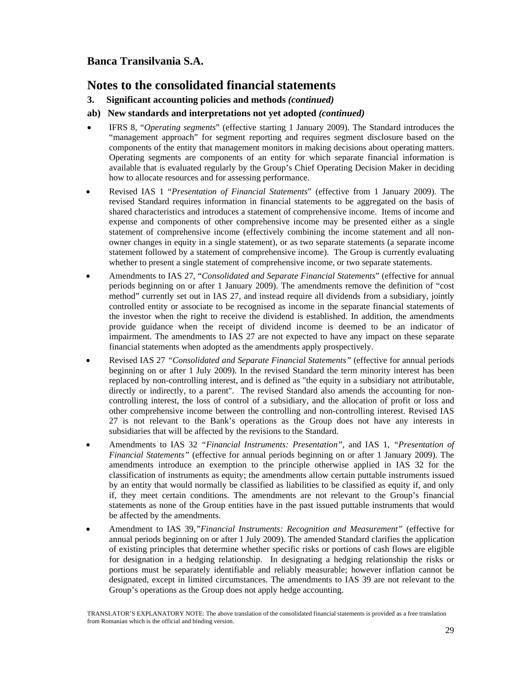# **Notes to the consolidated financial statements**

- **3. Significant accounting policies and methods** *(continued)*
- **ab) New standards and interpretations not yet adopted** *(continued)*
- IFRS 8, "*Operating segments*" (effective starting 1 January 2009). The Standard introduces the "management approach" for segment reporting and requires segment disclosure based on the components of the entity that management monitors in making decisions about operating matters. Operating segments are components of an entity for which separate financial information is available that is evaluated regularly by the Group's Chief Operating Decision Maker in deciding how to allocate resources and for assessing performance.
- Revised IAS 1 "*Presentation of Financial Statements*" (effective from 1 January 2009). The revised Standard requires information in financial statements to be aggregated on the basis of shared characteristics and introduces a statement of comprehensive income. Items of income and expense and components of other comprehensive income may be presented either as a single statement of comprehensive income (effectively combining the income statement and all nonowner changes in equity in a single statement), or as two separate statements (a separate income statement followed by a statement of comprehensive income). The Group is currently evaluating whether to present a single statement of comprehensive income, or two separate statements.
- Amendments to IAS 27, "*Consolidated and Separate Financial Statements*" (effective for annual periods beginning on or after 1 January 2009). The amendments remove the definition of "cost method" currently set out in IAS 27, and instead require all dividends from a subsidiary, jointly controlled entity or associate to be recognised as income in the separate financial statements of the investor when the right to receive the dividend is established. In addition, the amendments provide guidance when the receipt of dividend income is deemed to be an indicator of impairment. The amendments to IAS 27 are not expected to have any impact on these separate financial statements when adopted as the amendments apply prospectively.
- Revised IAS 27 *"Consolidated and Separate Financial Statements"* (effective for annual periods beginning on or after 1 July 2009). In the revised Standard the term minority interest has been replaced by non-controlling interest, and is defined as "the equity in a subsidiary not attributable, directly or indirectly, to a parent". The revised Standard also amends the accounting for noncontrolling interest, the loss of control of a subsidiary, and the allocation of profit or loss and other comprehensive income between the controlling and non-controlling interest. Revised IAS 27 is not relevant to the Bank's operations as the Group does not have any interests in subsidiaries that will be affected by the revisions to the Standard.
- Amendments to IAS 32 *"Financial Instruments: Presentation"*, and IAS 1, *"Presentation of Financial Statements"* (effective for annual periods beginning on or after 1 January 2009). The amendments introduce an exemption to the principle otherwise applied in IAS 32 for the classification of instruments as equity; the amendments allow certain puttable instruments issued by an entity that would normally be classified as liabilities to be classified as equity if, and only if, they meet certain conditions. The amendments are not relevant to the Group's financial statements as none of the Group entities have in the past issued puttable instruments that would be affected by the amendments.
- Amendment to IAS 39,*"Financial Instruments: Recognition and Measurement"* (effective for annual periods beginning on or after 1 July 2009). The amended Standard clarifies the application of existing principles that determine whether specific risks or portions of cash flows are eligible for designation in a hedging relationship. In designating a hedging relationship the risks or portions must be separately identifiable and reliably measurable; however inflation cannot be designated, except in limited circumstances. The amendments to IAS 39 are not relevant to the Group's operations as the Group does not apply hedge accounting.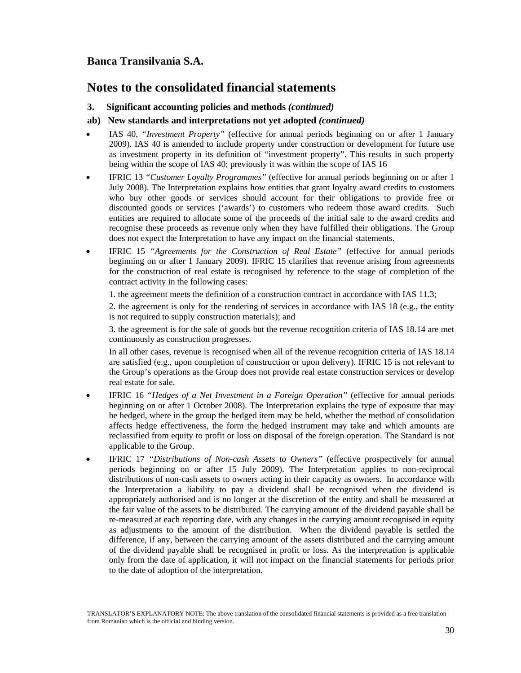# **Notes to the consolidated financial statements**

## **3. Significant accounting policies and methods** *(continued)*

## **ab) New standards and interpretations not yet adopted** *(continued)*

- IAS 40, *"Investment Property"* (effective for annual periods beginning on or after 1 January 2009). IAS 40 is amended to include property under construction or development for future use as investment property in its definition of "investment property". This results in such property being within the scope of IAS 40; previously it was within the scope of IAS 16
- IFRIC 13 *"Customer Loyalty Programmes"* (effective for annual periods beginning on or after 1 July 2008). The Interpretation explains how entities that grant loyalty award credits to customers who buy other goods or services should account for their obligations to provide free or discounted goods or services ('awards') to customers who redeem those award credits. Such entities are required to allocate some of the proceeds of the initial sale to the award credits and recognise these proceeds as revenue only when they have fulfilled their obligations. The Group does not expect the Interpretation to have any impact on the financial statements.
- IFRIC 15 *"Agreements for the Construction of Real Estate"* (effective for annual periods beginning on or after 1 January 2009). IFRIC 15 clarifies that revenue arising from agreements for the construction of real estate is recognised by reference to the stage of completion of the contract activity in the following cases:

1. the agreement meets the definition of a construction contract in accordance with IAS 11.3;

2. the agreement is only for the rendering of services in accordance with IAS 18 (e.g., the entity is not required to supply construction materials); and

3. the agreement is for the sale of goods but the revenue recognition criteria of IAS 18.14 are met continuously as construction progresses.

In all other cases, revenue is recognised when all of the revenue recognition criteria of IAS 18.14 are satisfied (e.g., upon completion of construction or upon delivery). IFRIC 15 is not relevant to the Group's operations as the Group does not provide real estate construction services or develop real estate for sale.

- IFRIC 16 *"Hedges of a Net Investment in a Foreign Operation"* (effective for annual periods beginning on or after 1 October 2008). The Interpretation explains the type of exposure that may be hedged, where in the group the hedged item may be held, whether the method of consolidation affects hedge effectiveness, the form the hedged instrument may take and which amounts are reclassified from equity to profit or loss on disposal of the foreign operation. The Standard is not applicable to the Group.
- IFRIC 17 *"Distributions of Non-cash Assets to Owners"* (effective prospectively for annual periods beginning on or after 15 July 2009). The Interpretation applies to non-reciprocal distributions of non-cash assets to owners acting in their capacity as owners. In accordance with the Interpretation a liability to pay a dividend shall be recognised when the dividend is appropriately authorised and is no longer at the discretion of the entity and shall be measured at the fair value of the assets to be distributed. The carrying amount of the dividend payable shall be re-measured at each reporting date, with any changes in the carrying amount recognised in equity as adjustments to the amount of the distribution. When the dividend payable is settled the difference, if any, between the carrying amount of the assets distributed and the carrying amount of the dividend payable shall be recognised in profit or loss. As the interpretation is applicable only from the date of application, it will not impact on the financial statements for periods prior to the date of adoption of the interpretation.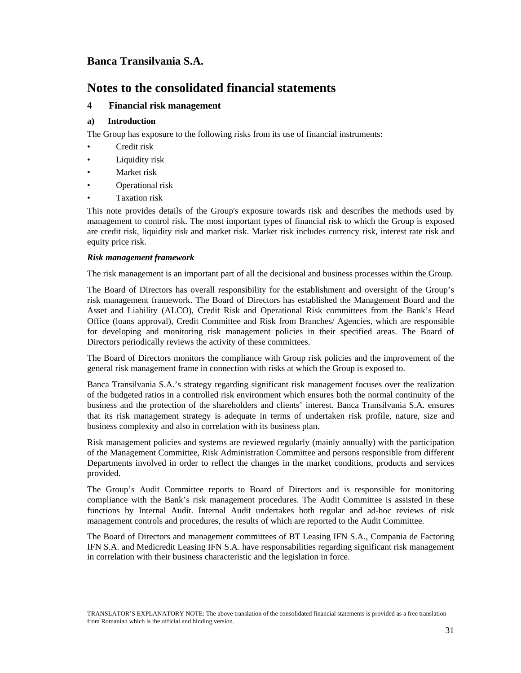# **Notes to the consolidated financial statements**

# **4 Financial risk management**

## **a) Introduction**

The Group has exposure to the following risks from its use of financial instruments:

- Credit risk
- Liquidity risk
- Market risk
- Operational risk
- Taxation risk

This note provides details of the Group's exposure towards risk and describes the methods used by management to control risk. The most important types of financial risk to which the Group is exposed are credit risk, liquidity risk and market risk. Market risk includes currency risk, interest rate risk and equity price risk.

### *Risk management framework*

The risk management is an important part of all the decisional and business processes within the Group.

The Board of Directors has overall responsibility for the establishment and oversight of the Group's risk management framework. The Board of Directors has established the Management Board and the Asset and Liability (ALCO), Credit Risk and Operational Risk committees from the Bank's Head Office (loans approval), Credit Committee and Risk from Branches/ Agencies, which are responsible for developing and monitoring risk management policies in their specified areas. The Board of Directors periodically reviews the activity of these committees.

The Board of Directors monitors the compliance with Group risk policies and the improvement of the general risk management frame in connection with risks at which the Group is exposed to.

Banca Transilvania S.A.'s strategy regarding significant risk management focuses over the realization of the budgeted ratios in a controlled risk environment which ensures both the normal continuity of the business and the protection of the shareholders and clients' interest. Banca Transilvania S.A. ensures that its risk management strategy is adequate in terms of undertaken risk profile, nature, size and business complexity and also in correlation with its business plan.

Risk management policies and systems are reviewed regularly (mainly annually) with the participation of the Management Committee, Risk Administration Committee and persons responsible from different Departments involved in order to reflect the changes in the market conditions, products and services provided.

The Group's Audit Committee reports to Board of Directors and is responsible for monitoring compliance with the Bank's risk management procedures. The Audit Committee is assisted in these functions by Internal Audit. Internal Audit undertakes both regular and ad-hoc reviews of risk management controls and procedures, the results of which are reported to the Audit Committee.

The Board of Directors and management committees of BT Leasing IFN S.A., Compania de Factoring IFN S.A. and Medicredit Leasing IFN S.A. have responsabilities regarding significant risk management in correlation with their business characteristic and the legislation in force.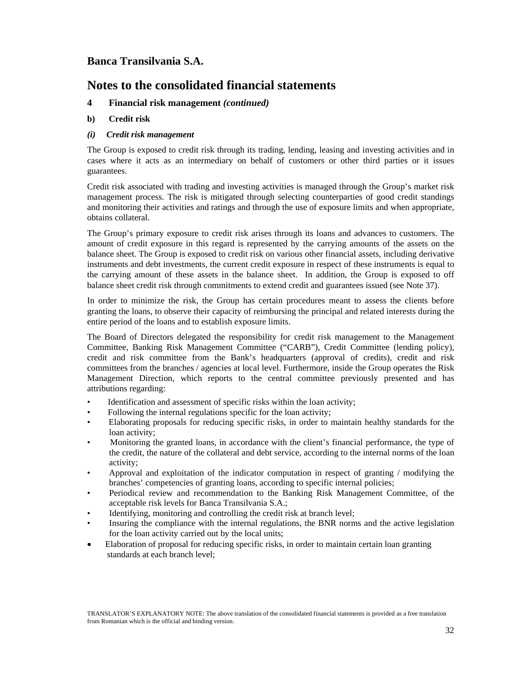# **Notes to the consolidated financial statements**

# **4 Financial risk management** *(continued)*

## **b) Credit risk**

## *(i) Credit risk management*

The Group is exposed to credit risk through its trading, lending, leasing and investing activities and in cases where it acts as an intermediary on behalf of customers or other third parties or it issues guarantees.

Credit risk associated with trading and investing activities is managed through the Group's market risk management process. The risk is mitigated through selecting counterparties of good credit standings and monitoring their activities and ratings and through the use of exposure limits and when appropriate, obtains collateral.

The Group's primary exposure to credit risk arises through its loans and advances to customers. The amount of credit exposure in this regard is represented by the carrying amounts of the assets on the balance sheet. The Group is exposed to credit risk on various other financial assets, including derivative instruments and debt investments, the current credit exposure in respect of these instruments is equal to the carrying amount of these assets in the balance sheet. In addition, the Group is exposed to off balance sheet credit risk through commitments to extend credit and guarantees issued (see Note 37).

In order to minimize the risk, the Group has certain procedures meant to assess the clients before granting the loans, to observe their capacity of reimbursing the principal and related interests during the entire period of the loans and to establish exposure limits.

The Board of Directors delegated the responsibility for credit risk management to the Management Committee, Banking Risk Management Committee ("CARB"), Credit Committee (lending policy), credit and risk committee from the Bank's headquarters (approval of credits), credit and risk committees from the branches / agencies at local level. Furthermore, inside the Group operates the Risk Management Direction, which reports to the central committee previously presented and has attributions regarding:

- Identification and assessment of specific risks within the loan activity;
- Following the internal regulations specific for the loan activity;
- Elaborating proposals for reducing specific risks, in order to maintain healthy standards for the loan activity;
- Monitoring the granted loans, in accordance with the client's financial performance, the type of the credit, the nature of the collateral and debt service, according to the internal norms of the loan activity;
- Approval and exploitation of the indicator computation in respect of granting / modifying the branches' competencies of granting loans, according to specific internal policies;
- Periodical review and recommendation to the Banking Risk Management Committee, of the acceptable risk levels for Banca Transilvania S.A.;
- Identifying, monitoring and controlling the credit risk at branch level;
- Insuring the compliance with the internal regulations, the BNR norms and the active legislation for the loan activity carried out by the local units;
- Elaboration of proposal for reducing specific risks, in order to maintain certain loan granting standards at each branch level;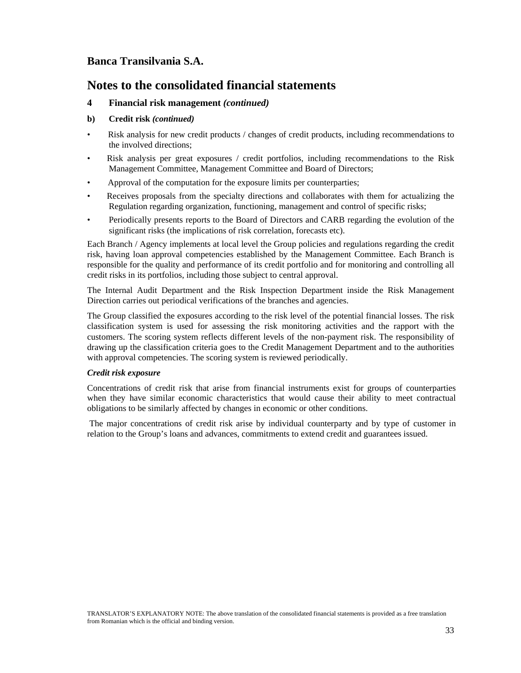# **Notes to the consolidated financial statements**

## **4 Financial risk management** *(continued)*

### **b) Credit risk** *(continued)*

- Risk analysis for new credit products / changes of credit products, including recommendations to the involved directions;
- Risk analysis per great exposures / credit portfolios, including recommendations to the Risk Management Committee, Management Committee and Board of Directors;
- Approval of the computation for the exposure limits per counterparties;
- Receives proposals from the specialty directions and collaborates with them for actualizing the Regulation regarding organization, functioning, management and control of specific risks;
- Periodically presents reports to the Board of Directors and CARB regarding the evolution of the significant risks (the implications of risk correlation, forecasts etc).

Each Branch / Agency implements at local level the Group policies and regulations regarding the credit risk, having loan approval competencies established by the Management Committee. Each Branch is responsible for the quality and performance of its credit portfolio and for monitoring and controlling all credit risks in its portfolios, including those subject to central approval.

The Internal Audit Department and the Risk Inspection Department inside the Risk Management Direction carries out periodical verifications of the branches and agencies.

The Group classified the exposures according to the risk level of the potential financial losses. The risk classification system is used for assessing the risk monitoring activities and the rapport with the customers. The scoring system reflects different levels of the non-payment risk. The responsibility of drawing up the classification criteria goes to the Credit Management Department and to the authorities with approval competencies. The scoring system is reviewed periodically.

#### *Credit risk exposure*

Concentrations of credit risk that arise from financial instruments exist for groups of counterparties when they have similar economic characteristics that would cause their ability to meet contractual obligations to be similarly affected by changes in economic or other conditions.

 The major concentrations of credit risk arise by individual counterparty and by type of customer in relation to the Group's loans and advances, commitments to extend credit and guarantees issued.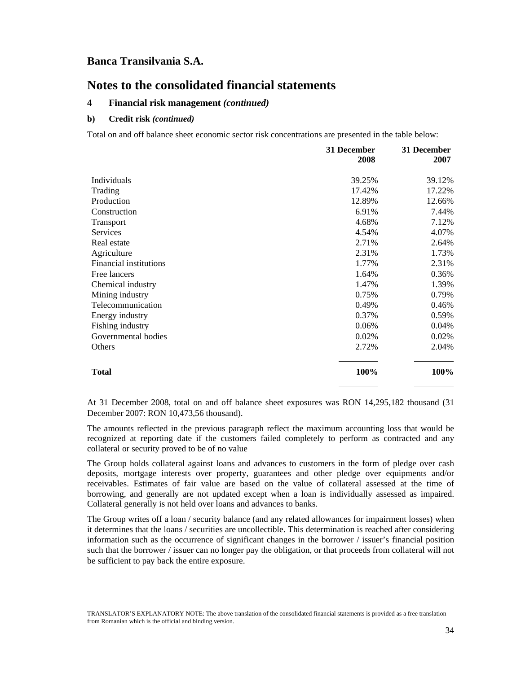# **Notes to the consolidated financial statements**

## **4 Financial risk management** *(continued)*

#### **b) Credit risk** *(continued)*

Total on and off balance sheet economic sector risk concentrations are presented in the table below:

|                        | 31 December<br>2008 | 31 December<br>2007 |
|------------------------|---------------------|---------------------|
| Individuals            | 39.25%              | 39.12%              |
| Trading                | 17.42%              | 17.22%              |
| Production             | 12.89%              | 12.66%              |
| Construction           | 6.91%               | 7.44%               |
| Transport              | 4.68%               | 7.12%               |
| Services               | 4.54%               | 4.07%               |
| Real estate            | 2.71%               | 2.64%               |
| Agriculture            | 2.31%               | 1.73%               |
| Financial institutions | 1.77%               | 2.31%               |
| Free lancers           | 1.64%               | 0.36%               |
| Chemical industry      | 1.47%               | 1.39%               |
| Mining industry        | 0.75%               | 0.79%               |
| Telecommunication      | 0.49%               | 0.46%               |
| Energy industry        | 0.37%               | 0.59%               |
| Fishing industry       | 0.06%               | 0.04%               |
| Governmental bodies    | 0.02%               | 0.02%               |
| Others                 | 2.72%               | 2.04%               |
| <b>Total</b>           | 100%                | 100%                |

At 31 December 2008, total on and off balance sheet exposures was RON 14,295,182 thousand (31 December 2007: RON 10,473,56 thousand).

The amounts reflected in the previous paragraph reflect the maximum accounting loss that would be recognized at reporting date if the customers failed completely to perform as contracted and any collateral or security proved to be of no value

The Group holds collateral against loans and advances to customers in the form of pledge over cash deposits, mortgage interests over property, guarantees and other pledge over equipments and/or receivables. Estimates of fair value are based on the value of collateral assessed at the time of borrowing, and generally are not updated except when a loan is individually assessed as impaired. Collateral generally is not held over loans and advances to banks.

The Group writes off a loan / security balance (and any related allowances for impairment losses) when it determines that the loans / securities are uncollectible. This determination is reached after considering information such as the occurrence of significant changes in the borrower / issuer's financial position such that the borrower / issuer can no longer pay the obligation, or that proceeds from collateral will not be sufficient to pay back the entire exposure.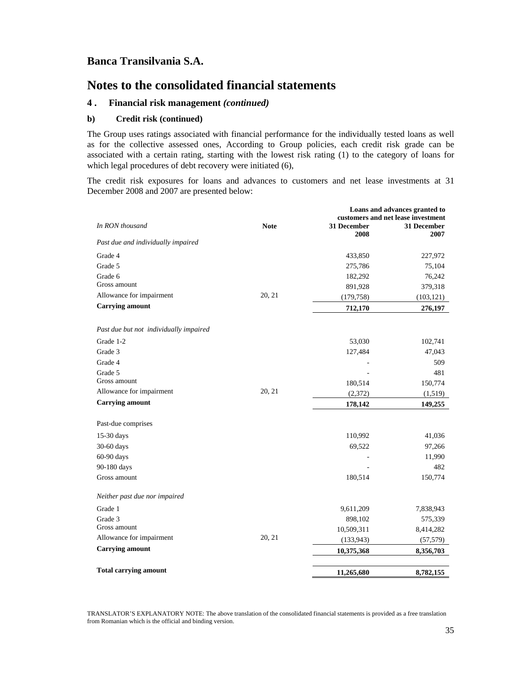# **Notes to the consolidated financial statements**

### **4 . Financial risk management** *(continued)*

#### **b) Credit risk (continued)**

The Group uses ratings associated with financial performance for the individually tested loans as well as for the collective assessed ones, According to Group policies, each credit risk grade can be associated with a certain rating, starting with the lowest risk rating (1) to the category of loans for which legal procedures of debt recovery were initiated (6),

The credit risk exposures for loans and advances to customers and net lease investments at 31 December 2008 and 2007 are presented below:

|                                        |             |             | Loans and advances granted to      |
|----------------------------------------|-------------|-------------|------------------------------------|
|                                        |             |             | customers and net lease investment |
| In RON thousand                        | <b>Note</b> | 31 December | 31 December                        |
| Past due and individually impaired     |             | 2008        | 2007                               |
| Grade 4                                |             | 433,850     | 227,972                            |
| Grade 5                                |             | 275,786     | 75,104                             |
| Grade 6                                |             | 182,292     | 76,242                             |
| Gross amount                           |             | 891,928     | 379,318                            |
| Allowance for impairment               | 20, 21      | (179, 758)  | (103, 121)                         |
| <b>Carrying amount</b>                 |             | 712,170     | 276,197                            |
| Past due but not individually impaired |             |             |                                    |
| Grade 1-2                              |             | 53,030      | 102,741                            |
| Grade 3                                |             | 127,484     | 47,043                             |
| Grade 4                                |             |             | 509                                |
| Grade 5                                |             |             | 481                                |
| Gross amount                           |             | 180,514     | 150,774                            |
| Allowance for impairment               | 20, 21      | (2,372)     | (1,519)                            |
| <b>Carrying amount</b>                 |             | 178,142     | 149,255                            |
| Past-due comprises                     |             |             |                                    |
| 15-30 days                             |             | 110,992     | 41,036                             |
| 30-60 days                             |             | 69,522      | 97,266                             |
| 60-90 days                             |             |             | 11,990                             |
| 90-180 days                            |             |             | 482                                |
| Gross amount                           |             | 180,514     | 150,774                            |
| Neither past due nor impaired          |             |             |                                    |
| Grade 1                                |             | 9,611,209   | 7,838,943                          |
| Grade 3                                |             | 898,102     | 575,339                            |
| Gross amount                           |             | 10,509,311  | 8,414,282                          |
| Allowance for impairment               | 20, 21      | (133, 943)  | (57, 579)                          |
| <b>Carrying amount</b>                 |             | 10,375,368  | 8,356,703                          |
| <b>Total carrying amount</b>           |             |             |                                    |
|                                        |             | 11,265,680  | 8,782,155                          |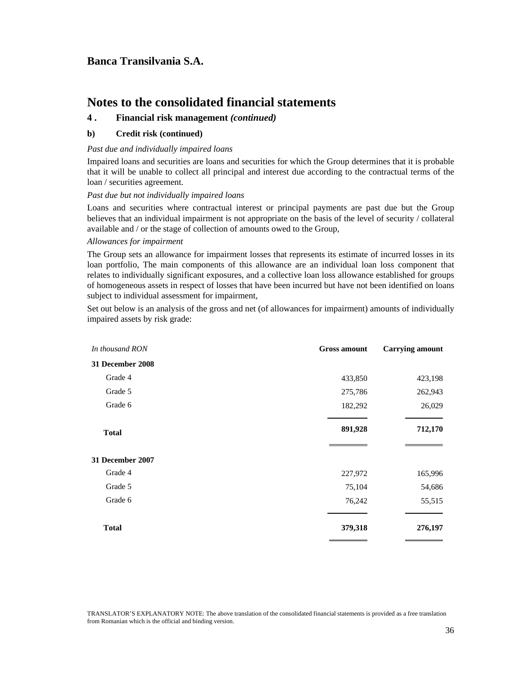# **Notes to the consolidated financial statements**

## **4 . Financial risk management** *(continued)*

### **b) Credit risk (continued)**

#### *Past due and individually impaired loans*

Impaired loans and securities are loans and securities for which the Group determines that it is probable that it will be unable to collect all principal and interest due according to the contractual terms of the loan / securities agreement.

#### *Past due but not individually impaired loans*

Loans and securities where contractual interest or principal payments are past due but the Group believes that an individual impairment is not appropriate on the basis of the level of security / collateral available and / or the stage of collection of amounts owed to the Group,

#### *Allowances for impairment*

The Group sets an allowance for impairment losses that represents its estimate of incurred losses in its loan portfolio, The main components of this allowance are an individual loan loss component that relates to individually significant exposures, and a collective loan loss allowance established for groups of homogeneous assets in respect of losses that have been incurred but have not been identified on loans subject to individual assessment for impairment,

Set out below is an analysis of the gross and net (of allowances for impairment) amounts of individually impaired assets by risk grade:

| In thousand RON  | <b>Gross amount</b> | <b>Carrying amount</b> |
|------------------|---------------------|------------------------|
| 31 December 2008 |                     |                        |
| Grade 4          | 433,850             | 423,198                |
| Grade 5          | 275,786             | 262,943                |
| Grade 6          | 182,292             | 26,029                 |
| <b>Total</b>     | 891,928             | 712,170                |
| 31 December 2007 |                     |                        |
| Grade 4          | 227,972             | 165,996                |
| Grade 5          | 75,104              | 54,686                 |
| Grade 6          | 76,242              | 55,515                 |
| <b>Total</b>     | 379,318             | 276,197                |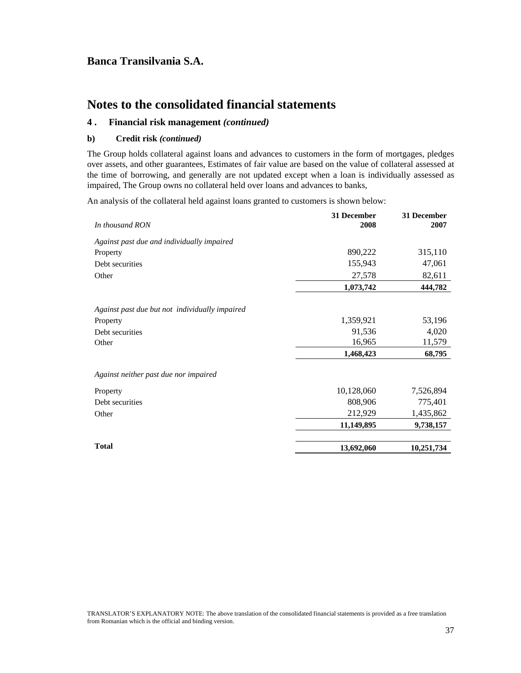# **Notes to the consolidated financial statements**

### **4 . Financial risk management** *(continued)*

#### **b) Credit risk** *(continued)*

The Group holds collateral against loans and advances to customers in the form of mortgages, pledges over assets, and other guarantees, Estimates of fair value are based on the value of collateral assessed at the time of borrowing, and generally are not updated except when a loan is individually assessed as impaired, The Group owns no collateral held over loans and advances to banks,

An analysis of the collateral held against loans granted to customers is shown below:

| In thousand RON                                | 31 December<br>2008 | 31 December<br>2007 |
|------------------------------------------------|---------------------|---------------------|
|                                                |                     |                     |
| Against past due and individually impaired     |                     |                     |
| Property                                       | 890,222             | 315,110             |
| Debt securities                                | 155,943             | 47,061              |
| Other                                          | 27,578              | 82,611              |
|                                                | 1,073,742           | 444,782             |
| Against past due but not individually impaired |                     |                     |
| Property                                       | 1,359,921           | 53,196              |
| Debt securities                                | 91,536              | 4,020               |
| Other                                          | 16,965              | 11,579              |
|                                                | 1,468,423           | 68,795              |
| Against neither past due nor impaired          |                     |                     |
| Property                                       | 10,128,060          | 7,526,894           |
| Debt securities                                | 808,906             | 775,401             |
| Other                                          | 212,929             | 1,435,862           |
|                                                | 11,149,895          | 9,738,157           |
|                                                |                     |                     |
| <b>Total</b>                                   | 13,692,060          | 10,251,734          |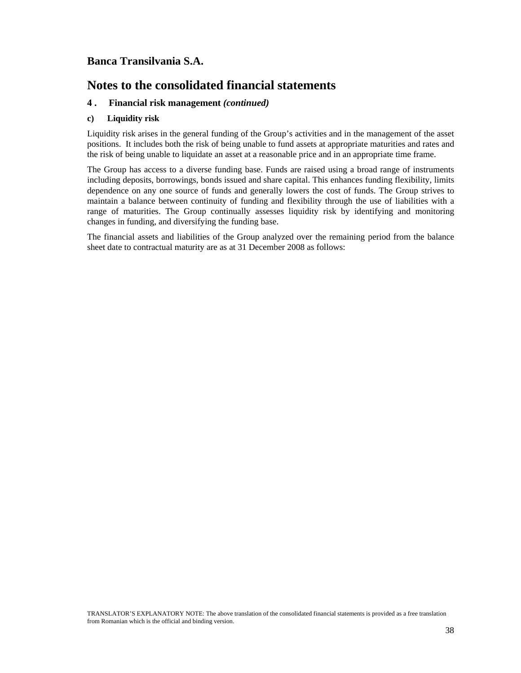# **Notes to the consolidated financial statements**

### **4 . Financial risk management** *(continued)*

### **c) Liquidity risk**

Liquidity risk arises in the general funding of the Group's activities and in the management of the asset positions. It includes both the risk of being unable to fund assets at appropriate maturities and rates and the risk of being unable to liquidate an asset at a reasonable price and in an appropriate time frame.

The Group has access to a diverse funding base. Funds are raised using a broad range of instruments including deposits, borrowings, bonds issued and share capital. This enhances funding flexibility, limits dependence on any one source of funds and generally lowers the cost of funds. The Group strives to maintain a balance between continuity of funding and flexibility through the use of liabilities with a range of maturities. The Group continually assesses liquidity risk by identifying and monitoring changes in funding, and diversifying the funding base.

The financial assets and liabilities of the Group analyzed over the remaining period from the balance sheet date to contractual maturity are as at 31 December 2008 as follows: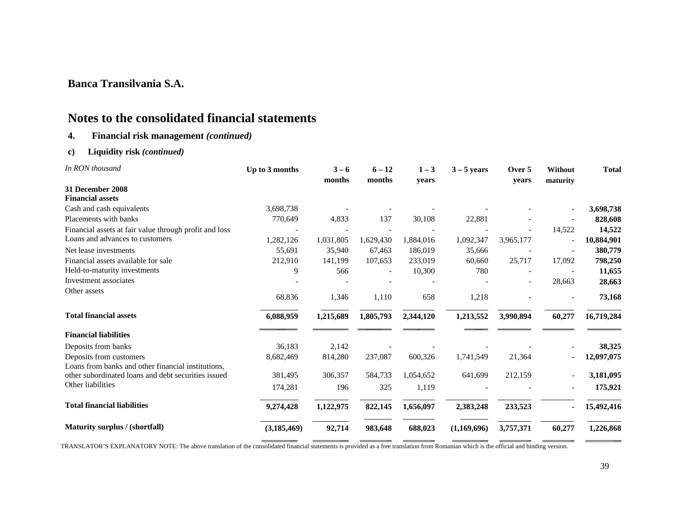# **Notes to the consolidated financial statements**

## **4. Financial risk management** *(continued)*

## **c) Liquidity risk** *(continued)*

| In RON thousand                                        | Up to 3 months | $3 - 6$<br>months | $6 - 12$<br>months | $1 - 3$<br>years | $3 - 5$ years | Over 5<br>years | Without<br>maturity | <b>Total</b> |
|--------------------------------------------------------|----------------|-------------------|--------------------|------------------|---------------|-----------------|---------------------|--------------|
| 31 December 2008                                       |                |                   |                    |                  |               |                 |                     |              |
| <b>Financial assets</b>                                |                |                   |                    |                  |               |                 |                     |              |
| Cash and cash equivalents                              | 3,698,738      |                   |                    |                  |               |                 |                     | 3,698,738    |
| Placements with banks                                  | 770,649        | 4,833             | 137                | 30,108           | 22,881        |                 |                     | 828,608      |
| Financial assets at fair value through profit and loss |                |                   |                    |                  |               |                 | 14,522              | 14,522       |
| Loans and advances to customers                        | 1,282,126      | 1,031,805         | 1,629,430          | 1,884,016        | 1,092,347     | 3,965,177       |                     | 10,884,901   |
| Net lease investments                                  | 55,691         | 35,940            | 67,463             | 186,019          | 35,666        |                 |                     | 380,779      |
| Financial assets available for sale                    | 212,910        | 141,199           | 107,653            | 233,019          | 60,660        | 25,717          | 17,092              | 798,250      |
| Held-to-maturity investments                           | 9              | 566               |                    | 10,300           | 780           |                 |                     | 11,655       |
| Investment associates                                  |                |                   |                    |                  |               |                 | 28,663              | 28,663       |
| Other assets                                           |                |                   |                    |                  |               |                 |                     |              |
|                                                        | 68,836         | 1,346             | 1,110              | 658              | 1,218         |                 |                     | 73,168       |
| <b>Total financial assets</b>                          | 6,088,959      | 1,215,689         | 1,805,793          | 2,344,120        | 1,213,552     | 3,990,894       | 60,277              | 16,719,284   |
| <b>Financial liabilities</b>                           |                |                   |                    |                  |               |                 |                     |              |
| Deposits from banks                                    | 36,183         | 2,142             |                    |                  |               |                 |                     | 38,325       |
| Deposits from customers                                | 8,682,469      | 814,280           | 237,087            | 600,326          | 1,741,549     | 21,364          |                     | 12,097,075   |
| Loans from banks and other financial institutions,     |                |                   |                    |                  |               |                 |                     |              |
| other subordinated loans and debt securities issued    | 381,495        | 306,357           | 584,733            | 1,054,652        | 641,699       | 212,159         |                     | 3,181,095    |
| Other liabilities                                      | 174,281        | 196               | 325                | 1,119            |               |                 |                     | 175,921      |
| <b>Total financial liabilities</b>                     | 9,274,428      | 1,122,975         | 822,145            | 1,656,097        | 2,383,248     | 233,523         |                     | 15,492,416   |
| Maturity surplus / (shortfall)                         | (3, 185, 469)  | 92,714            | 983,648            | 688,023          | (1,169,696)   | 3,757,371       | 60,277              | 1,226,868    |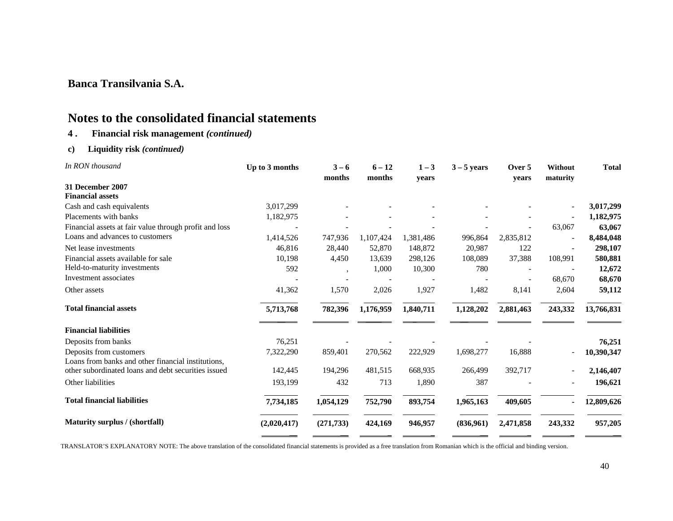# **Notes to the consolidated financial statements**

# **4 . Financial risk management** *(continued)*

## **c) Liquidity risk** *(continued)*

| In RON thousand                                                               | Up to 3 months | $3 - 6$<br>months | $6 - 12$<br>months | $1 - 3$<br>years | $3 - 5$ years | Over 5<br>years | Without<br>maturity      | <b>Total</b> |
|-------------------------------------------------------------------------------|----------------|-------------------|--------------------|------------------|---------------|-----------------|--------------------------|--------------|
| 31 December 2007                                                              |                |                   |                    |                  |               |                 |                          |              |
| <b>Financial assets</b>                                                       |                |                   |                    |                  |               |                 |                          |              |
| Cash and cash equivalents                                                     | 3,017,299      |                   |                    |                  |               |                 | $\overline{\phantom{a}}$ | 3,017,299    |
| Placements with banks                                                         | 1,182,975      |                   |                    |                  |               |                 |                          | 1,182,975    |
| Financial assets at fair value through profit and loss                        |                |                   |                    |                  |               |                 | 63,067                   | 63,067       |
| Loans and advances to customers                                               | 1,414,526      | 747,936           | 1,107,424          | 1,381,486        | 996,864       | 2,835,812       |                          | 8,484,048    |
| Net lease investments                                                         | 46,816         | 28,440            | 52,870             | 148,872          | 20,987        | 122             |                          | 298,107      |
| Financial assets available for sale                                           | 10,198         | 4,450             | 13,639             | 298,126          | 108,089       | 37,388          | 108,991                  | 580,881      |
| Held-to-maturity investments                                                  | 592            |                   | 1,000              | 10,300           | 780           |                 |                          | 12,672       |
| Investment associates                                                         |                |                   |                    |                  |               |                 | 68,670                   | 68,670       |
| Other assets                                                                  | 41,362         | 1,570             | 2,026              | 1,927            | 1,482         | 8,141           | 2,604                    | 59,112       |
| <b>Total financial assets</b>                                                 | 5,713,768      | 782,396           | 1,176,959          | 1,840,711        | 1,128,202     | 2,881,463       | 243,332                  | 13,766,831   |
| <b>Financial liabilities</b>                                                  |                |                   |                    |                  |               |                 |                          |              |
| Deposits from banks                                                           | 76,251         |                   |                    |                  |               |                 |                          | 76,251       |
| Deposits from customers<br>Loans from banks and other financial institutions, | 7,322,290      | 859,401           | 270,562            | 222,929          | 1,698,277     | 16,888          |                          | 10,390,347   |
| other subordinated loans and debt securities issued                           | 142,445        | 194,296           | 481,515            | 668,935          | 266,499       | 392,717         |                          | 2,146,407    |
| Other liabilities                                                             | 193,199        | 432               | 713                | 1,890            | 387           |                 |                          | 196,621      |
| <b>Total financial liabilities</b>                                            | 7,734,185      | 1,054,129         | 752,790            | 893,754          | 1,965,163     | 409,605         |                          | 12,809,626   |
| Maturity surplus / (shortfall)                                                | (2,020,417)    | (271, 733)        | 424,169            | 946,957          | (836,961)     | 2,471,858       | 243,332                  | 957,205      |
|                                                                               |                |                   |                    |                  |               |                 |                          |              |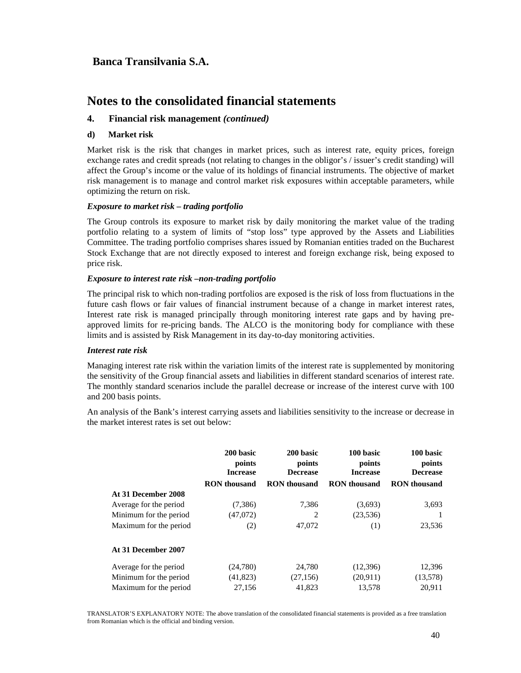# **Notes to the consolidated financial statements**

### **4. Financial risk management** *(continued)*

### **d) Market risk**

Market risk is the risk that changes in market prices, such as interest rate, equity prices, foreign exchange rates and credit spreads (not relating to changes in the obligor's / issuer's credit standing) will affect the Group's income or the value of its holdings of financial instruments. The objective of market risk management is to manage and control market risk exposures within acceptable parameters, while optimizing the return on risk.

#### *Exposure to market risk – trading portfolio*

The Group controls its exposure to market risk by daily monitoring the market value of the trading portfolio relating to a system of limits of "stop loss" type approved by the Assets and Liabilities Committee. The trading portfolio comprises shares issued by Romanian entities traded on the Bucharest Stock Exchange that are not directly exposed to interest and foreign exchange risk, being exposed to price risk.

#### *Exposure to interest rate risk –non-trading portfolio*

The principal risk to which non-trading portfolios are exposed is the risk of loss from fluctuations in the future cash flows or fair values of financial instrument because of a change in market interest rates, Interest rate risk is managed principally through monitoring interest rate gaps and by having preapproved limits for re-pricing bands. The ALCO is the monitoring body for compliance with these limits and is assisted by Risk Management in its day-to-day monitoring activities.

#### *Interest rate risk*

Managing interest rate risk within the variation limits of the interest rate is supplemented by monitoring the sensitivity of the Group financial assets and liabilities in different standard scenarios of interest rate. The monthly standard scenarios include the parallel decrease or increase of the interest curve with 100 and 200 basis points.

An analysis of the Bank's interest carrying assets and liabilities sensitivity to the increase or decrease in the market interest rates is set out below:

|                        | 200 basic<br>points<br><b>Increase</b> | 200 basic<br>points<br><b>Decrease</b> | 100 basic<br>points<br><b>Increase</b> | 100 basic<br>points<br><b>Decrease</b> |
|------------------------|----------------------------------------|----------------------------------------|----------------------------------------|----------------------------------------|
|                        | <b>RON</b> thousand                    | <b>RON</b> thousand                    | <b>RON</b> thousand                    | <b>RON</b> thousand                    |
| At 31 December 2008    |                                        |                                        |                                        |                                        |
| Average for the period | (7,386)                                | 7,386                                  | (3,693)                                | 3,693                                  |
| Minimum for the period | (47,072)                               | 2                                      | (23, 536)                              |                                        |
| Maximum for the period | (2)                                    | 47,072                                 | (1)                                    | 23,536                                 |
| At 31 December 2007    |                                        |                                        |                                        |                                        |
| Average for the period | (24,780)                               | 24,780                                 | (12,396)                               | 12,396                                 |
| Minimum for the period | (41, 823)                              | (27, 156)                              | (20.911)                               | (13,578)                               |
| Maximum for the period | 27.156                                 | 41.823                                 | 13.578                                 | 20.911                                 |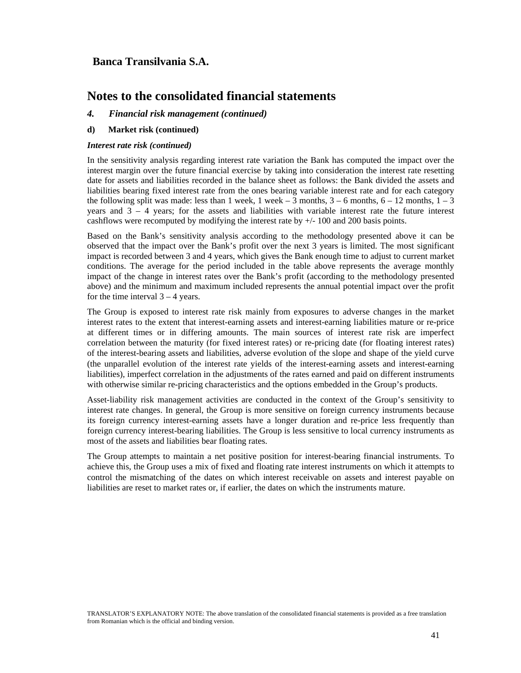# **Notes to the consolidated financial statements**

### *4. Financial risk management (continued)*

#### **d) Market risk (continued)**

#### *Interest rate risk (continued)*

In the sensitivity analysis regarding interest rate variation the Bank has computed the impact over the interest margin over the future financial exercise by taking into consideration the interest rate resetting date for assets and liabilities recorded in the balance sheet as follows: the Bank divided the assets and liabilities bearing fixed interest rate from the ones bearing variable interest rate and for each category the following split was made: less than 1 week, 1 week – 3 months,  $3 - 6$  months,  $6 - 12$  months,  $1 - 3$ years and  $3 - 4$  years; for the assets and liabilities with variable interest rate the future interest cashflows were recomputed by modifying the interest rate by +/- 100 and 200 basis points.

Based on the Bank's sensitivity analysis according to the methodology presented above it can be observed that the impact over the Bank's profit over the next 3 years is limited. The most significant impact is recorded between 3 and 4 years, which gives the Bank enough time to adjust to current market conditions. The average for the period included in the table above represents the average monthly impact of the change in interest rates over the Bank's profit (according to the methodology presented above) and the minimum and maximum included represents the annual potential impact over the profit for the time interval  $3 - 4$  years.

The Group is exposed to interest rate risk mainly from exposures to adverse changes in the market interest rates to the extent that interest-earning assets and interest-earning liabilities mature or re-price at different times or in differing amounts. The main sources of interest rate risk are imperfect correlation between the maturity (for fixed interest rates) or re-pricing date (for floating interest rates) of the interest-bearing assets and liabilities, adverse evolution of the slope and shape of the yield curve (the unparallel evolution of the interest rate yields of the interest-earning assets and interest-earning liabilities), imperfect correlation in the adjustments of the rates earned and paid on different instruments with otherwise similar re-pricing characteristics and the options embedded in the Group's products.

Asset-liability risk management activities are conducted in the context of the Group's sensitivity to interest rate changes. In general, the Group is more sensitive on foreign currency instruments because its foreign currency interest-earning assets have a longer duration and re-price less frequently than foreign currency interest-bearing liabilities. The Group is less sensitive to local currency instruments as most of the assets and liabilities bear floating rates.

The Group attempts to maintain a net positive position for interest-bearing financial instruments. To achieve this, the Group uses a mix of fixed and floating rate interest instruments on which it attempts to control the mismatching of the dates on which interest receivable on assets and interest payable on liabilities are reset to market rates or, if earlier, the dates on which the instruments mature.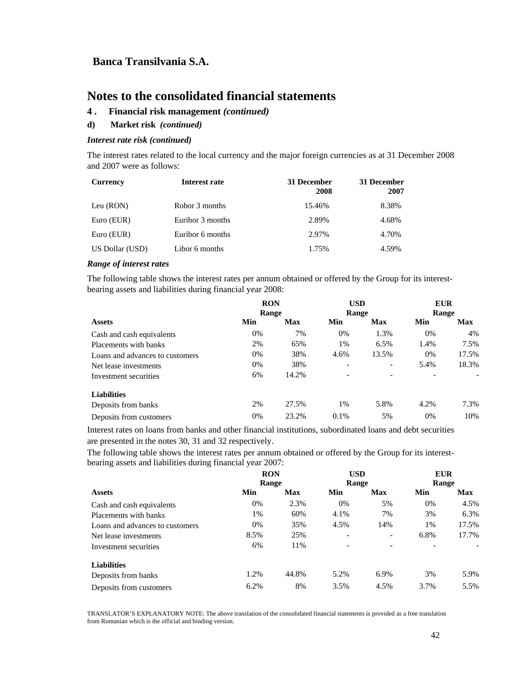# **Notes to the consolidated financial statements**

### **4 . Financial risk management** *(continued)*

**d) Market risk** *(continued)* 

### *Interest rate risk (continued)*

The interest rates related to the local currency and the major foreign currencies as at 31 December 2008 and 2007 were as follows:

| <b>Currency</b> | Interest rate    | 31 December<br>2008 | 31 December<br>2007 |
|-----------------|------------------|---------------------|---------------------|
| Leu (RON)       | Robor 3 months   | 15.46%              | 8.38%               |
| Euro (EUR)      | Euribor 3 months | 2.89%               | 4.68%               |
| Euro (EUR)      | Euribor 6 months | 2.97%               | 4.70%               |
| US Dollar (USD) | Libor 6 months   | 1.75%               | 4.59%               |

#### *Range of interest rates*

The following table shows the interest rates per annum obtained or offered by the Group for its interestbearing assets and liabilities during financial year 2008:

|                                 | <b>RON</b> |            | <b>USD</b> |       | <b>EUR</b> |            |
|---------------------------------|------------|------------|------------|-------|------------|------------|
|                                 | Range      |            | Range      |       | Range      |            |
| <b>Assets</b>                   | Min        | <b>Max</b> | Min        | Max   | Min        | <b>Max</b> |
| Cash and cash equivalents       | 0%         | 7%         | 0%         | 1.3%  | 0%         | 4%         |
| Placements with banks           | 2%         | 65%        | 1%         | 6.5%  | 1.4%       | 7.5%       |
| Loans and advances to customers | 0%         | 38%        | 4.6%       | 13.5% | 0%         | 17.5%      |
| Net lease investments           | 0%         | 38%        | ۰          |       | 5.4%       | 18.3%      |
| Investment securities           | 6%         | 14.2%      |            |       |            |            |
| <b>Liabilities</b>              |            |            |            |       |            |            |
| Deposits from banks             | 2%         | 27.5%      | 1%         | 5.8%  | 4.2%       | 7.3%       |
| Deposits from customers         | 0%         | 23.2%      | 0.1%       | 5%    | $0\%$      | 10%        |

Interest rates on loans from banks and other financial institutions, subordinated loans and debt securities are presented in the notes 30, 31 and 32 respectively.

The following table shows the interest rates per annum obtained or offered by the Group for its interestbearing assets and liabilities during financial year 2007:

|                                 |      | <b>RON</b><br>Range |      | <b>USD</b><br>Range      |      | <b>EUR</b><br>Range |  |
|---------------------------------|------|---------------------|------|--------------------------|------|---------------------|--|
| <b>Assets</b>                   | Min  | <b>Max</b>          | Min  | Max                      | Min  | <b>Max</b>          |  |
| Cash and cash equivalents       | 0%   | 2.3%                | 0%   | 5%                       | 0%   | 4.5%                |  |
| Placements with banks           | 1%   | 60%                 | 4.1% | 7%                       | 3%   | 6.3%                |  |
| Loans and advances to customers | 0%   | 35%                 | 4.5% | 14%                      | 1%   | 17.5%               |  |
| Net lease investments           | 8.5% | 25%                 |      | $\overline{\phantom{a}}$ | 6.8% | 17.7%               |  |
| Investment securities           | 6%   | 11%                 |      |                          |      |                     |  |
| <b>Liabilities</b>              |      |                     |      |                          |      |                     |  |
| Deposits from banks             | 1.2% | 44.8%               | 5.2% | 6.9%                     | 3%   | 5.9%                |  |
| Deposits from customers         | 6.2% | 8%                  | 3.5% | 4.5%                     | 3.7% | 5.5%                |  |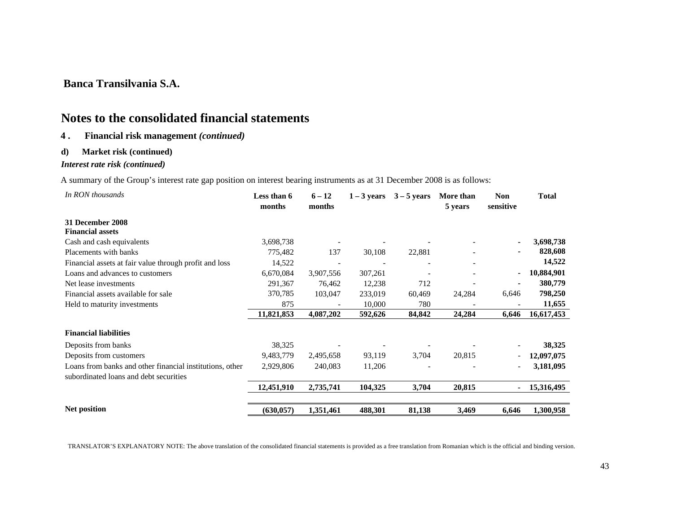# **Notes to the consolidated financial statements**

## **4 . Financial risk management** *(continued)*

### **d) Market risk (continued)**

### *Interest rate risk (continued)*

A summary of the Group's interest rate gap position on interest bearing instruments as at 31 December 2008 is as follows:

| In RON thousands                                         | Less than 6<br>months | $6 - 12$<br>months | $1 - 3$ vears | $3 - 5$ years | More than<br>5 years     | <b>Non</b><br>sensitive  | <b>Total</b> |
|----------------------------------------------------------|-----------------------|--------------------|---------------|---------------|--------------------------|--------------------------|--------------|
| 31 December 2008                                         |                       |                    |               |               |                          |                          |              |
| <b>Financial assets</b>                                  |                       |                    |               |               |                          |                          |              |
| Cash and cash equivalents                                | 3,698,738             |                    |               |               |                          | $\blacksquare$           | 3,698,738    |
| Placements with banks                                    | 775,482               | 137                | 30,108        | 22,881        |                          | $\blacksquare$           | 828,608      |
| Financial assets at fair value through profit and loss   | 14,522                |                    |               |               | $\overline{\phantom{0}}$ |                          | 14,522       |
| Loans and advances to customers                          | 6,670,084             | 3,907,556          | 307,261       |               |                          | $\blacksquare$           | 10,884,901   |
| Net lease investments                                    | 291,367               | 76,462             | 12,238        | 712           |                          | $\blacksquare$           | 380,779      |
| Financial assets available for sale                      | 370,785               | 103,047            | 233,019       | 60,469        | 24,284                   | 6,646                    | 798,250      |
| Held to maturity investments                             | 875                   |                    | 10,000        | 780           |                          |                          | 11,655       |
|                                                          | 11,821,853            | 4,087,202          | 592,626       | 84,842        | 24,284                   | 6,646                    | 16,617,453   |
| <b>Financial liabilities</b>                             |                       |                    |               |               |                          |                          |              |
| Deposits from banks                                      | 38,325                |                    |               |               |                          |                          | 38,325       |
| Deposits from customers                                  | 9,483,779             | 2,495,658          | 93,119        | 3,704         | 20,815                   | $\overline{\phantom{a}}$ | 12,097,075   |
| Loans from banks and other financial institutions, other | 2,929,806             | 240,083            | 11,206        |               |                          | $\overline{\phantom{a}}$ | 3,181,095    |
| subordinated loans and debt securities                   |                       |                    |               |               |                          |                          |              |
|                                                          | 12,451,910            | 2,735,741          | 104,325       | 3,704         | 20,815                   | $\blacksquare$           | 15,316,495   |
|                                                          |                       |                    |               |               |                          |                          |              |
| Net position                                             | (630, 057)            | 1,351,461          | 488,301       | 81,138        | 3,469                    | 6,646                    | 1,300,958    |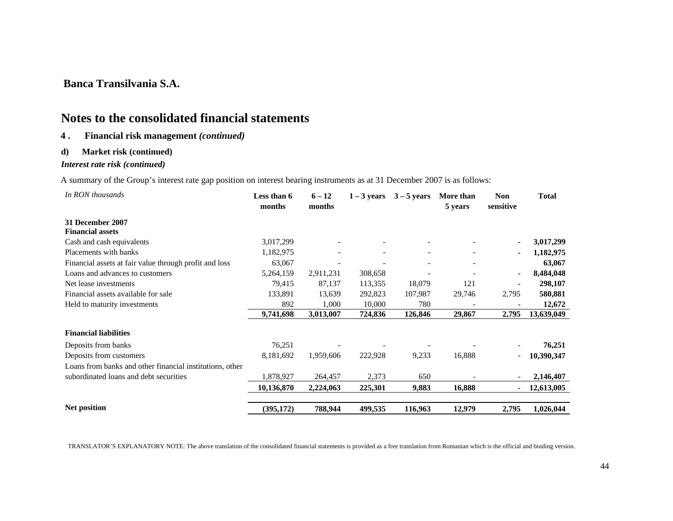# **Notes to the consolidated financial statements**

## **4 . Financial risk management** *(continued)*

### **d) Market risk (continued)**

### *Interest rate risk (continued)*

A summary of the Group's interest rate gap position on interest bearing instruments as at 31 December 2007 is as follows:

| In RON thousands                                         | Less than 6<br>months | $6 - 12$<br>months | $1-3$ years              | $3 - 5$ years | More than<br>5 years     | <b>Non</b><br>sensitive  | <b>Total</b> |
|----------------------------------------------------------|-----------------------|--------------------|--------------------------|---------------|--------------------------|--------------------------|--------------|
| 31 December 2007                                         |                       |                    |                          |               |                          |                          |              |
| <b>Financial assets</b>                                  |                       |                    |                          |               |                          |                          |              |
| Cash and cash equivalents                                | 3,017,299             |                    |                          |               |                          | $\blacksquare$           | 3,017,299    |
| Placements with banks                                    | 1,182,975             |                    | $\overline{\phantom{a}}$ |               |                          | $\blacksquare$           | 1,182,975    |
| Financial assets at fair value through profit and loss   | 63,067                |                    |                          |               | $\overline{\phantom{a}}$ |                          | 63,067       |
| Loans and advances to customers                          | 5,264,159             | 2,911,231          | 308,658                  |               |                          | $\blacksquare$           | 8,484,048    |
| Net lease investments                                    | 79,415                | 87,137             | 113,355                  | 18,079        | 121                      | $\blacksquare$           | 298,107      |
| Financial assets available for sale                      | 133,891               | 13,639             | 292,823                  | 107,987       | 29,746                   | 2,795                    | 580,881      |
| Held to maturity investments                             | 892                   | 1,000              | 10,000                   | 780           |                          |                          | 12,672       |
|                                                          | 9,741,698             | 3,013,007          | 724,836                  | 126,846       | 29,867                   | 2,795                    | 13,639,049   |
| <b>Financial liabilities</b>                             |                       |                    |                          |               |                          |                          |              |
| Deposits from banks                                      | 76,251                |                    |                          |               |                          |                          | 76,251       |
| Deposits from customers                                  | 8,181,692             | 1,959,606          | 222,928                  | 9,233         | 16,888                   | $\overline{\phantom{a}}$ | 10,390,347   |
| Loans from banks and other financial institutions, other |                       |                    |                          |               |                          |                          |              |
| subordinated loans and debt securities                   | 1,878,927             | 264,457            | 2,373                    | 650           |                          |                          | 2,146,407    |
|                                                          | 10,136,870            | 2,224,063          | 225,301                  | 9,883         | 16,888                   | $\blacksquare$           | 12,613,005   |
|                                                          |                       |                    |                          |               |                          |                          |              |
| Net position                                             | (395, 172)            | 788,944            | 499,535                  | 116,963       | 12,979                   | 2,795                    | 1,026,044    |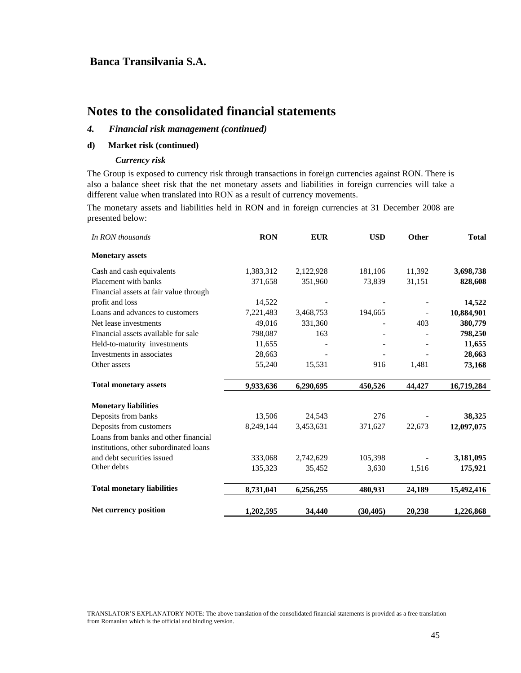# **Notes to the consolidated financial statements**

### *4. Financial risk management (continued)*

### **d) Market risk (continued)**

#### *Currency risk*

The Group is exposed to currency risk through transactions in foreign currencies against RON. There is also a balance sheet risk that the net monetary assets and liabilities in foreign currencies will take a different value when translated into RON as a result of currency movements.

The monetary assets and liabilities held in RON and in foreign currencies at 31 December 2008 are presented below:

| In RON thousands                       | <b>RON</b> | <b>EUR</b> | <b>USD</b> | Other                        | <b>Total</b> |
|----------------------------------------|------------|------------|------------|------------------------------|--------------|
| <b>Monetary assets</b>                 |            |            |            |                              |              |
| Cash and cash equivalents              | 1,383,312  | 2,122,928  | 181,106    | 11,392                       | 3,698,738    |
| Placement with banks                   | 371,658    | 351,960    | 73,839     | 31,151                       | 828,608      |
| Financial assets at fair value through |            |            |            |                              |              |
| profit and loss                        | 14,522     |            |            |                              | 14,522       |
| Loans and advances to customers        | 7,221,483  | 3,468,753  | 194,665    |                              | 10,884,901   |
| Net lease investments                  | 49,016     | 331,360    |            | 403                          | 380,779      |
| Financial assets available for sale    | 798,087    | 163        |            |                              | 798,250      |
| Held-to-maturity investments           | 11,655     |            |            |                              | 11,655       |
| Investments in associates              | 28,663     |            |            | $\qquad \qquad \blacksquare$ | 28,663       |
| Other assets                           | 55,240     | 15,531     | 916        | 1,481                        | 73,168       |
| <b>Total monetary assets</b>           | 9,933,636  | 6,290,695  | 450,526    | 44,427                       | 16,719,284   |
| <b>Monetary liabilities</b>            |            |            |            |                              |              |
| Deposits from banks                    | 13,506     | 24,543     | 276        |                              | 38,325       |
| Deposits from customers                | 8,249,144  | 3,453,631  | 371,627    | 22,673                       | 12,097,075   |
| Loans from banks and other financial   |            |            |            |                              |              |
| institutions, other subordinated loans |            |            |            |                              |              |
| and debt securities issued             | 333,068    | 2,742,629  | 105,398    |                              | 3,181,095    |
| Other debts                            | 135,323    | 35,452     | 3,630      | 1,516                        | 175,921      |
| <b>Total monetary liabilities</b>      | 8,731,041  | 6,256,255  | 480,931    | 24,189                       | 15,492,416   |
| <b>Net currency position</b>           | 1,202,595  | 34,440     | (30, 405)  | 20,238                       | 1,226,868    |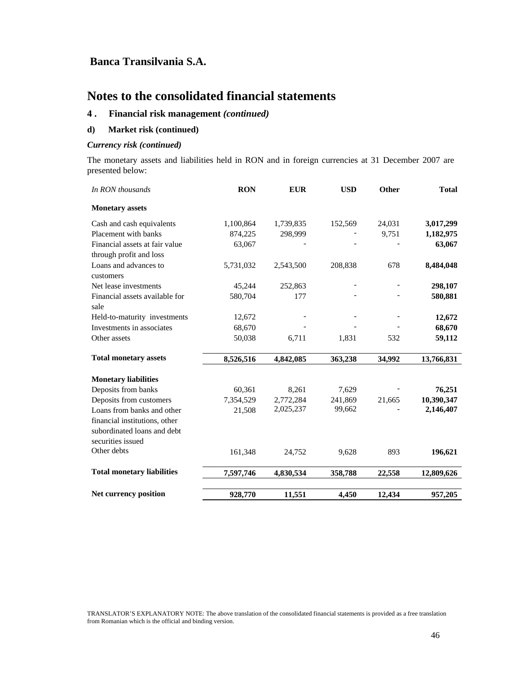# **Notes to the consolidated financial statements**

## **4 . Financial risk management** *(continued)*

### **d) Market risk (continued)**

### *Currency risk (continued)*

The monetary assets and liabilities held in RON and in foreign currencies at 31 December 2007 are presented below:

| In RON thousands                  | <b>RON</b> | <b>EUR</b> | <b>USD</b> | Other  | <b>Total</b> |
|-----------------------------------|------------|------------|------------|--------|--------------|
| <b>Monetary assets</b>            |            |            |            |        |              |
| Cash and cash equivalents         | 1,100,864  | 1,739,835  | 152,569    | 24,031 | 3,017,299    |
| Placement with banks              | 874,225    | 298,999    |            | 9,751  | 1,182,975    |
| Financial assets at fair value    | 63,067     |            |            |        | 63,067       |
| through profit and loss           |            |            |            |        |              |
| Loans and advances to             | 5,731,032  | 2,543,500  | 208,838    | 678    | 8,484,048    |
| customers                         |            |            |            |        |              |
| Net lease investments             | 45,244     | 252,863    |            |        | 298,107      |
| Financial assets available for    | 580,704    | 177        |            |        | 580,881      |
| sale                              |            |            |            |        |              |
| Held-to-maturity investments      | 12,672     |            |            |        | 12,672       |
| Investments in associates         | 68,670     |            |            |        | 68,670       |
| Other assets                      | 50,038     | 6,711      | 1,831      | 532    | 59,112       |
| <b>Total monetary assets</b>      | 8,526,516  | 4,842,085  | 363,238    | 34,992 | 13,766,831   |
| <b>Monetary liabilities</b>       |            |            |            |        |              |
| Deposits from banks               | 60,361     | 8,261      | 7,629      |        | 76,251       |
| Deposits from customers           | 7,354,529  | 2,772,284  | 241,869    | 21,665 | 10,390,347   |
| Loans from banks and other        | 21,508     | 2,025,237  | 99,662     |        | 2,146,407    |
| financial institutions, other     |            |            |            |        |              |
| subordinated loans and debt       |            |            |            |        |              |
| securities issued                 |            |            |            |        |              |
| Other debts                       | 161,348    | 24,752     | 9,628      | 893    | 196,621      |
| <b>Total monetary liabilities</b> | 7,597,746  | 4,830,534  | 358,788    | 22,558 | 12,809,626   |
| <b>Net currency position</b>      | 928,770    | 11,551     | 4,450      | 12,434 | 957,205      |
|                                   |            |            |            |        |              |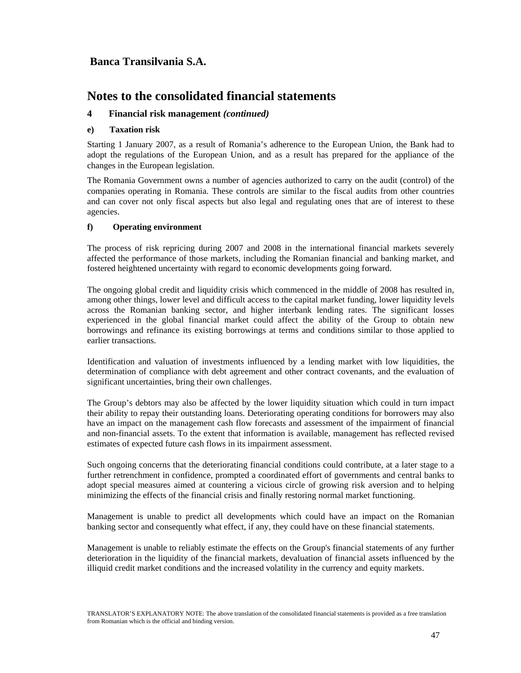# **Notes to the consolidated financial statements**

### **4 Financial risk management** *(continued)*

### **e) Taxation risk**

Starting 1 January 2007, as a result of Romania's adherence to the European Union, the Bank had to adopt the regulations of the European Union, and as a result has prepared for the appliance of the changes in the European legislation.

The Romania Government owns a number of agencies authorized to carry on the audit (control) of the companies operating in Romania. These controls are similar to the fiscal audits from other countries and can cover not only fiscal aspects but also legal and regulating ones that are of interest to these agencies.

### **f) Operating environment**

The process of risk repricing during 2007 and 2008 in the international financial markets severely affected the performance of those markets, including the Romanian financial and banking market, and fostered heightened uncertainty with regard to economic developments going forward.

The ongoing global credit and liquidity crisis which commenced in the middle of 2008 has resulted in, among other things, lower level and difficult access to the capital market funding, lower liquidity levels across the Romanian banking sector, and higher interbank lending rates. The significant losses experienced in the global financial market could affect the ability of the Group to obtain new borrowings and refinance its existing borrowings at terms and conditions similar to those applied to earlier transactions.

Identification and valuation of investments influenced by a lending market with low liquidities, the determination of compliance with debt agreement and other contract covenants, and the evaluation of significant uncertainties, bring their own challenges.

The Group's debtors may also be affected by the lower liquidity situation which could in turn impact their ability to repay their outstanding loans. Deteriorating operating conditions for borrowers may also have an impact on the management cash flow forecasts and assessment of the impairment of financial and non-financial assets. To the extent that information is available, management has reflected revised estimates of expected future cash flows in its impairment assessment.

Such ongoing concerns that the deteriorating financial conditions could contribute, at a later stage to a further retrenchment in confidence, prompted a coordinated effort of governments and central banks to adopt special measures aimed at countering a vicious circle of growing risk aversion and to helping minimizing the effects of the financial crisis and finally restoring normal market functioning.

Management is unable to predict all developments which could have an impact on the Romanian banking sector and consequently what effect, if any, they could have on these financial statements.

Management is unable to reliably estimate the effects on the Group's financial statements of any further deterioration in the liquidity of the financial markets, devaluation of financial assets influenced by the illiquid credit market conditions and the increased volatility in the currency and equity markets.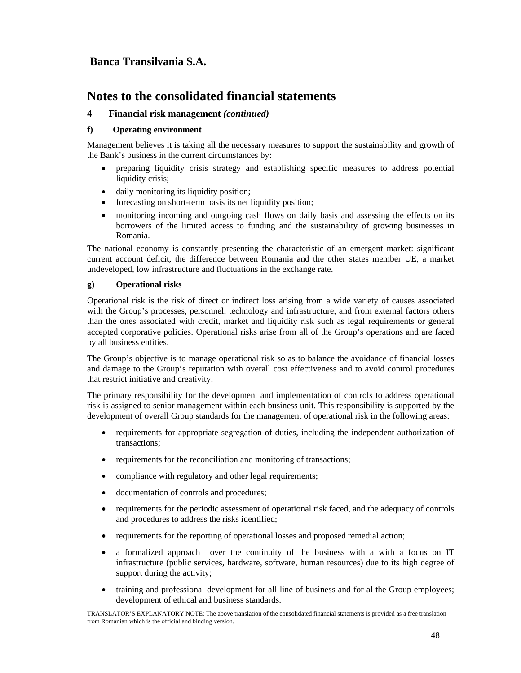# **Notes to the consolidated financial statements**

### **4 Financial risk management** *(continued)*

### **f) Operating environment**

Management believes it is taking all the necessary measures to support the sustainability and growth of the Bank's business in the current circumstances by:

- preparing liquidity crisis strategy and establishing specific measures to address potential liquidity crisis;
- daily monitoring its liquidity position;
- forecasting on short-term basis its net liquidity position;
- monitoring incoming and outgoing cash flows on daily basis and assessing the effects on its borrowers of the limited access to funding and the sustainability of growing businesses in Romania.

The national economy is constantly presenting the characteristic of an emergent market: significant current account deficit, the difference between Romania and the other states member UE, a market undeveloped, low infrastructure and fluctuations in the exchange rate.

#### **g) Operational risks**

Operational risk is the risk of direct or indirect loss arising from a wide variety of causes associated with the Group's processes, personnel, technology and infrastructure, and from external factors others than the ones associated with credit, market and liquidity risk such as legal requirements or general accepted corporative policies. Operational risks arise from all of the Group's operations and are faced by all business entities.

The Group's objective is to manage operational risk so as to balance the avoidance of financial losses and damage to the Group's reputation with overall cost effectiveness and to avoid control procedures that restrict initiative and creativity.

The primary responsibility for the development and implementation of controls to address operational risk is assigned to senior management within each business unit. This responsibility is supported by the development of overall Group standards for the management of operational risk in the following areas:

- requirements for appropriate segregation of duties, including the independent authorization of transactions;
- requirements for the reconciliation and monitoring of transactions;
- compliance with regulatory and other legal requirements;
- documentation of controls and procedures;
- requirements for the periodic assessment of operational risk faced, and the adequacy of controls and procedures to address the risks identified;
- requirements for the reporting of operational losses and proposed remedial action;
- a formalized approach over the continuity of the business with a with a focus on IT infrastructure (public services, hardware, software, human resources) due to its high degree of support during the activity;
- training and professional development for all line of business and for al the Group employees; development of ethical and business standards.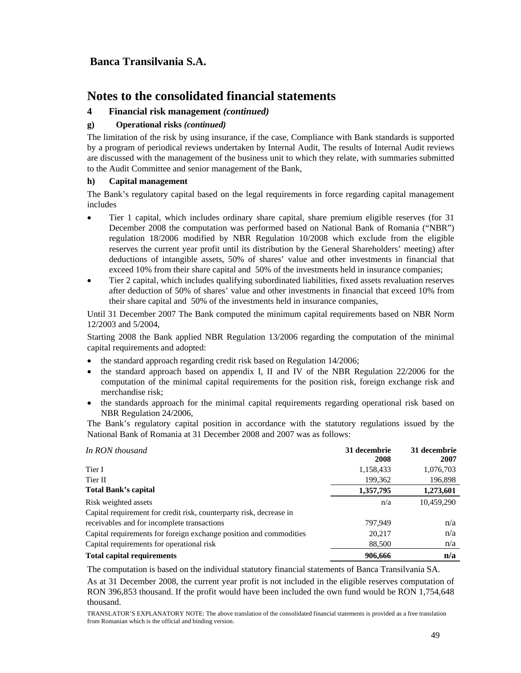# **Notes to the consolidated financial statements**

## **4 Financial risk management** *(continued)*

### **g) Operational risks** *(continued)*

The limitation of the risk by using insurance, if the case, Compliance with Bank standards is supported by a program of periodical reviews undertaken by Internal Audit, The results of Internal Audit reviews are discussed with the management of the business unit to which they relate, with summaries submitted to the Audit Committee and senior management of the Bank,

### **h) Capital management**

The Bank's regulatory capital based on the legal requirements in force regarding capital management includes

- Tier 1 capital, which includes ordinary share capital, share premium eligible reserves (for 31 December 2008 the computation was performed based on National Bank of Romania ("NBR") regulation 18/2006 modified by NBR Regulation 10/2008 which exclude from the eligible reserves the current year profit until its distribution by the General Shareholders' meeting) after deductions of intangible assets, 50% of shares' value and other investments in financial that exceed 10% from their share capital and 50% of the investments held in insurance companies;
- Tier 2 capital, which includes qualifying subordinated liabilities, fixed assets revaluation reserves after deduction of 50% of shares' value and other investments in financial that exceed 10% from their share capital and 50% of the investments held in insurance companies,

Until 31 December 2007 The Bank computed the minimum capital requirements based on NBR Norm 12/2003 and 5/2004,

Starting 2008 the Bank applied NBR Regulation 13/2006 regarding the computation of the minimal capital requirements and adopted:

- the standard approach regarding credit risk based on Regulation 14/2006;
- the standard approach based on appendix I, II and IV of the NBR Regulation 22/2006 for the computation of the minimal capital requirements for the position risk, foreign exchange risk and merchandise risk;
- the standards approach for the minimal capital requirements regarding operational risk based on NBR Regulation 24/2006,

The Bank's regulatory capital position in accordance with the statutory regulations issued by the National Bank of Romania at 31 December 2008 and 2007 was as follows:

| In RON thousand                                                     | 31 decembrie<br>2008 | 31 decembrie<br>2007 |
|---------------------------------------------------------------------|----------------------|----------------------|
| Tier I                                                              | 1,158,433            | 1,076,703            |
| Tier II                                                             | 199,362              | 196,898              |
| <b>Total Bank's capital</b>                                         | 1,357,795            | 1,273,601            |
| Risk weighted assets                                                | n/a                  | 10,459,290           |
| Capital requirement for credit risk, counterparty risk, decrease in |                      |                      |
| receivables and for incomplete transactions                         | 797.949              | n/a                  |
| Capital requirements for foreign exchange position and commodities  | 20,217               | n/a                  |
| Capital requirements for operational risk                           | 88,500               | n/a                  |
| <b>Total capital requirements</b>                                   | 906,666              | n/a                  |

The computation is based on the individual statutory financial statements of Banca Transilvania SA.

As at 31 December 2008, the current year profit is not included in the eligible reserves computation of RON 396,853 thousand. If the profit would have been included the own fund would be RON 1,754,648 thousand.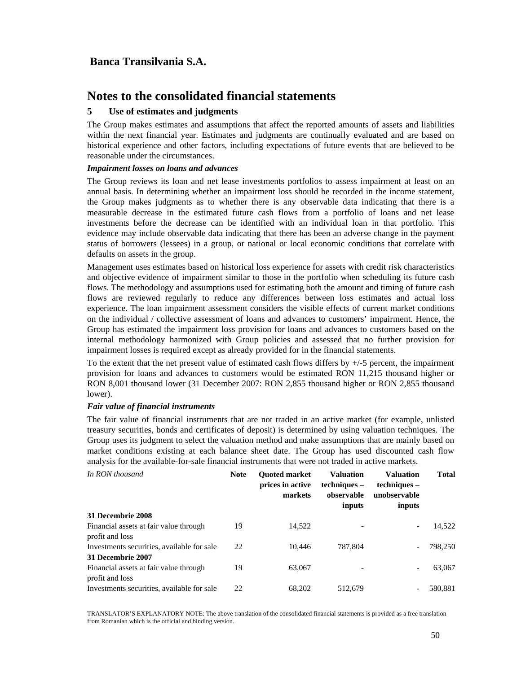# **Notes to the consolidated financial statements**

### **5 Use of estimates and judgments**

The Group makes estimates and assumptions that affect the reported amounts of assets and liabilities within the next financial year. Estimates and judgments are continually evaluated and are based on historical experience and other factors, including expectations of future events that are believed to be reasonable under the circumstances.

### *Impairment losses on loans and advances*

The Group reviews its loan and net lease investments portfolios to assess impairment at least on an annual basis. In determining whether an impairment loss should be recorded in the income statement, the Group makes judgments as to whether there is any observable data indicating that there is a measurable decrease in the estimated future cash flows from a portfolio of loans and net lease investments before the decrease can be identified with an individual loan in that portfolio. This evidence may include observable data indicating that there has been an adverse change in the payment status of borrowers (lessees) in a group, or national or local economic conditions that correlate with defaults on assets in the group.

Management uses estimates based on historical loss experience for assets with credit risk characteristics and objective evidence of impairment similar to those in the portfolio when scheduling its future cash flows. The methodology and assumptions used for estimating both the amount and timing of future cash flows are reviewed regularly to reduce any differences between loss estimates and actual loss experience. The loan impairment assessment considers the visible effects of current market conditions on the individual / collective assessment of loans and advances to customers' impairment. Hence, the Group has estimated the impairment loss provision for loans and advances to customers based on the internal methodology harmonized with Group policies and assessed that no further provision for impairment losses is required except as already provided for in the financial statements.

To the extent that the net present value of estimated cash flows differs by  $+/-5$  percent, the impairment provision for loans and advances to customers would be estimated RON 11,215 thousand higher or RON 8,001 thousand lower (31 December 2007: RON 2,855 thousand higher or RON 2,855 thousand lower).

#### *Fair value of financial instruments*

The fair value of financial instruments that are not traded in an active market (for example, unlisted treasury securities, bonds and certificates of deposit) is determined by using valuation techniques. The Group uses its judgment to select the valuation method and make assumptions that are mainly based on market conditions existing at each balance sheet date. The Group has used discounted cash flow analysis for the available-for-sale financial instruments that were not traded in active markets.

| In RON thousand                                           | <b>Note</b> | <b>Ouoted market</b><br>prices in active<br>markets | <b>Valuation</b><br>techniques –<br>observable<br>inputs | <b>Valuation</b><br>techniques –<br>unobservable<br>inputs | <b>Total</b> |
|-----------------------------------------------------------|-------------|-----------------------------------------------------|----------------------------------------------------------|------------------------------------------------------------|--------------|
| 31 Decembrie 2008                                         |             |                                                     |                                                          |                                                            |              |
| Financial assets at fair value through<br>profit and loss | 19          | 14.522                                              |                                                          | Ξ.                                                         | 14.522       |
| Investments securities, available for sale                | 22          | 10.446                                              | 787,804                                                  |                                                            | 798.250      |
| 31 Decembrie 2007                                         |             |                                                     |                                                          |                                                            |              |
| Financial assets at fair value through<br>profit and loss | 19          | 63,067                                              |                                                          | -                                                          | 63,067       |
| Investments securities, available for sale                | 22          | 68.202                                              | 512.679                                                  |                                                            | 580.881      |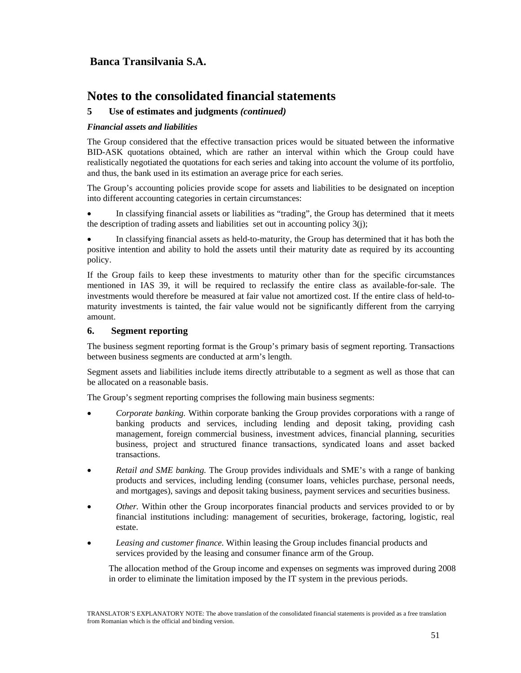# **Notes to the consolidated financial statements**

## **5 Use of estimates and judgments** *(continued)*

### *Financial assets and liabilities*

The Group considered that the effective transaction prices would be situated between the informative BID-ASK quotations obtained, which are rather an interval within which the Group could have realistically negotiated the quotations for each series and taking into account the volume of its portfolio, and thus, the bank used in its estimation an average price for each series.

The Group's accounting policies provide scope for assets and liabilities to be designated on inception into different accounting categories in certain circumstances:

• In classifying financial assets or liabilities as "trading", the Group has determined that it meets the description of trading assets and liabilities set out in accounting policy 3(j);

• In classifying financial assets as held-to-maturity, the Group has determined that it has both the positive intention and ability to hold the assets until their maturity date as required by its accounting policy.

If the Group fails to keep these investments to maturity other than for the specific circumstances mentioned in IAS 39, it will be required to reclassify the entire class as available-for-sale. The investments would therefore be measured at fair value not amortized cost. If the entire class of held-tomaturity investments is tainted, the fair value would not be significantly different from the carrying amount.

### **6. Segment reporting**

The business segment reporting format is the Group's primary basis of segment reporting. Transactions between business segments are conducted at arm's length.

Segment assets and liabilities include items directly attributable to a segment as well as those that can be allocated on a reasonable basis.

The Group's segment reporting comprises the following main business segments:

- *Corporate banking.* Within corporate banking the Group provides corporations with a range of banking products and services, including lending and deposit taking, providing cash management, foreign commercial business, investment advices, financial planning, securities business, project and structured finance transactions, syndicated loans and asset backed transactions.
- *Retail and SME banking.* The Group provides individuals and SME's with a range of banking products and services, including lending (consumer loans, vehicles purchase, personal needs, and mortgages), savings and deposit taking business, payment services and securities business.
- *Other.* Within other the Group incorporates financial products and services provided to or by financial institutions including: management of securities, brokerage, factoring, logistic, real estate.
- *Leasing and customer finance.* Within leasing the Group includes financial products and services provided by the leasing and consumer finance arm of the Group.

The allocation method of the Group income and expenses on segments was improved during 2008 in order to eliminate the limitation imposed by the IT system in the previous periods.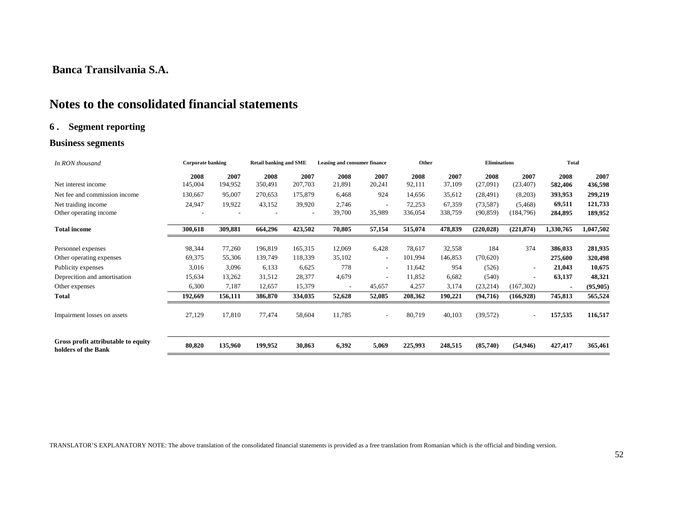# **Notes to the consolidated financial statements**

## **6 . Segment reporting**

## **Business segments**

| In RON thousand                                            | <b>Corporate banking</b> |                 | <b>Retail banking and SME</b> |                 | Leasing and consumer finance |                          | Other             |                   | <b>Eliminations</b>    |                          | <b>Total</b>      |                    |
|------------------------------------------------------------|--------------------------|-----------------|-------------------------------|-----------------|------------------------------|--------------------------|-------------------|-------------------|------------------------|--------------------------|-------------------|--------------------|
| Net interest income                                        | 2008<br>145,004          | 2007<br>194,952 | 2008<br>350,491               | 2007<br>207,703 | 2008<br>21,891               | 2007<br>20,241           | 2008<br>92,111    | 2007<br>37,109    | 2008<br>(27,091)       | 2007<br>(23, 407)        | 2008<br>582,406   | 2007<br>436,598    |
| Net fee and commission income                              | 130,667                  | 95,007          | 270,653                       | 175,879         | 6,468                        | 924                      | 14,656            | 35,612            | (28, 491)              | (8,203)                  | 393,953           | 299,219            |
| Net traiding income<br>Other operating income              | 24,947                   | 19,922          | 43,152                        | 39,920          | 2,746<br>39,700              | 35,989                   | 72,253<br>336,054 | 67,359<br>338,759 | (73, 587)<br>(90, 859) | (5,468)<br>(184, 796)    | 69,511<br>284,895 | 121,733<br>189,952 |
| <b>Total income</b>                                        | 300,618                  | 309,881         | 664,296                       | 423,502         | 70,805                       | 57,154                   | 515,074           | 478,839           | (220, 028)             | (221, 874)               | 1,330,765         | 1,047,502          |
| Personnel expenses                                         | 98,344                   | 77,260          | 196,819                       | 165,315         | 12,069                       | 6,428                    | 78,617            | 32,558            | 184                    | 374                      | 386,033           | 281,935            |
| Other operating expenses                                   | 69,375                   | 55,306          | 139,749                       | 118,339         | 35,102                       | $\overline{\phantom{a}}$ | 101,994           | 146,853           | (70,620)               |                          | 275,600           | 320,498            |
| Publicity expenses                                         | 3,016                    | 3,096           | 6,133                         | 6,625           | 778                          | $\overline{\phantom{a}}$ | 11,642            | 954               | (526)                  | $\overline{\phantom{a}}$ | 21,043            | 10,675             |
| Deprecition and amortisation                               | 15,634                   | 13,262          | 31,512                        | 28,377          | 4,679                        | $\overline{\phantom{a}}$ | 11,852            | 6,682             | (540)                  | $\overline{\phantom{a}}$ | 63,137            | 48,321             |
| Other expenses                                             | 6,300                    | 7,187           | 12,657                        | 15,379          |                              | 45,657                   | 4,257             | 3,174             | (23, 214)              | (167, 302)               | $\blacksquare$    | (95, 905)          |
| <b>Total</b>                                               | 192,669                  | 156,111         | 386,870                       | 334,035         | 52,628                       | 52,085                   | 208,362           | 190,221           | (94, 716)              | (166, 928)               | 745,813           | 565,524            |
| Impairment losses on assets                                | 27,129                   | 17,810          | 77,474                        | 58,604          | 11,785                       | $\overline{\phantom{0}}$ | 80,719            | 40,103            | (39, 572)              | $\overline{\phantom{a}}$ | 157,535           | 116,517            |
| Gross profit attributable to equity<br>holders of the Bank | 80,820                   | 135,960         | 199,952                       | 30,863          | 6,392                        | 5,069                    | 225,993           | 248,515           | (85,740)               | (54, 946)                | 427,417           | 365,461            |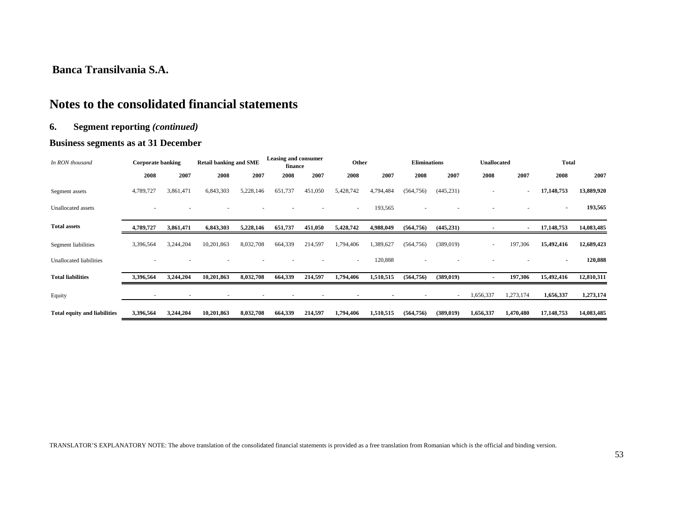# **Notes to the consolidated financial statements**

## **6. Segment reporting** *(continued)*

## **Business segments as at 31 December**

| In RON thousand                     | <b>Corporate banking</b> |           | <b>Retail banking and SME</b> |                          | <b>Leasing and consumer</b><br>finance |                          | Other                    |           | <b>Eliminations</b> |            | <b>Unallocated</b> |           | <b>Total</b> |            |
|-------------------------------------|--------------------------|-----------|-------------------------------|--------------------------|----------------------------------------|--------------------------|--------------------------|-----------|---------------------|------------|--------------------|-----------|--------------|------------|
|                                     | 2008                     | 2007      | 2008                          | 2007                     | 2008                                   | 2007                     | 2008                     | 2007      | 2008                | 2007       | 2008               | 2007      | 2008         | 2007       |
| Segment assets                      | 4,789,727                | 3,861,471 | 6,843,303                     | 5,228,146                | 651,737                                | 451,050                  | 5,428,742                | 4,794,484 | (564, 756)          | (445, 231) |                    |           | 17, 148, 753 | 13,889,920 |
| Unallocated assets                  |                          |           |                               |                          |                                        |                          | $\sim$                   | 193,565   |                     |            |                    |           |              | 193,565    |
| <b>Total assets</b>                 | 4,789,727                | 3,861,471 | 6,843,303                     | 5,228,146                | 651,737                                | 451,050                  | 5,428,742                | 4,988,049 | (564, 756)          | (445, 231) |                    |           | 17,148,753   | 14,083,485 |
| Segment liabilities                 | 3,396,564                | 3,244,204 | 10,201,863                    | 8,032,708                | 664,339                                | 214,597                  | 1,794,406                | 1,389,627 | (564, 756)          | (389, 019) | ٠                  | 197,306   | 15,492,416   | 12,689,423 |
| Unallocated liabilities             |                          |           |                               |                          |                                        |                          | $\overline{\phantom{a}}$ | 120,888   |                     |            |                    |           |              | 120,888    |
| <b>Total liabilities</b>            | 3,396,564                | 3,244,204 | 10,201,863                    | 8,032,708                | 664,339                                | 214,597                  | 1,794,406                | 1,510,515 | (564, 756)          | (389, 019) | $\blacksquare$     | 197,306   | 15,492,416   | 12,810,311 |
| Equity                              | ٠                        |           |                               | $\overline{\phantom{a}}$ | $\overline{\phantom{a}}$               | $\overline{\phantom{a}}$ |                          |           |                     |            | 1,656,337          | 1,273,174 | 1,656,337    | 1,273,174  |
| <b>Total equity and liabilities</b> | 3,396,564                | 3,244,204 | 10,201,863                    | 8,032,708                | 664,339                                | 214,597                  | 1,794,406                | 1,510,515 | (564, 756)          | (389, 019) | 1,656,337          | 1,470,480 | 17,148,753   | 14,083,485 |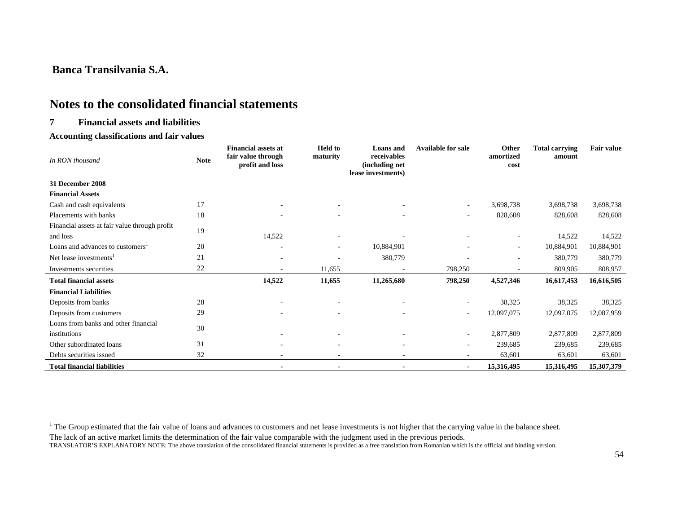# **Notes to the consolidated financial statements**

### **7 Financial assets and liabilities**

#### **Accounting classifications and fair values**

| In RON thousand                               | <b>Note</b> | <b>Financial assets at</b><br>fair value through<br>profit and loss | <b>Held</b> to<br>maturity | <b>Loans and</b><br>receivables<br>(including net<br>lease investments) | <b>Available for sale</b> | Other<br>amortized<br>cost | <b>Total carrying</b><br>amount | <b>Fair value</b> |
|-----------------------------------------------|-------------|---------------------------------------------------------------------|----------------------------|-------------------------------------------------------------------------|---------------------------|----------------------------|---------------------------------|-------------------|
| 31 December 2008                              |             |                                                                     |                            |                                                                         |                           |                            |                                 |                   |
| <b>Financial Assets</b>                       |             |                                                                     |                            |                                                                         |                           |                            |                                 |                   |
| Cash and cash equivalents                     | 17          |                                                                     |                            |                                                                         | $\overline{\phantom{a}}$  | 3,698,738                  | 3,698,738                       | 3,698,738         |
| Placements with banks                         | 18          |                                                                     |                            |                                                                         | ٠                         | 828,608                    | 828,608                         | 828,608           |
| Financial assets at fair value through profit | 19          |                                                                     |                            |                                                                         |                           |                            |                                 |                   |
| and loss                                      |             | 14,522                                                              | $\overline{\phantom{a}}$   |                                                                         |                           | ۰                          | 14,522                          | 14,522            |
| Loans and advances to customers <sup>1</sup>  | 20          |                                                                     |                            | 10,884,901                                                              |                           | ۰                          | 10,884,901                      | 10,884,901        |
| Net lease investments <sup>1</sup>            | 21          |                                                                     |                            | 380,779                                                                 |                           |                            | 380,779                         | 380,779           |
| Investments securities                        | 22          | $\overline{\phantom{a}}$                                            | 11,655                     | ٠                                                                       | 798,250                   |                            | 809,905                         | 808,957           |
| <b>Total financial assets</b>                 |             | 14,522                                                              | 11,655                     | 11,265,680                                                              | 798,250                   | 4,527,346                  | 16,617,453                      | 16,616,505        |
| <b>Financial Liabilities</b>                  |             |                                                                     |                            |                                                                         |                           |                            |                                 |                   |
| Deposits from banks                           | 28          | $\overline{\phantom{a}}$                                            |                            | ٠                                                                       | $\overline{\phantom{a}}$  | 38,325                     | 38,325                          | 38,325            |
| Deposits from customers                       | 29          |                                                                     |                            |                                                                         | ٠                         | 12,097,075                 | 12,097,075                      | 12,087,959        |
| Loans from banks and other financial          | 30          |                                                                     |                            |                                                                         |                           |                            |                                 |                   |
| institutions                                  |             |                                                                     |                            |                                                                         | $\overline{\phantom{a}}$  | 2,877,809                  | 2,877,809                       | 2,877,809         |
| Other subordinated loans                      | 31          |                                                                     |                            |                                                                         | $\overline{\phantom{a}}$  | 239,685                    | 239,685                         | 239,685           |
| Debts securities issued                       | 32          |                                                                     |                            |                                                                         |                           | 63,601                     | 63,601                          | 63,601            |
| <b>Total financial liabilities</b>            |             |                                                                     |                            |                                                                         | $\blacksquare$            | 15,316,495                 | 15,316,495                      | 15,307,379        |

TRANSLATOR'S EXPLANATORY NOTE: The above translation of the consolidated financial statements is provided as a free translation from Romanian which is the official and binding version. <sup>1</sup> The Group estimated that the fair value of loans and advances to customers and net lease investments is not higher that the carrying value in the balance sheet. The lack of an active market limits the determination of the fair value comparable with the judgment used in the previous periods.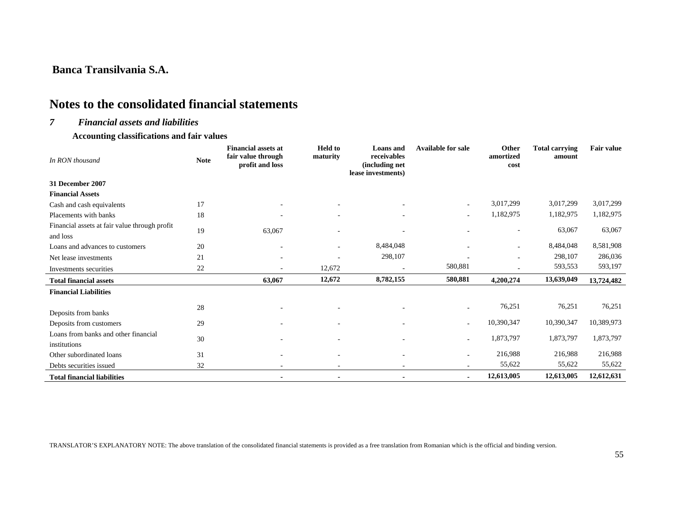# **Notes to the consolidated financial statements**

#### *7 Financial assets and liabilities*

### **Accounting classifications and fair values**

| In RON thousand                                           | <b>Note</b> | <b>Financial assets at</b><br>fair value through<br>profit and loss | <b>Held</b> to<br>maturity | <b>Loans</b> and<br>receivables<br>(including net<br>lease investments) | <b>Available for sale</b> | Other<br>amortized<br>cost | <b>Total carrying</b><br>amount | <b>Fair value</b> |
|-----------------------------------------------------------|-------------|---------------------------------------------------------------------|----------------------------|-------------------------------------------------------------------------|---------------------------|----------------------------|---------------------------------|-------------------|
| 31 December 2007                                          |             |                                                                     |                            |                                                                         |                           |                            |                                 |                   |
| <b>Financial Assets</b>                                   |             |                                                                     |                            |                                                                         |                           |                            |                                 |                   |
| Cash and cash equivalents                                 | 17          |                                                                     |                            |                                                                         | $\overline{\phantom{a}}$  | 3,017,299                  | 3,017,299                       | 3,017,299         |
| Placements with banks                                     | 18          |                                                                     |                            |                                                                         | ٠                         | 1,182,975                  | 1,182,975                       | 1,182,975         |
| Financial assets at fair value through profit<br>and loss | 19          | 63,067                                                              |                            |                                                                         |                           | $\overline{\phantom{0}}$   | 63,067                          | 63,067            |
| Loans and advances to customers                           | 20          |                                                                     |                            | 8,484,048                                                               |                           |                            | 8,484,048                       | 8,581,908         |
| Net lease investments                                     | 21          |                                                                     |                            | 298,107                                                                 |                           |                            | 298,107                         | 286,036           |
| Investments securities                                    | 22          |                                                                     | 12,672                     |                                                                         | 580,881                   |                            | 593,553                         | 593,197           |
| <b>Total financial assets</b>                             |             | 63,067                                                              | 12,672                     | 8,782,155                                                               | 580,881                   | 4,200,274                  | 13,639,049                      | 13,724,482        |
| <b>Financial Liabilities</b>                              |             |                                                                     |                            |                                                                         |                           |                            |                                 |                   |
| Deposits from banks                                       | 28          |                                                                     |                            |                                                                         | ٠                         | 76,251                     | 76,251                          | 76,251            |
| Deposits from customers                                   | 29          |                                                                     |                            |                                                                         | $\sim$                    | 10,390,347                 | 10,390,347                      | 10,389,973        |
| Loans from banks and other financial<br>institutions      | 30          |                                                                     |                            |                                                                         | ÷.                        | 1,873,797                  | 1,873,797                       | 1,873,797         |
| Other subordinated loans                                  | 31          |                                                                     |                            |                                                                         | $\sim$                    | 216,988                    | 216,988                         | 216,988           |
| Debts securities issued                                   | 32          |                                                                     |                            |                                                                         |                           | 55,622                     | 55,622                          | 55,622            |
| <b>Total financial liabilities</b>                        |             |                                                                     |                            |                                                                         | $\blacksquare$            | 12,613,005                 | 12,613,005                      | 12,612,631        |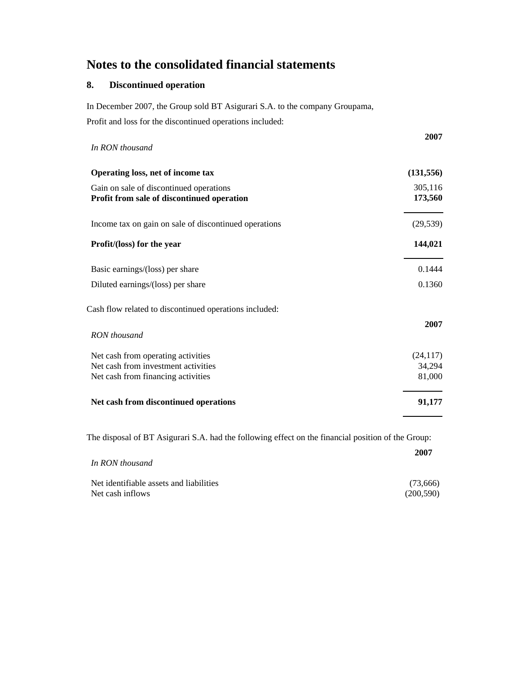# **Notes to the consolidated financial statements**

## **8. Discontinued operation**

In December 2007, the Group sold BT Asigurari S.A. to the company Groupama,

Profit and loss for the discontinued operations included:

| In RON thousand                                                                       | 2007               |
|---------------------------------------------------------------------------------------|--------------------|
| Operating loss, net of income tax                                                     | (131, 556)         |
| Gain on sale of discontinued operations<br>Profit from sale of discontinued operation | 305,116<br>173,560 |
| Income tax on gain on sale of discontinued operations                                 | (29, 539)          |
| Profit/(loss) for the year                                                            | 144,021            |
| Basic earnings/(loss) per share                                                       | 0.1444             |
| Diluted earnings/(loss) per share                                                     | 0.1360             |
| Cash flow related to discontinued operations included:                                |                    |
| RON thousand                                                                          | 2007               |
| Net cash from operating activities                                                    | (24, 117)          |
| Net cash from investment activities                                                   | 34,294             |
| Net cash from financing activities                                                    | 81,000             |
| Net cash from discontinued operations                                                 | 91,177             |

The disposal of BT Asigurari S.A. had the following effect on the financial position of the Group:

| In RON thousand                         | 2007       |
|-----------------------------------------|------------|
| Net identifiable assets and liabilities | (73,666)   |
| Net cash inflows                        | (200, 590) |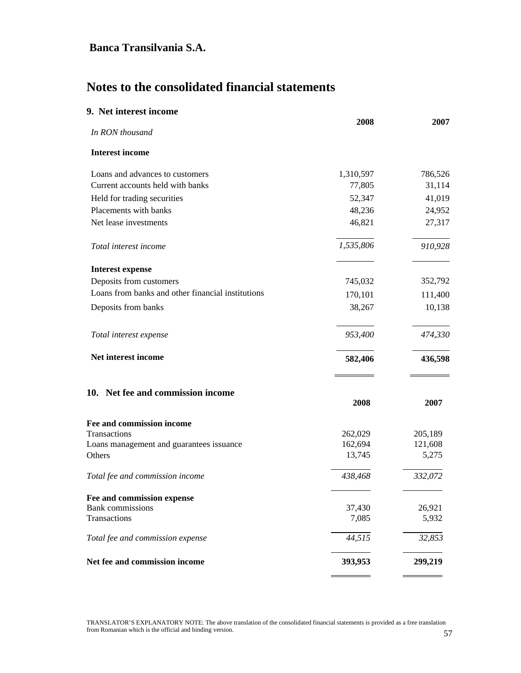# **Notes to the consolidated financial statements**

| 9. Net interest income                             |                   |                  |
|----------------------------------------------------|-------------------|------------------|
| In RON thousand                                    | 2008              | 2007             |
| <b>Interest income</b>                             |                   |                  |
| Loans and advances to customers                    | 1,310,597         | 786,526          |
| Current accounts held with banks                   | 77,805            | 31,114           |
| Held for trading securities                        | 52,347            | 41,019           |
| Placements with banks                              | 48,236            | 24,952           |
| Net lease investments                              | 46,821            | 27,317           |
| Total interest income                              | 1,535,806         | 910,928          |
| <b>Interest expense</b>                            |                   |                  |
| Deposits from customers                            | 745,032           | 352,792          |
| Loans from banks and other financial institutions  | 170,101           | 111,400          |
| Deposits from banks                                | 38,267            | 10,138           |
| Total interest expense                             | 953,400           | 474,330          |
| Net interest income                                | 582,406           | 436,598          |
| 10. Net fee and commission income                  | 2008              | 2007             |
| Fee and commission income                          |                   |                  |
| Transactions                                       | 262,029           | 205,189          |
| Loans management and guarantees issuance<br>Others | 162,694<br>13,745 | 121,608<br>5,275 |
| Total fee and commission income                    | 438,468           | 332,072          |
| Fee and commission expense                         |                   |                  |
| <b>Bank</b> commissions                            | 37,430            | 26,921           |
| Transactions                                       | 7,085             | 5,932            |
| Total fee and commission expense                   | 44,515            | 32,853           |
| Net fee and commission income                      | 393,953           | 299,219          |
|                                                    |                   |                  |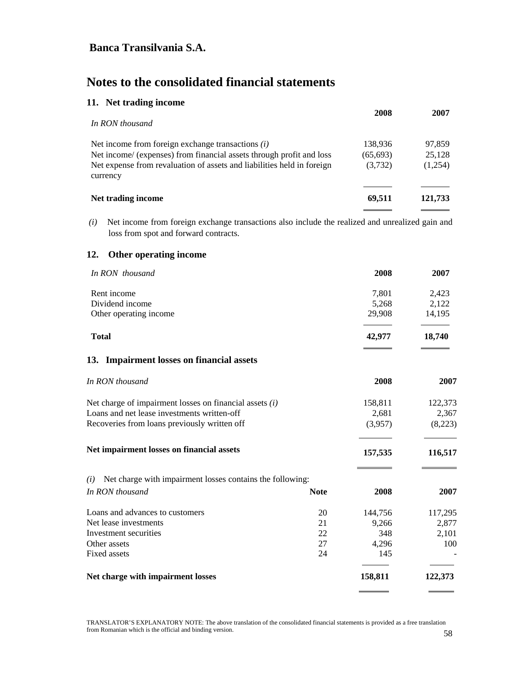# **Notes to the consolidated financial statements**

## **11. Net trading income**

| In RON thousand                                                                    | 2008      | 2007    |
|------------------------------------------------------------------------------------|-----------|---------|
| Net income from foreign exchange transactions $(i)$                                | 138,936   | 97.859  |
| Net income/ (expenses) from financial assets through profit and loss               | (65, 693) | 25,128  |
| Net expense from revaluation of assets and liabilities held in foreign<br>currency | (3,732)   | (1,254) |
| Net trading income                                                                 | 69,511    | 121,733 |

 *(i)* Net income from foreign exchange transactions also include the realized and unrealized gain and loss from spot and forward contracts.

### **12. Other operating income**

| In RON thousand                                                  | 2008    | 2007    |
|------------------------------------------------------------------|---------|---------|
| Rent income                                                      | 7,801   | 2,423   |
| Dividend income                                                  | 5,268   | 2,122   |
| Other operating income                                           | 29,908  | 14,195  |
| <b>Total</b>                                                     | 42,977  | 18,740  |
| 13. Impairment losses on financial assets                        |         |         |
| In RON thousand                                                  | 2008    | 2007    |
| Net charge of impairment losses on financial assets $(i)$        | 158,811 | 122,373 |
| Loans and net lease investments written-off                      | 2,681   | 2,367   |
| Recoveries from loans previously written off                     | (3,957) | (8,223) |
| Net impairment losses on financial assets                        | 157,535 | 116,517 |
| Net charge with impairment losses contains the following:<br>(i) |         |         |
| In RON thousand<br><b>Note</b>                                   | 2008    | 2007    |
| Loans and advances to customers<br>20                            | 144,756 | 117,295 |
| Net lease investments<br>21                                      | 9,266   | 2,877   |
| Investment securities<br>22                                      | 348     | 2,101   |
| 27<br>Other assets                                               | 4,296   | 100     |
| Fixed assets<br>24                                               | 145     |         |
| Net charge with impairment losses                                | 158,811 | 122,373 |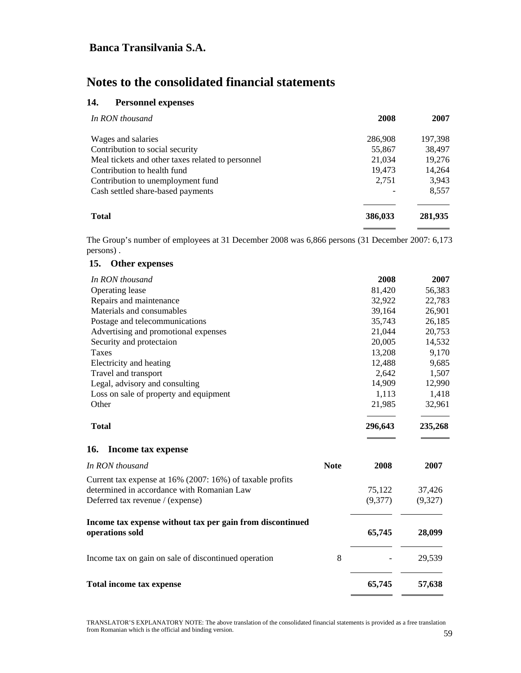# **Notes to the consolidated financial statements**

## **14. Personnel expenses**

| In RON thousand                                   | 2008    | 2007    |  |
|---------------------------------------------------|---------|---------|--|
| Wages and salaries                                | 286,908 | 197,398 |  |
| Contribution to social security                   | 55,867  | 38,497  |  |
| Meal tickets and other taxes related to personnel | 21,034  | 19,276  |  |
| Contribution to health fund                       | 19,473  | 14,264  |  |
| Contribution to unemployment fund                 | 2.751   | 3,943   |  |
| Cash settled share-based payments                 |         | 8,557   |  |
| <b>Total</b>                                      | 386,033 | 281,935 |  |

The Group's number of employees at 31 December 2008 was 6,866 persons (31 December 2007: 6,173 persons) .

### **15. Other expenses**

| In RON thousand                                                              | 2008    | 2007    |
|------------------------------------------------------------------------------|---------|---------|
| Operating lease                                                              | 81,420  | 56,383  |
| Repairs and maintenance                                                      | 32,922  | 22,783  |
| Materials and consumables                                                    | 39,164  | 26,901  |
| Postage and telecommunications                                               | 35,743  | 26,185  |
| Advertising and promotional expenses                                         | 21,044  | 20,753  |
| Security and protectaion                                                     | 20,005  | 14,532  |
| <b>Taxes</b>                                                                 | 13,208  | 9,170   |
| Electricity and heating                                                      | 12,488  | 9,685   |
| Travel and transport                                                         | 2,642   | 1,507   |
| Legal, advisory and consulting                                               | 14,909  | 12,990  |
| Loss on sale of property and equipment                                       | 1,113   | 1,418   |
| Other                                                                        | 21,985  | 32,961  |
| <b>Total</b>                                                                 | 296,643 | 235,268 |
| 16.<br>Income tax expense                                                    |         |         |
| <b>Note</b><br>In RON thousand                                               | 2008    | 2007    |
| Current tax expense at 16% (2007: 16%) of taxable profits                    |         |         |
| determined in accordance with Romanian Law                                   | 75,122  | 37,426  |
| Deferred tax revenue / (expense)                                             | (9,377) | (9,327) |
| Income tax expense without tax per gain from discontinued<br>operations sold | 65,745  | 28,099  |
| 8<br>Income tax on gain on sale of discontinued operation                    |         | 29,539  |
| <b>Total income tax expense</b>                                              | 65,745  | 57,638  |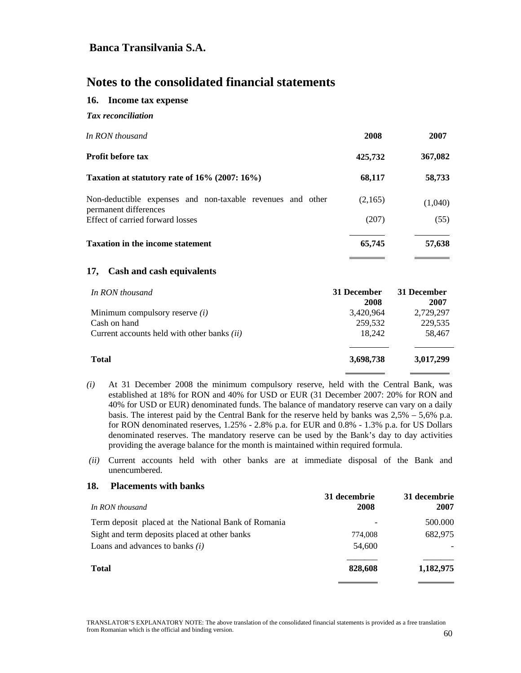# **Notes to the consolidated financial statements**

#### **16. Income tax expense**

*Tax reconciliation* 

| In RON thousand                                                                                                         | 2008             | 2007            |
|-------------------------------------------------------------------------------------------------------------------------|------------------|-----------------|
| <b>Profit before tax</b>                                                                                                | 425,732          | 367,082         |
| Taxation at statutory rate of 16% (2007: 16%)                                                                           | 68,117           | 58,733          |
| Non-deductible expenses and non-taxable revenues and other<br>permanent differences<br>Effect of carried forward losses | (2,165)<br>(207) | (1,040)<br>(55) |
| <b>Taxation in the income statement</b>                                                                                 | 65,745           | 57,638          |

### **17, Cash and cash equivalents**

| In RON thousand                                    | 31 December<br>2008 | 31 December<br>2007 |
|----------------------------------------------------|---------------------|---------------------|
| Minimum compulsory reserve $(i)$                   | 3,420,964           | 2,729,297           |
| Cash on hand                                       | 259.532             | 229,535             |
| Current accounts held with other banks <i>(ii)</i> | 18,242              | 58,467              |
| <b>Total</b>                                       | 3,698,738           | 3,017,299           |

- *(i)* At 31 December 2008 the minimum compulsory reserve, held with the Central Bank, was established at 18% for RON and 40% for USD or EUR (31 December 2007: 20% for RON and 40% for USD or EUR) denominated funds. The balance of mandatory reserve can vary on a daily basis. The interest paid by the Central Bank for the reserve held by banks was  $2,5% - 5,6%$  p.a. for RON denominated reserves, 1.25% - 2.8% p.a. for EUR and 0.8% - 1.3% p.a. for US Dollars denominated reserves. The mandatory reserve can be used by the Bank's day to day activities providing the average balance for the month is maintained within required formula.
- *(ii)* Current accounts held with other banks are at immediate disposal of the Bank and unencumbered.

#### **18. Placements with banks**

| In RON thousand                                     | 31 decembrie<br>2008 | 31 decembrie<br>2007 |
|-----------------------------------------------------|----------------------|----------------------|
| Term deposit placed at the National Bank of Romania |                      | 500,000              |
| Sight and term deposits placed at other banks       | 774,008              | 682,975              |
| Loans and advances to banks $(i)$                   | 54,600               |                      |
| <b>Total</b>                                        | 828,608              | 1,182,975            |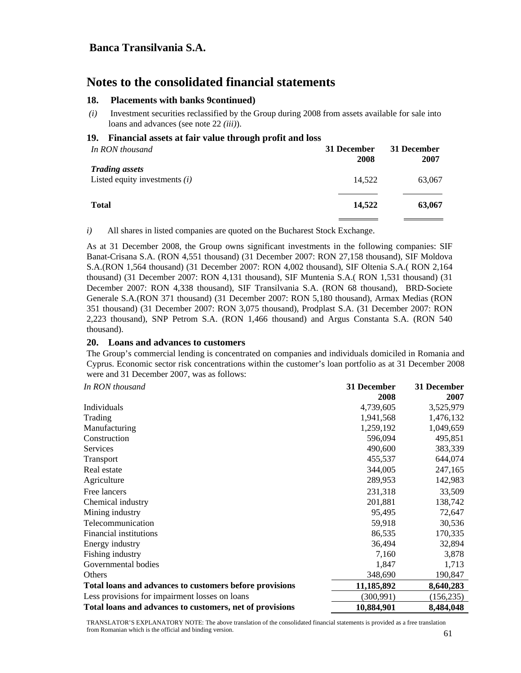# **Notes to the consolidated financial statements**

## **18. Placements with banks 9continued)**

 *(i)* Investment securities reclassified by the Group during 2008 from assets available for sale into loans and advances (see note 22 *(iii)*).

### **19. Financial assets at fair value through profit and loss**

| In RON thousand                                          | 31 December<br>2008 | 31 December<br>2007 |
|----------------------------------------------------------|---------------------|---------------------|
| <b>Trading assets</b><br>Listed equity investments $(i)$ | 14,522              | 63,067              |
| <b>Total</b>                                             | 14,522              | 63,067              |

*i*) All shares in listed companies are quoted on the Bucharest Stock Exchange.

As at 31 December 2008, the Group owns significant investments in the following companies: SIF Banat-Crisana S.A. (RON 4,551 thousand) (31 December 2007: RON 27,158 thousand), SIF Moldova S.A.(RON 1,564 thousand) (31 December 2007: RON 4,002 thousand), SIF Oltenia S.A.( RON 2,164 thousand) (31 December 2007: RON 4,131 thousand), SIF Muntenia S.A.( RON 1,531 thousand) (31 December 2007: RON 4,338 thousand), SIF Transilvania S.A. (RON 68 thousand), BRD-Societe Generale S.A.(RON 371 thousand) (31 December 2007: RON 5,180 thousand), Armax Medias (RON 351 thousand) (31 December 2007: RON 3,075 thousand), Prodplast S.A. (31 December 2007: RON 2,223 thousand), SNP Petrom S.A. (RON 1,466 thousand) and Argus Constanta S.A. (RON 540 thousand).

#### **20. Loans and advances to customers**

The Group's commercial lending is concentrated on companies and individuals domiciled in Romania and Cyprus. Economic sector risk concentrations within the customer's loan portfolio as at 31 December 2008 were and 31 December 2007, was as follows:

| In RON thousand                                          | 31 December | 31 December |
|----------------------------------------------------------|-------------|-------------|
|                                                          | 2008        | 2007        |
| Individuals                                              | 4,739,605   | 3,525,979   |
| Trading                                                  | 1,941,568   | 1,476,132   |
| Manufacturing                                            | 1,259,192   | 1,049,659   |
| Construction                                             | 596,094     | 495,851     |
| <b>Services</b>                                          | 490,600     | 383,339     |
| Transport                                                | 455,537     | 644,074     |
| Real estate                                              | 344,005     | 247,165     |
| Agriculture                                              | 289,953     | 142,983     |
| Free lancers                                             | 231,318     | 33,509      |
| Chemical industry                                        | 201,881     | 138,742     |
| Mining industry                                          | 95,495      | 72,647      |
| Telecommunication                                        | 59,918      | 30,536      |
| Financial institutions                                   | 86,535      | 170,335     |
| Energy industry                                          | 36,494      | 32,894      |
| Fishing industry                                         | 7,160       | 3,878       |
| Governmental bodies                                      | 1,847       | 1,713       |
| Others                                                   | 348,690     | 190,847     |
| Total loans and advances to customers before provisions  | 11,185,892  | 8,640,283   |
| Less provisions for impairment losses on loans           | (300,991)   | (156, 235)  |
| Total loans and advances to customers, net of provisions | 10,884,901  | 8,484,048   |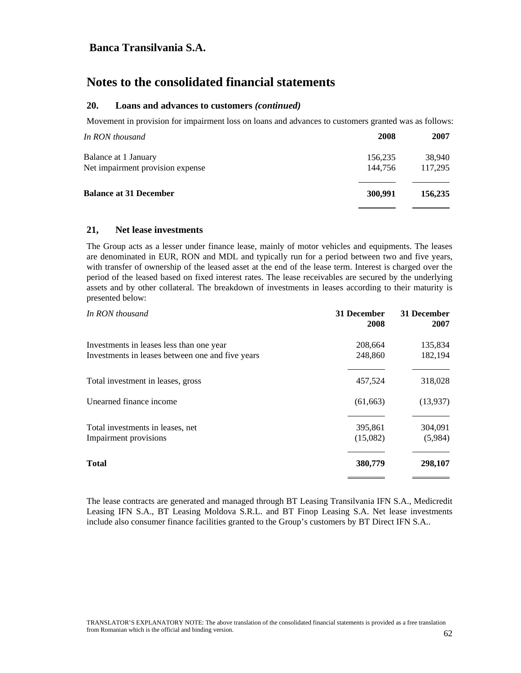# **Notes to the consolidated financial statements**

#### **20. Loans and advances to customers** *(continued)*

Movement in provision for impairment loss on loans and advances to customers granted was as follows:

| In RON thousand                  | 2008    | 2007    |
|----------------------------------|---------|---------|
| Balance at 1 January             | 156,235 | 38,940  |
| Net impairment provision expense | 144,756 | 117,295 |
| <b>Balance at 31 December</b>    | 300,991 | 156,235 |
|                                  |         |         |

#### **21, Net lease investments**

The Group acts as a lesser under finance lease, mainly of motor vehicles and equipments. The leases are denominated in EUR, RON and MDL and typically run for a period between two and five years, with transfer of ownership of the leased asset at the end of the lease term. Interest is charged over the period of the leased based on fixed interest rates. The lease receivables are secured by the underlying assets and by other collateral. The breakdown of investments in leases according to their maturity is presented below:

| In RON thousand                                  | 31 December<br>2008 | 31 December<br>2007 |
|--------------------------------------------------|---------------------|---------------------|
| Investments in leases less than one year         | 208,664             | 135,834             |
| Investments in leases between one and five years | 248,860             | 182,194             |
| Total investment in leases, gross                | 457,524             | 318,028             |
| Unearned finance income                          | (61, 663)           | (13,937)            |
| Total investments in leases, net                 | 395,861             | 304,091             |
| Impairment provisions                            | (15,082)            | (5,984)             |
| <b>Total</b>                                     | 380,779             | 298,107             |

The lease contracts are generated and managed through BT Leasing Transilvania IFN S.A., Medicredit Leasing IFN S.A., BT Leasing Moldova S.R.L. and BT Finop Leasing S.A. Net lease investments include also consumer finance facilities granted to the Group's customers by BT Direct IFN S.A..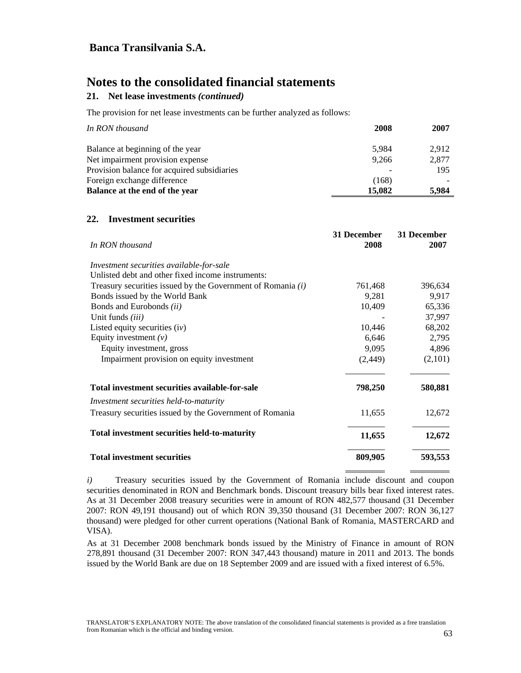# **Notes to the consolidated financial statements**

## **21. Net lease investments** *(continued)*

The provision for net lease investments can be further analyzed as follows:

| In RON thousand                             | 2008   | 2007  |
|---------------------------------------------|--------|-------|
| Balance at beginning of the year            | 5,984  | 2.912 |
| Net impairment provision expense            | 9,266  | 2,877 |
| Provision balance for acquired subsidiaries |        | 195   |
| Foreign exchange difference                 | (168)  |       |
| Balance at the end of the year              | 15.082 | 5.984 |

### **22. Investment securities**

| In RON thousand                                               | 31 December<br>2008 | 31 December<br>2007 |
|---------------------------------------------------------------|---------------------|---------------------|
| Investment securities available-for-sale                      |                     |                     |
| Unlisted debt and other fixed income instruments:             |                     |                     |
| Treasury securities issued by the Government of Romania $(i)$ | 761,468             | 396,634             |
| Bonds issued by the World Bank                                | 9,281               | 9,917               |
| Bonds and Eurobonds (ii)                                      | 10,409              | 65,336              |
| Unit funds (iii)                                              |                     | 37,997              |
| Listed equity securities $(iv)$                               | 10,446              | 68,202              |
| Equity investment $(v)$                                       | 6,646               | 2,795               |
| Equity investment, gross                                      | 9,095               | 4,896               |
| Impairment provision on equity investment                     | (2, 449)            | (2,101)             |
| Total investment securities available-for-sale                | 798,250             | 580,881             |
| Investment securities held-to-maturity                        |                     |                     |
| Treasury securities issued by the Government of Romania       | 11,655              | 12,672              |
| Total investment securities held-to-maturity                  | 11,655              | 12,672              |
| <b>Total investment securities</b>                            | 809,905             | 593,553             |

*i)* Treasury securities issued by the Government of Romania include discount and coupon securities denominated in RON and Benchmark bonds. Discount treasury bills bear fixed interest rates. As at 31 December 2008 treasury securities were in amount of RON 482,577 thousand (31 December 2007: RON 49,191 thousand) out of which RON 39,350 thousand (31 December 2007: RON 36,127 thousand) were pledged for other current operations (National Bank of Romania, MASTERCARD and VISA).

As at 31 December 2008 benchmark bonds issued by the Ministry of Finance in amount of RON 278,891 thousand (31 December 2007: RON 347,443 thousand) mature in 2011 and 2013. The bonds issued by the World Bank are due on 18 September 2009 and are issued with a fixed interest of 6.5%.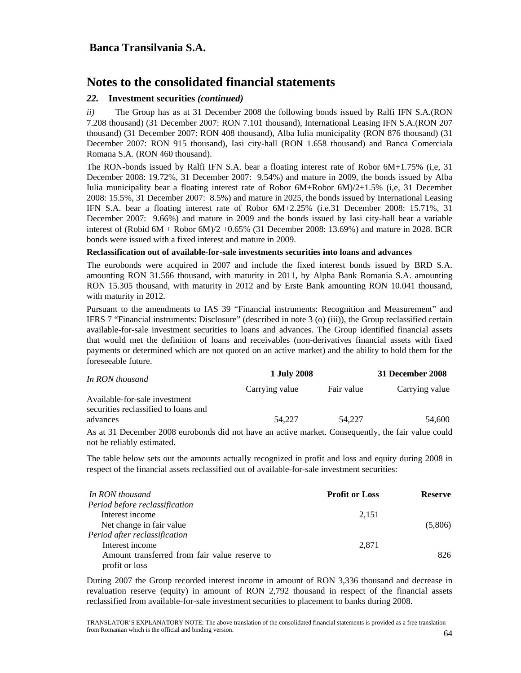# **Notes to the consolidated financial statements**

### *22.* **Investment securities** *(continued)*

*ii)* The Group has as at 31 December 2008 the following bonds issued by Ralfi IFN S.A.(RON 7.208 thousand) (31 December 2007: RON 7.101 thousand), International Leasing IFN S.A.(RON 207 thousand) (31 December 2007: RON 408 thousand), Alba Iulia municipality (RON 876 thousand) (31 December 2007: RON 915 thousand), Iasi city-hall (RON 1.658 thousand) and Banca Comerciala Romana S.A. (RON 460 thousand).

The RON-bonds issued by Ralfi IFN S.A. bear a floating interest rate of Robor 6M+1.75% (i,e, 31 December 2008: 19.72%, 31 December 2007: 9.54%) and mature in 2009, the bonds issued by Alba Iulia municipality bear a floating interest rate of Robor 6M+Robor 6M)/2+1.5% (i,e, 31 December 2008: 15.5%, 31 December 2007: 8.5%) and mature in 2025, the bonds issued by International Leasing IFN S.A. bear a floating interest rate of Robor 6M+2.25% (i.e.31 December 2008: 15.71%, 31 December 2007: 9.66%) and mature in 2009 and the bonds issued by Iasi city-hall bear a variable interest of (Robid  $6M + R$ obor  $6M/2 + 0.65\%$  (31 December 2008: 13.69%) and mature in 2028. BCR bonds were issued with a fixed interest and mature in 2009.

#### **Reclassification out of available-for-sale investments securities into loans and advances**

The eurobonds were acquired in 2007 and include the fixed interest bonds issued by BRD S.A. amounting RON 31.566 thousand, with maturity in 2011, by Alpha Bank Romania S.A. amounting RON 15.305 thousand, with maturity in 2012 and by Erste Bank amounting RON 10.041 thousand, with maturity in 2012.

Pursuant to the amendments to IAS 39 "Financial instruments: Recognition and Measurement" and IFRS 7 "Financial instruments: Disclosure" (described in note 3 (o) (iii)), the Group reclassified certain available-for-sale investment securities to loans and advances. The Group identified financial assets that would met the definition of loans and receivables (non-derivatives financial assets with fixed payments or determined which are not quoted on an active market) and the ability to hold them for the foreseeable future.

| In RON thousand                                                       | 1 July 2008    |            |                |  | 31 December 2008 |
|-----------------------------------------------------------------------|----------------|------------|----------------|--|------------------|
|                                                                       | Carrying value | Fair value | Carrying value |  |                  |
| Available-for-sale investment<br>securities reclassified to loans and |                |            |                |  |                  |
| advances                                                              | 54.227         | 54.227     | 54,600         |  |                  |

As at 31 December 2008 eurobonds did not have an active market. Consequently, the fair value could not be reliably estimated.

The table below sets out the amounts actually recognized in profit and loss and equity during 2008 in respect of the financial assets reclassified out of available-for-sale investment securities:

| In RON thousand                               | <b>Profit or Loss</b> | <b>Reserve</b> |
|-----------------------------------------------|-----------------------|----------------|
| Period before reclassification                |                       |                |
| Interest income                               | 2,151                 |                |
| Net change in fair value                      |                       | (5,806)        |
| Period after reclassification                 |                       |                |
| Interest income                               | 2,871                 |                |
| Amount transferred from fair value reserve to |                       | 826            |
| profit or loss                                |                       |                |

During 2007 the Group recorded interest income in amount of RON 3,336 thousand and decrease in revaluation reserve (equity) in amount of RON 2,792 thousand in respect of the financial assets reclassified from available-for-sale investment securities to placement to banks during 2008.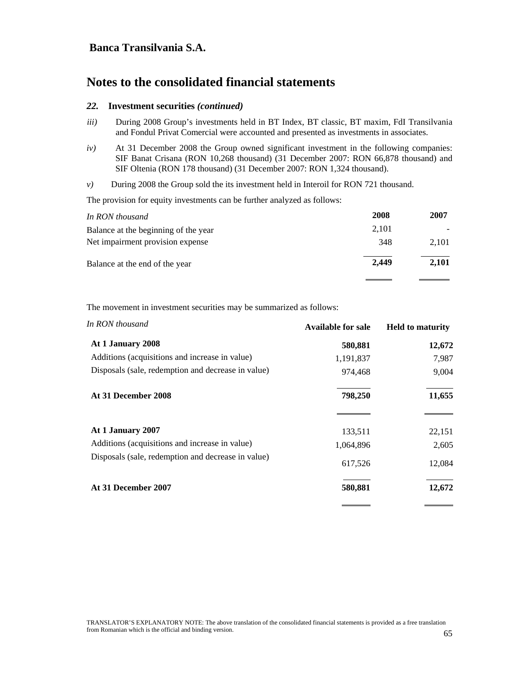# **Notes to the consolidated financial statements**

#### *22.* **Investment securities** *(continued)*

- *iii)* During 2008 Group's investments held in BT Index, BT classic, BT maxim, FdI Transilvania and Fondul Privat Comercial were accounted and presented as investments in associates.
- *iv*) At 31 December 2008 the Group owned significant investment in the following companies: SIF Banat Crisana (RON 10,268 thousand) (31 December 2007: RON 66,878 thousand) and SIF Oltenia (RON 178 thousand) (31 December 2007: RON 1,324 thousand).
- *v*) During 2008 the Group sold the its investment held in Interoil for RON 721 thousand.

The provision for equity investments can be further analyzed as follows:

| In RON thousand                      | 2008  | 2007  |
|--------------------------------------|-------|-------|
| Balance at the beginning of the year | 2,101 |       |
| Net impairment provision expense     | 348   | 2.101 |
| Balance at the end of the year       | 2.449 | 2,101 |
|                                      |       |       |

The movement in investment securities may be summarized as follows:

| In RON thousand                                    | <b>Available for sale</b> | <b>Held to maturity</b> |
|----------------------------------------------------|---------------------------|-------------------------|
| At 1 January 2008                                  | 580,881                   | 12,672                  |
| Additions (acquisitions and increase in value)     | 1,191,837                 | 7,987                   |
| Disposals (sale, redemption and decrease in value) | 974,468                   | 9,004                   |
| At 31 December 2008                                | 798,250                   | 11,655                  |
|                                                    |                           |                         |
| At 1 January 2007                                  | 133,511                   | 22,151                  |
| Additions (acquisitions and increase in value)     | 1,064,896                 | 2,605                   |
| Disposals (sale, redemption and decrease in value) | 617.526                   | 12,084                  |
| At 31 December 2007                                | 580,881                   | 12,672                  |

l,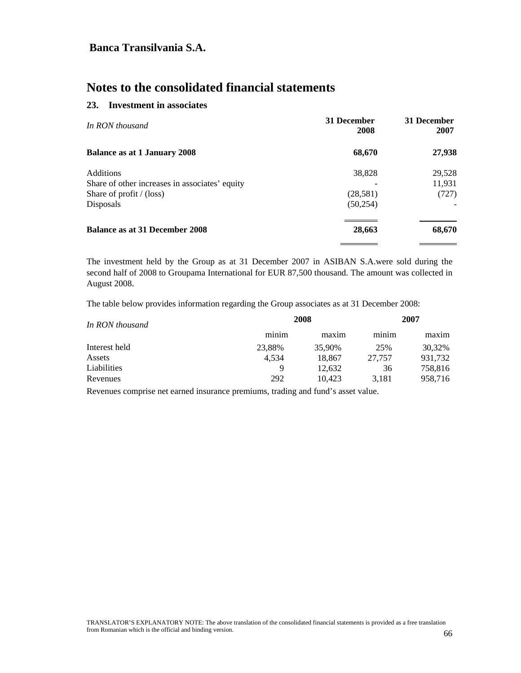# **Notes to the consolidated financial statements**

## **23. Investment in associates**

| In RON thousand                                | 31 December<br>2008 | 31 December<br>2007 |  |
|------------------------------------------------|---------------------|---------------------|--|
| <b>Balance as at 1 January 2008</b>            | 68,670              | 27,938              |  |
| <b>Additions</b>                               | 38,828              | 29,528              |  |
| Share of other increases in associates' equity |                     | 11,931              |  |
| Share of profit $/$ (loss)                     | (28,581)            | (727)               |  |
| <b>Disposals</b>                               | (50, 254)           |                     |  |
| <b>Balance as at 31 December 2008</b>          | 28,663              | 68,670              |  |

The investment held by the Group as at 31 December 2007 in ASIBAN S.A.were sold during the second half of 2008 to Groupama International for EUR 87,500 thousand. The amount was collected in August 2008.

The table below provides information regarding the Group associates as at 31 December 2008:

| In RON thousand | 2008   |        | 2007   |         |
|-----------------|--------|--------|--------|---------|
|                 | minim  | maxim  | minim  | maxim   |
| Interest held   | 23,88% | 35,90% | 25%    | 30,32%  |
| Assets          | 4.534  | 18.867 | 27,757 | 931,732 |
| Liabilities     |        | 12,632 | 36     | 758,816 |
| Revenues        | 292    | 10.423 | 3.181  | 958,716 |

Revenues comprise net earned insurance premiums, trading and fund's asset value.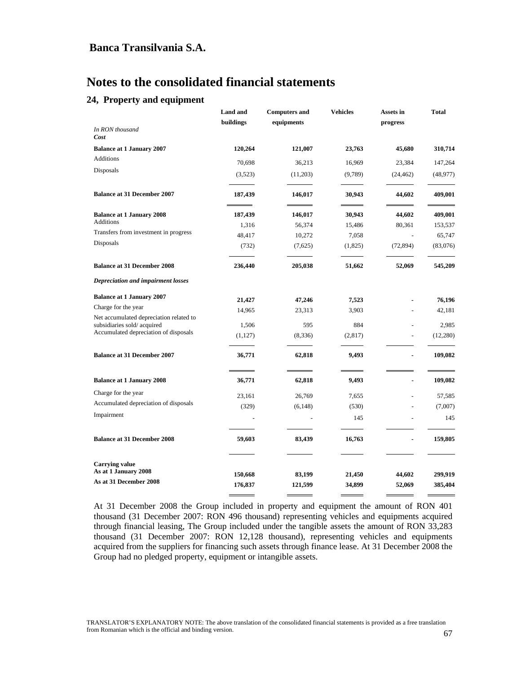# **Notes to the consolidated financial statements**

### **24, Property and equipment**

|                                                                     | <b>Land and</b> | <b>Computers and</b> | <b>Vehicles</b> | Assets in | <b>Total</b> |
|---------------------------------------------------------------------|-----------------|----------------------|-----------------|-----------|--------------|
|                                                                     | buildings       | equipments           |                 | progress  |              |
| In RON thousand<br>Cost                                             |                 |                      |                 |           |              |
| <b>Balance at 1 January 2007</b>                                    | 120,264         | 121,007              | 23,763          | 45,680    | 310,714      |
| Additions                                                           | 70,698          | 36,213               | 16,969          | 23,384    | 147,264      |
| Disposals                                                           | (3,523)         | (11,203)             | (9,789)         | (24, 462) | (48, 977)    |
| <b>Balance at 31 December 2007</b>                                  | 187,439         | 146,017              | 30,943          | 44,602    | 409,001      |
| <b>Balance at 1 January 2008</b>                                    | 187,439         | 146,017              | 30,943          | 44,602    | 409,001      |
| <b>Additions</b>                                                    | 1,316           | 56,374               | 15,486          | 80,361    | 153,537      |
| Transfers from investment in progress                               | 48,417          | 10,272               | 7,058           |           | 65,747       |
| Disposals                                                           | (732)           | (7,625)              | (1,825)         | (72, 894) | (83,076)     |
| <b>Balance at 31 December 2008</b>                                  | 236,440         | 205,038              | 51,662          | 52,069    | 545,209      |
| Depreciation and impairment losses                                  |                 |                      |                 |           |              |
| <b>Balance at 1 January 2007</b>                                    | 21,427          | 47,246               | 7,523           |           | 76,196       |
| Charge for the year                                                 | 14,965          | 23,313               | 3,903           |           | 42,181       |
| Net accumulated depreciation related to                             |                 |                      |                 |           |              |
| subsidiaries sold/acquired<br>Accumulated depreciation of disposals | 1,506           | 595                  | 884             |           | 2,985        |
|                                                                     | (1,127)         | (8,336)              | (2, 817)        |           | (12,280)     |
| <b>Balance at 31 December 2007</b>                                  | 36,771          | 62,818               | 9,493           |           | 109,082      |
| <b>Balance at 1 January 2008</b>                                    | 36,771          | 62,818               | 9,493           |           | 109,082      |
| Charge for the year                                                 | 23,161          | 26,769               | 7,655           |           | 57,585       |
| Accumulated depreciation of disposals                               | (329)           | (6, 148)             | (530)           |           | (7,007)      |
| Impairment                                                          |                 | $\overline{a}$       | 145             |           | 145          |
| <b>Balance at 31 December 2008</b>                                  | 59,603          | 83,439               | 16,763          |           | 159,805      |
| <b>Carrying value</b>                                               |                 |                      |                 |           |              |
| As at 1 January 2008                                                | 150,668         | 83,199               | 21,450          | 44,602    | 299,919      |
| As at 31 December 2008                                              | 176,837         | 121,599              | 34,899          | 52,069    | 385,404      |

At 31 December 2008 the Group included in property and equipment the amount of RON 401 thousand (31 December 2007: RON 496 thousand) representing vehicles and equipments acquired through financial leasing, The Group included under the tangible assets the amount of RON 33,283 thousand (31 December 2007: RON 12,128 thousand), representing vehicles and equipments acquired from the suppliers for financing such assets through finance lease. At 31 December 2008 the Group had no pledged property, equipment or intangible assets.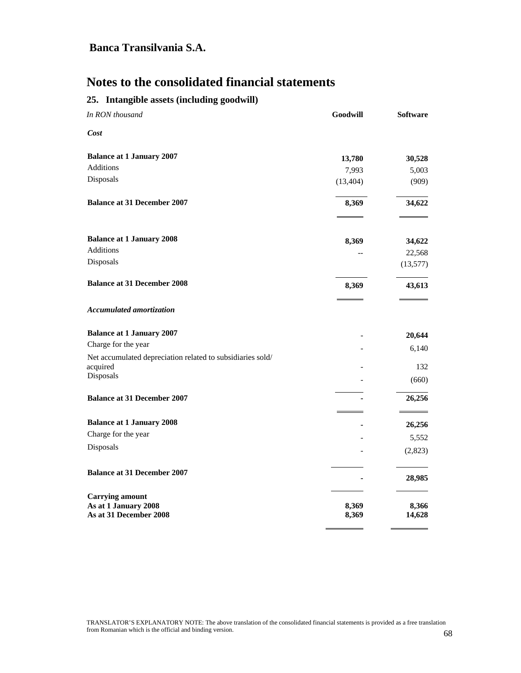# **Notes to the consolidated financial statements**

# **25. Intangible assets (including goodwill)**

| In RON thousand                                                          | Goodwill       | <b>Software</b> |
|--------------------------------------------------------------------------|----------------|-----------------|
| Cost                                                                     |                |                 |
| <b>Balance at 1 January 2007</b>                                         | 13,780         | 30,528          |
| Additions                                                                | 7,993          | 5,003           |
| Disposals                                                                | (13, 404)      | (909)           |
| <b>Balance at 31 December 2007</b>                                       | 8,369          | 34,622          |
| <b>Balance at 1 January 2008</b>                                         | 8,369          | 34,622          |
| <b>Additions</b>                                                         |                | 22,568          |
| Disposals                                                                |                | (13,577)        |
| <b>Balance at 31 December 2008</b>                                       | 8,369          | 43,613          |
| <b>Accumulated amortization</b>                                          |                |                 |
| <b>Balance at 1 January 2007</b>                                         |                | 20,644          |
| Charge for the year                                                      |                | 6,140           |
| Net accumulated depreciation related to subsidiaries sold/               |                |                 |
| acquired<br>Disposals                                                    |                | 132             |
|                                                                          |                | (660)           |
| <b>Balance at 31 December 2007</b>                                       |                | 26,256          |
| <b>Balance at 1 January 2008</b>                                         |                | 26,256          |
| Charge for the year                                                      |                | 5,552           |
| Disposals                                                                |                | (2,823)         |
| <b>Balance at 31 December 2007</b>                                       |                | 28,985          |
| <b>Carrying amount</b><br>As at 1 January 2008<br>As at 31 December 2008 | 8,369<br>8,369 | 8,366<br>14,628 |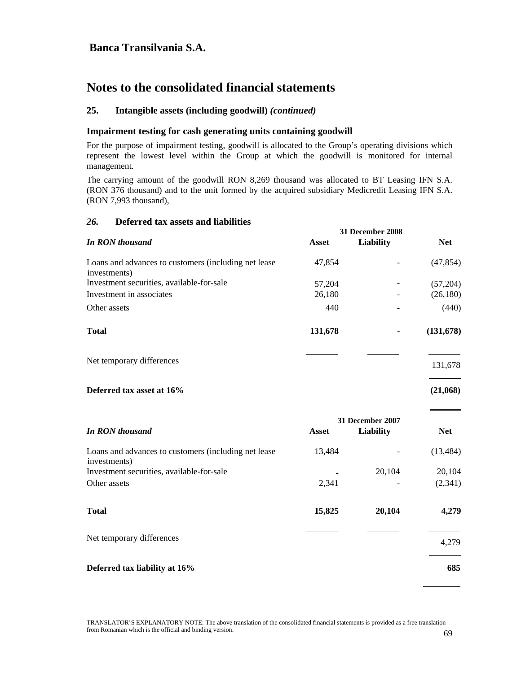# **Notes to the consolidated financial statements**

### **25. Intangible assets (including goodwill)** *(continued)*

#### **Impairment testing for cash generating units containing goodwill**

For the purpose of impairment testing, goodwill is allocated to the Group's operating divisions which represent the lowest level within the Group at which the goodwill is monitored for internal management.

The carrying amount of the goodwill RON 8,269 thousand was allocated to BT Leasing IFN S.A. (RON 376 thousand) and to the unit formed by the acquired subsidiary Medicredit Leasing IFN S.A. (RON 7,993 thousand),

**31 December 2008** 

### *26.* **Deferred tax assets and liabilities**

| In RON thousand                                                      | Asset   | <b>Liability</b> | <b>Net</b> |
|----------------------------------------------------------------------|---------|------------------|------------|
| Loans and advances to customers (including net lease<br>investments) | 47,854  |                  | (47, 854)  |
| Investment securities, available-for-sale                            | 57,204  |                  | (57,204)   |
| Investment in associates                                             | 26,180  |                  | (26, 180)  |
| Other assets                                                         | 440     |                  | (440)      |
| <b>Total</b>                                                         | 131,678 |                  | (131, 678) |
| Net temporary differences                                            |         |                  | 131,678    |

#### **Deferred tax asset at 16% (21,068)**

|                                                                       | 31 December 2007 |           |            |
|-----------------------------------------------------------------------|------------------|-----------|------------|
| <b>In RON thousand</b>                                                | Asset            | Liability | <b>Net</b> |
| Loans and advances to customers (including net lease)<br>investments) | 13,484           |           | (13, 484)  |
| Investment securities, available-for-sale                             |                  | 20,104    | 20,104     |
| Other assets                                                          | 2,341            |           | (2,341)    |
| <b>Total</b>                                                          | 15,825           | 20,104    | 4,279      |
| Net temporary differences                                             |                  |           | 4,279      |
| Deferred tax liability at 16%                                         |                  |           | 685        |

 $\overline{a}$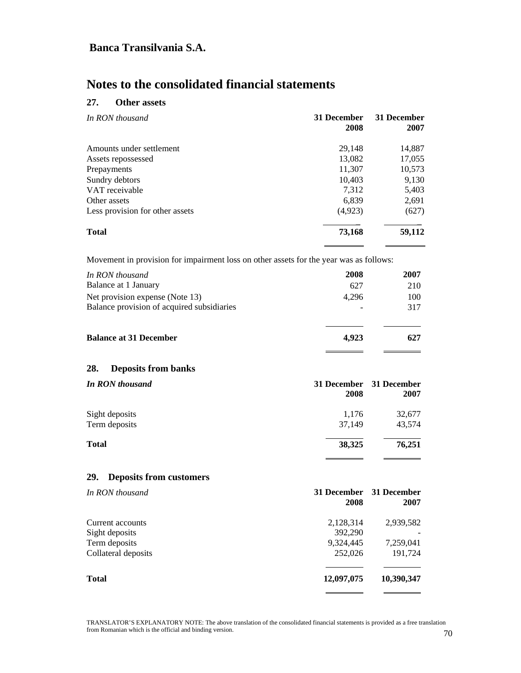## **Notes to the consolidated financial statements**

### **27. Other assets**

| 31 December<br>2008 | 31 December<br>2007 |
|---------------------|---------------------|
| 29,148              | 14,887              |
| 13,082              | 17,055              |
| 11,307              | 10,573              |
| 10,403              | 9,130               |
| 7,312               | 5,403               |
| 6,839               | 2,691               |
| (4,923)             | (627)               |
| 73,168              | 59,112              |
|                     |                     |

Movement in provision for impairment loss on other assets for the year was as follows:

| In RON thousand                            | 2008  | 2007 |
|--------------------------------------------|-------|------|
| Balance at 1 January                       | 627   | 210  |
| Net provision expense (Note 13)            | 4.296 | 100  |
| Balance provision of acquired subsidiaries |       | 317  |
|                                            |       |      |
| <b>Balance at 31 December</b>              | 4.923 | 627  |

 $\overline{\phantom{0}}$ 

### **28. Deposits from banks**

| 2008   | 31 December 31 December<br>2007 |
|--------|---------------------------------|
| 1.176  | 32,677                          |
| 37,149 | 43,574                          |
| 38,325 | 76,251                          |
|        |                                 |

### **29. Deposits from customers**

| In RON thousand     | 31 December<br>2008 | 31 December<br>2007 |
|---------------------|---------------------|---------------------|
| Current accounts    | 2,128,314           | 2,939,582           |
| Sight deposits      | 392,290             |                     |
| Term deposits       | 9,324,445           | 7,259,041           |
| Collateral deposits | 252,026             | 191,724             |
| <b>Total</b>        | 12,097,075          | 10,390,347          |
|                     |                     |                     |

TRANSLATOR'S EXPLANATORY NOTE: The above translation of the consolidated financial statements is provided as a free translation from Romanian which is the official and binding version.  $70$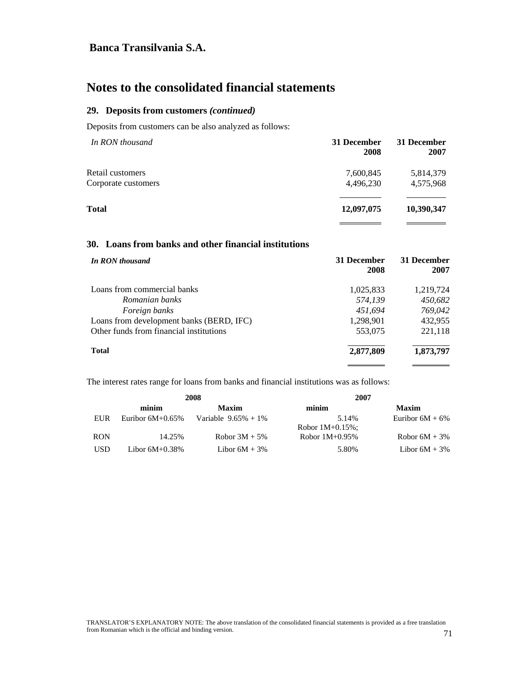# **Notes to the consolidated financial statements**

### **29. Deposits from customers** *(continued)*

Deposits from customers can be also analyzed as follows:

| In RON thousand     | 31 December<br>2008 | 31 December<br>2007 |
|---------------------|---------------------|---------------------|
| Retail customers    | 7,600,845           | 5,814,379           |
| Corporate customers | 4.496.230           | 4,575,968           |
| <b>Total</b>        | 12,097,075          | 10,390,347          |
|                     |                     |                     |

### **30. Loans from banks and other financial institutions**

| In RON thousand                          | 31 December<br>2008 | 31 December<br>2007 |
|------------------------------------------|---------------------|---------------------|
| Loans from commercial banks              | 1,025,833           | 1,219,724           |
| Romanian banks                           | 574,139             | 450,682             |
| Foreign banks                            | 451.694             | 769,042             |
| Loans from development banks (BERD, IFC) | 1,298,901           | 432,955             |
| Other funds from financial institutions  | 553,075             | 221,118             |
| <b>Total</b>                             | 2,877,809           | 1,873,797           |
|                                          |                     |                     |

The interest rates range for loans from banks and financial institutions was as follows:

|            |                     | 2008                    | 2007                |                    |
|------------|---------------------|-------------------------|---------------------|--------------------|
|            | minim               | <b>Maxim</b>            | minim               | <b>Maxim</b>       |
| EUR        | Euribor $6M+0.65\%$ | Variable $9.65\% + 1\%$ | 5.14%               | Euribor $6M + 6\%$ |
|            |                     |                         | Robor $1M+0.15\%$ ; |                    |
| <b>RON</b> | 14.25%              | Robor $3M + 5\%$        | Robor $1M+0.95%$    | Robor $6M + 3\%$   |
| <b>USD</b> | Libor $6M+0.38\%$   | Libor $6M + 3\%$        | 5.80%               | Libor $6M + 3\%$   |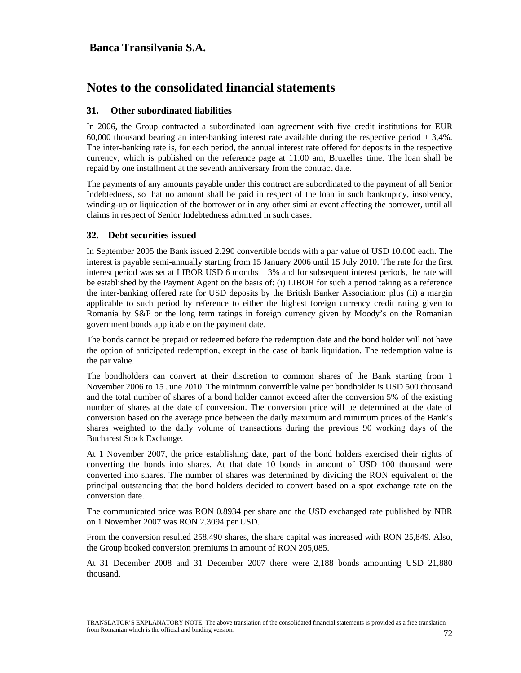## **Notes to the consolidated financial statements**

### **31. Other subordinated liabilities**

In 2006, the Group contracted a subordinated loan agreement with five credit institutions for EUR 60,000 thousand bearing an inter-banking interest rate available during the respective period + 3,4%. The inter-banking rate is, for each period, the annual interest rate offered for deposits in the respective currency, which is published on the reference page at 11:00 am, Bruxelles time. The loan shall be repaid by one installment at the seventh anniversary from the contract date.

The payments of any amounts payable under this contract are subordinated to the payment of all Senior Indebtedness, so that no amount shall be paid in respect of the loan in such bankruptcy, insolvency, winding-up or liquidation of the borrower or in any other similar event affecting the borrower, until all claims in respect of Senior Indebtedness admitted in such cases.

### **32. Debt securities issued**

In September 2005 the Bank issued 2.290 convertible bonds with a par value of USD 10.000 each. The interest is payable semi-annually starting from 15 January 2006 until 15 July 2010. The rate for the first interest period was set at LIBOR USD 6 months + 3% and for subsequent interest periods, the rate will be established by the Payment Agent on the basis of: (i) LIBOR for such a period taking as a reference the inter-banking offered rate for USD deposits by the British Banker Association: plus (ii) a margin applicable to such period by reference to either the highest foreign currency credit rating given to Romania by S&P or the long term ratings in foreign currency given by Moody's on the Romanian government bonds applicable on the payment date.

The bonds cannot be prepaid or redeemed before the redemption date and the bond holder will not have the option of anticipated redemption, except in the case of bank liquidation. The redemption value is the par value.

The bondholders can convert at their discretion to common shares of the Bank starting from 1 November 2006 to 15 June 2010. The minimum convertible value per bondholder is USD 500 thousand and the total number of shares of a bond holder cannot exceed after the conversion 5% of the existing number of shares at the date of conversion. The conversion price will be determined at the date of conversion based on the average price between the daily maximum and minimum prices of the Bank's shares weighted to the daily volume of transactions during the previous 90 working days of the Bucharest Stock Exchange.

At 1 November 2007, the price establishing date, part of the bond holders exercised their rights of converting the bonds into shares. At that date 10 bonds in amount of USD 100 thousand were converted into shares. The number of shares was determined by dividing the RON equivalent of the principal outstanding that the bond holders decided to convert based on a spot exchange rate on the conversion date.

The communicated price was RON 0.8934 per share and the USD exchanged rate published by NBR on 1 November 2007 was RON 2.3094 per USD.

From the conversion resulted 258,490 shares, the share capital was increased with RON 25,849. Also, the Group booked conversion premiums in amount of RON 205,085.

At 31 December 2008 and 31 December 2007 there were 2,188 bonds amounting USD 21,880 thousand.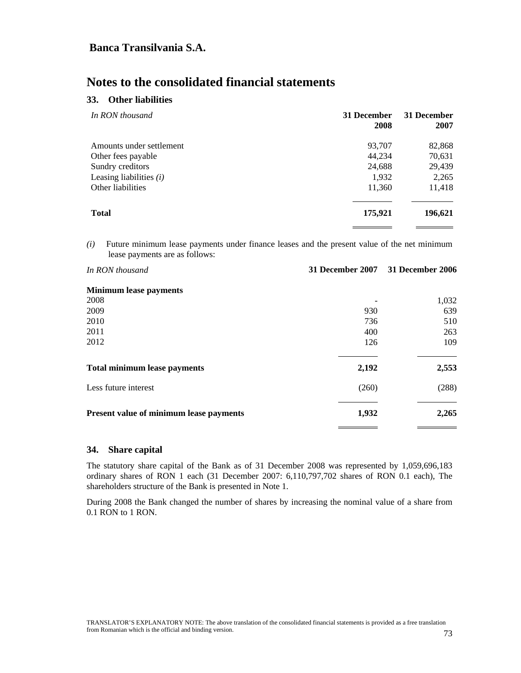## **Notes to the consolidated financial statements**

### **33. Other liabilities**

| In RON thousand           | 31 December<br>2008 | 31 December<br>2007 |
|---------------------------|---------------------|---------------------|
| Amounts under settlement  | 93,707              | 82,868              |
| Other fees payable        | 44,234              | 70,631              |
| Sundry creditors          | 24,688              | 29,439              |
| Leasing liabilities $(i)$ | 1,932               | 2,265               |
| Other liabilities         | 11,360              | 11,418              |
| <b>Total</b>              | 175,921             | 196,621             |

*(i)* Future minimum lease payments under finance leases and the present value of the net minimum lease payments are as follows:

| In RON thousand                                | <b>31 December 2007</b> | <b>31 December 2006</b> |
|------------------------------------------------|-------------------------|-------------------------|
| <b>Minimum lease payments</b>                  |                         |                         |
| 2008                                           |                         | 1,032                   |
| 2009                                           | 930                     | 639                     |
| 2010                                           | 736                     | 510                     |
| 2011                                           | 400                     | 263                     |
| 2012                                           | 126                     | 109                     |
| <b>Total minimum lease payments</b>            | 2,192                   | 2,553                   |
| Less future interest                           | (260)                   | (288)                   |
| <b>Present value of minimum lease payments</b> | 1,932                   | 2,265                   |

### **34. Share capital**

The statutory share capital of the Bank as of 31 December 2008 was represented by 1,059,696,183 ordinary shares of RON 1 each (31 December 2007: 6,110,797,702 shares of RON 0.1 each), The shareholders structure of the Bank is presented in Note 1.

During 2008 the Bank changed the number of shares by increasing the nominal value of a share from 0.1 RON to 1 RON.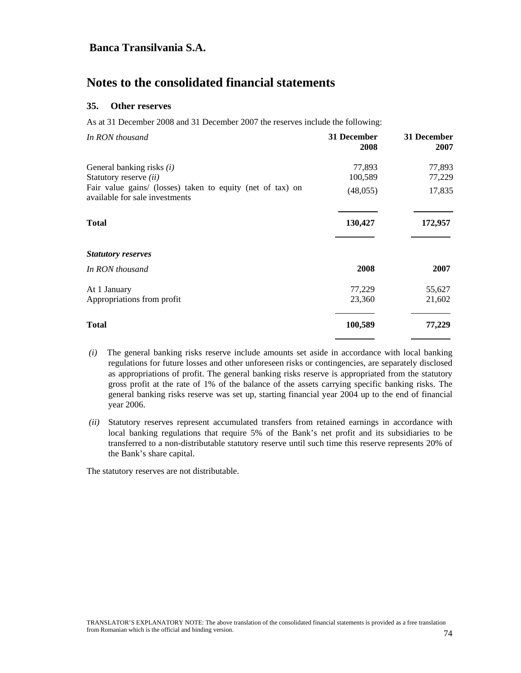## **Notes to the consolidated financial statements**

### **35. Other reserves**

As at 31 December 2008 and 31 December 2007 the reserves include the following:

| 77,893    |         |
|-----------|---------|
|           | 77,893  |
| 100,589   | 77,229  |
| (48, 055) | 17,835  |
| 130,427   | 172,957 |
|           |         |
| 2008      | 2007    |
| 77,229    | 55,627  |
| 23,360    | 21,602  |
| 100,589   | 77,229  |
|           |         |

 *(i)* The general banking risks reserve include amounts set aside in accordance with local banking regulations for future losses and other unforeseen risks or contingencies, are separately disclosed as appropriations of profit. The general banking risks reserve is appropriated from the statutory gross profit at the rate of 1% of the balance of the assets carrying specific banking risks. The general banking risks reserve was set up, starting financial year 2004 up to the end of financial year 2006.

*(ii)* Statutory reserves represent accumulated transfers from retained earnings in accordance with local banking regulations that require 5% of the Bank's net profit and its subsidiaries to be transferred to a non-distributable statutory reserve until such time this reserve represents 20% of the Bank's share capital.

The statutory reserves are not distributable.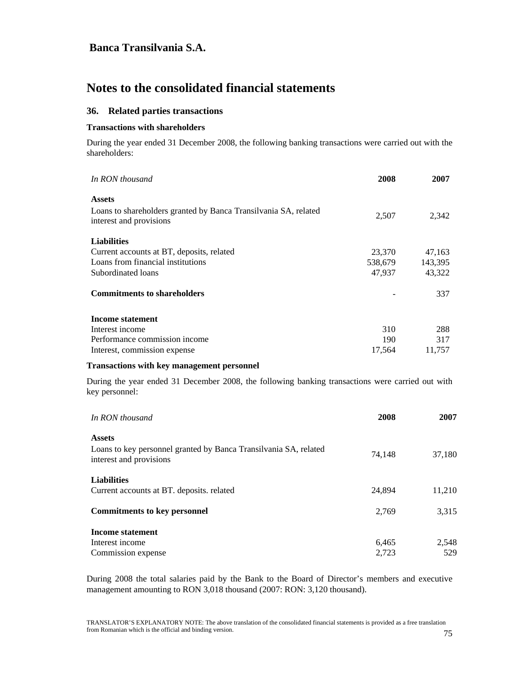## **Notes to the consolidated financial statements**

### **36. Related parties transactions**

#### **Transactions with shareholders**

During the year ended 31 December 2008, the following banking transactions were carried out with the shareholders:

| In RON thousand                                                                            | 2008    | 2007    |
|--------------------------------------------------------------------------------------------|---------|---------|
| <b>Assets</b>                                                                              |         |         |
| Loans to shareholders granted by Banca Transilvania SA, related<br>interest and provisions | 2,507   | 2,342   |
| <b>Liabilities</b>                                                                         |         |         |
| Current accounts at BT, deposits, related                                                  | 23,370  | 47,163  |
| Loans from financial institutions                                                          | 538,679 | 143,395 |
| Subordinated loans                                                                         | 47,937  | 43,322  |
| <b>Commitments to shareholders</b>                                                         |         | 337     |
| <b>Income statement</b>                                                                    |         |         |
| Interest income                                                                            | 310     | 288     |
| Performance commission income                                                              | 190     | 317     |
| Interest, commission expense                                                               | 17,564  | 11,757  |

#### **Transactions with key management personnel**

During the year ended 31 December 2008, the following banking transactions were carried out with key personnel:

| In RON thousand                                                                                              | 2008           | 2007         |
|--------------------------------------------------------------------------------------------------------------|----------------|--------------|
| <b>Assets</b><br>Loans to key personnel granted by Banca Transilvania SA, related<br>interest and provisions | 74.148         | 37,180       |
| <b>Liabilities</b><br>Current accounts at BT. deposits. related                                              | 24.894         | 11,210       |
| <b>Commitments to key personnel</b>                                                                          | 2.769          | 3,315        |
| Income statement                                                                                             |                |              |
| Interest income<br>Commission expense                                                                        | 6,465<br>2.723 | 2,548<br>529 |

During 2008 the total salaries paid by the Bank to the Board of Director's members and executive management amounting to RON 3,018 thousand (2007: RON: 3,120 thousand).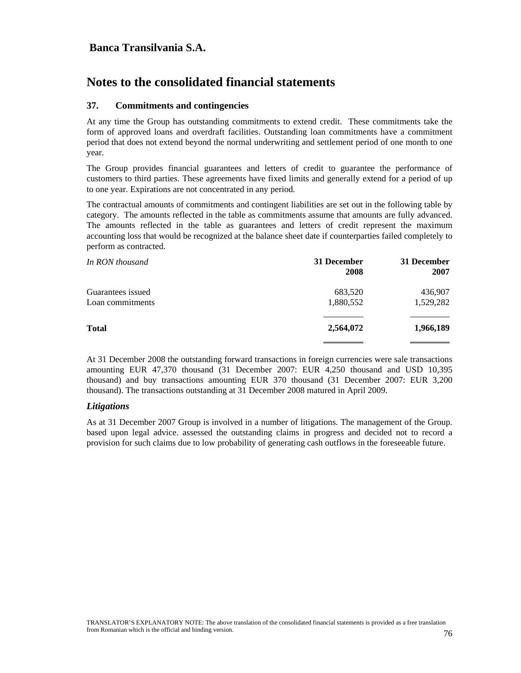## **Notes to the consolidated financial statements**

### **37. Commitments and contingencies**

At any time the Group has outstanding commitments to extend credit. These commitments take the form of approved loans and overdraft facilities. Outstanding loan commitments have a commitment period that does not extend beyond the normal underwriting and settlement period of one month to one year.

The Group provides financial guarantees and letters of credit to guarantee the performance of customers to third parties. These agreements have fixed limits and generally extend for a period of up to one year. Expirations are not concentrated in any period.

The contractual amounts of commitments and contingent liabilities are set out in the following table by category. The amounts reflected in the table as commitments assume that amounts are fully advanced. The amounts reflected in the table as guarantees and letters of credit represent the maximum accounting loss that would be recognized at the balance sheet date if counterparties failed completely to perform as contracted.

| 31 December<br>2008 | 31 December<br>2007 |
|---------------------|---------------------|
| 683,520             | 436,907             |
| 1,880,552           | 1,529,282           |
| 2,564,072           | 1,966,189           |
|                     |                     |

At 31 December 2008 the outstanding forward transactions in foreign currencies were sale transactions amounting EUR 47,370 thousand (31 December 2007: EUR 4,250 thousand and USD 10,395 thousand) and buy transactions amounting EUR 370 thousand (31 December 2007: EUR 3,200 thousand). The transactions outstanding at 31 December 2008 matured in April 2009.

#### *Litigations*

As at 31 December 2007 Group is involved in a number of litigations. The management of the Group. based upon legal advice. assessed the outstanding claims in progress and decided not to record a provision for such claims due to low probability of generating cash outflows in the foreseeable future.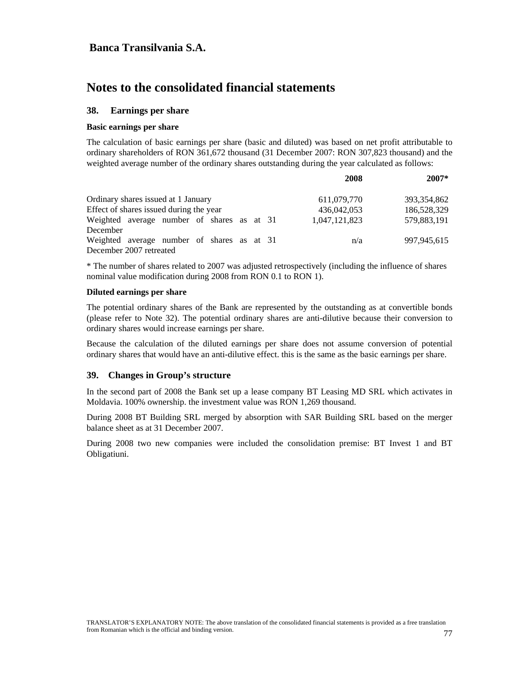## **Notes to the consolidated financial statements**

### **38. Earnings per share**

#### **Basic earnings per share**

The calculation of basic earnings per share (basic and diluted) was based on net profit attributable to ordinary shareholders of RON 361,672 thousand (31 December 2007: RON 307,823 thousand) and the weighted average number of the ordinary shares outstanding during the year calculated as follows:

|                                            | 2008          | $2007*$     |
|--------------------------------------------|---------------|-------------|
| Ordinary shares issued at 1 January        | 611,079,770   | 393.354.862 |
| Effect of shares issued during the year    | 436,042,053   | 186,528,329 |
| Weighted average number of shares as at 31 | 1,047,121,823 | 579,883,191 |
| December                                   |               |             |
| Weighted average number of shares as at 31 | n/a           | 997,945,615 |
| December 2007 retreated                    |               |             |

\* The number of shares related to 2007 was adjusted retrospectively (including the influence of shares nominal value modification during 2008 from RON 0.1 to RON 1).

#### **Diluted earnings per share**

The potential ordinary shares of the Bank are represented by the outstanding as at convertible bonds (please refer to Note 32). The potential ordinary shares are anti-dilutive because their conversion to ordinary shares would increase earnings per share.

Because the calculation of the diluted earnings per share does not assume conversion of potential ordinary shares that would have an anti-dilutive effect. this is the same as the basic earnings per share.

#### **39. Changes in Group's structure**

In the second part of 2008 the Bank set up a lease company BT Leasing MD SRL which activates in Moldavia. 100% ownership. the investment value was RON 1,269 thousand.

During 2008 BT Building SRL merged by absorption with SAR Building SRL based on the merger balance sheet as at 31 December 2007.

During 2008 two new companies were included the consolidation premise: BT Invest 1 and BT Obligatiuni.